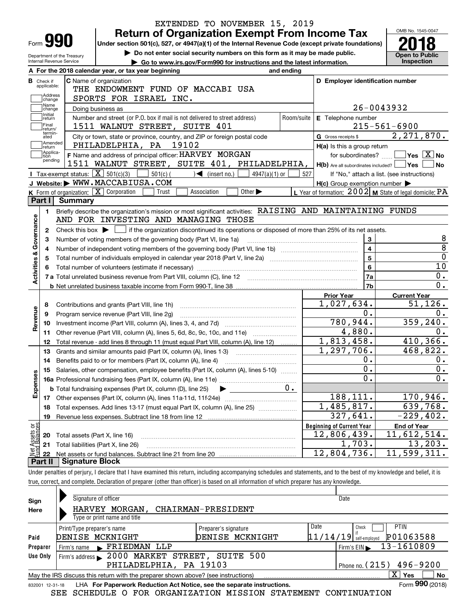| <b>Return of Organization Exempt From Income Tax</b><br>Form 990<br>Under section 501(c), 527, or 4947(a)(1) of the Internal Revenue Code (except private foundations)<br>Do not enter social security numbers on this form as it may be made public.<br><b>Open to Public</b><br><b>Inspection</b><br>Go to www.irs.gov/Form990 for instructions and the latest information.<br>A For the 2018 calendar year, or tax year beginning<br>and ending<br>C Name of organization<br>D Employer identification number<br>applicable:<br>THE ENDOWMENT FUND OF MACCABI USA<br>Address<br>SPORTS FOR ISRAEL INC.<br>change<br>Name<br>26-0043932<br>Doing business as<br>change<br>Initial<br>Number and street (or P.O. box if mail is not delivered to street address)<br>Room/suite<br>E Telephone number<br>return<br>Final<br>$215 - 561 - 6900$<br>1511 WALNUT STREET, SUITE 401<br>return/<br>termin-<br>2,271,870.<br>City or town, state or province, country, and ZIP or foreign postal code<br>G Gross receipts \$<br>ated<br>Amended<br>PHILADELPHIA, PA 19102<br>H(a) Is this a group return<br>return<br> Applica-<br>F Name and address of principal officer: HARVEY MORGAN<br>$\boxed{\phantom{1}}$ Yes $\boxed{\text{X}}$ No<br>for subordinates?<br>Ition<br>pending<br>1511 WALNUT STREET, SUITE 401, PHILADELPHIA,<br>H(b) Are all subordinates included?   Yes  <br>∣No<br><b>Tax-exempt status:</b> $\boxed{\mathbf{X}}$ 501(c)(3)<br>$501(c)$ $\left( \qquad \qquad \right)$ (insert no.)<br>$4947(a)(1)$ or<br>527<br>If "No," attach a list. (see instructions)<br>J Website: WWW.MACCABIUSA.COM<br>$H(c)$ Group exemption number $\blacktriangleright$<br>K Form of organization: X Corporation<br>L Year of formation: $2002$ M State of legal domicile: PA<br>Association<br>Other $\blacktriangleright$<br>Trust<br>Part I<br><b>Summary</b><br>Briefly describe the organization's mission or most significant activities: RAISING AND MAINTAINING FUNDS<br>1.<br>Governance<br>AND FOR INVESTING AND MANAGING THOSE<br>Check this box $\blacktriangleright$ $\Box$ if the organization discontinued its operations or disposed of more than 25% of its net assets.<br>2<br>3<br>Number of voting members of the governing body (Part VI, line 1a)<br>з<br>$\overline{8}$<br>$\overline{\mathbf{4}}$<br>4<br><b>Activities &amp;</b><br>$\overline{0}$<br>5<br>5<br>10<br>$\bf{6}$<br>6<br>0.<br>7a<br>7 a Total unrelated business revenue from Part VIII, column (C), line 12 [11] [12] [11] [12] [11] [11] [12] [1<br>$\overline{0}$ .<br>7b<br><b>Prior Year</b><br><b>Current Year</b><br>51, 126.<br>1,027,634.<br>Contributions and grants (Part VIII, line 1h)<br>8<br>evenue<br>0.<br>0.<br>Program service revenue (Part VIII, line 2g)<br>9<br>359, 240.<br>780,944.<br>10<br>œ<br>4,880.<br>0.<br>Other revenue (Part VIII, column (A), lines 5, 6d, 8c, 9c, 10c, and 11e)<br>11<br>1,813,458.<br>410,366.<br>Total revenue - add lines 8 through 11 (must equal Part VIII, column (A), line 12)<br>12<br>1,297,706.<br>468,822.<br>Grants and similar amounts paid (Part IX, column (A), lines 1-3)<br>13<br>0.<br>0.<br>Benefits paid to or for members (Part IX, column (A), line 4)<br>14<br>$\overline{\mathbf{0}}$ .<br>$0$ .<br>Salaries, other compensation, employee benefits (Part IX, column (A), lines 5-10)<br>15<br>Expenses<br>$\overline{0}$ .<br>$\overline{0}$ .<br>0.<br><b>b</b> Total fundraising expenses (Part IX, column (D), line 25)<br>188,111.<br>170,946.<br>17<br>1,485,817.<br>639,768.<br>Total expenses. Add lines 13-17 (must equal Part IX, column (A), line 25)<br>18<br>327,641.<br>19<br>t Assets or<br>d Balances<br><b>Beginning of Current Year</b><br><b>End of Year</b><br>12,806,439.<br>Total assets (Part X, line 16)<br>20<br>1,703.<br>Total liabilities (Part X, line 26)<br>21<br>12,804,736.<br>22<br><b>Signature Block</b><br>Part II |                            |  | EXTENDED TO NOVEMBER 15, 2019 |             |  |                             |  |  |  |  |  |
|-------------------------------------------------------------------------------------------------------------------------------------------------------------------------------------------------------------------------------------------------------------------------------------------------------------------------------------------------------------------------------------------------------------------------------------------------------------------------------------------------------------------------------------------------------------------------------------------------------------------------------------------------------------------------------------------------------------------------------------------------------------------------------------------------------------------------------------------------------------------------------------------------------------------------------------------------------------------------------------------------------------------------------------------------------------------------------------------------------------------------------------------------------------------------------------------------------------------------------------------------------------------------------------------------------------------------------------------------------------------------------------------------------------------------------------------------------------------------------------------------------------------------------------------------------------------------------------------------------------------------------------------------------------------------------------------------------------------------------------------------------------------------------------------------------------------------------------------------------------------------------------------------------------------------------------------------------------------------------------------------------------------------------------------------------------------------------------------------------------------------------------------------------------------------------------------------------------------------------------------------------------------------------------------------------------------------------------------------------------------------------------------------------------------------------------------------------------------------------------------------------------------------------------------------------------------------------------------------------------------------------------------------------------------------------------------------------------------------------------------------------------------------------------------------------------------------------------------------------------------------------------------------------------------------------------------------------------------------------------------------------------------------------------------------------------------------------------------------------------------------------------------------------------------------------------------------------------------------------------------------------------------------------------------------------------------------------------------------------------------------------------------------------------------------------------------------------------------------------------------------------------------------------------------------------------------------------------------------------------------------------------------------------------------------------------------------------------------------------------------------------------------------------------------------------------------------------------------------------------------------------------------------------------------------------|----------------------------|--|-------------------------------|-------------|--|-----------------------------|--|--|--|--|--|
|                                                                                                                                                                                                                                                                                                                                                                                                                                                                                                                                                                                                                                                                                                                                                                                                                                                                                                                                                                                                                                                                                                                                                                                                                                                                                                                                                                                                                                                                                                                                                                                                                                                                                                                                                                                                                                                                                                                                                                                                                                                                                                                                                                                                                                                                                                                                                                                                                                                                                                                                                                                                                                                                                                                                                                                                                                                                                                                                                                                                                                                                                                                                                                                                                                                                                                                                                                                                                                                                                                                                                                                                                                                                                                                                                                                                                                                                                                                               |                            |  |                               |             |  | OMB No. 1545-0047           |  |  |  |  |  |
|                                                                                                                                                                                                                                                                                                                                                                                                                                                                                                                                                                                                                                                                                                                                                                                                                                                                                                                                                                                                                                                                                                                                                                                                                                                                                                                                                                                                                                                                                                                                                                                                                                                                                                                                                                                                                                                                                                                                                                                                                                                                                                                                                                                                                                                                                                                                                                                                                                                                                                                                                                                                                                                                                                                                                                                                                                                                                                                                                                                                                                                                                                                                                                                                                                                                                                                                                                                                                                                                                                                                                                                                                                                                                                                                                                                                                                                                                                                               |                            |  |                               |             |  |                             |  |  |  |  |  |
|                                                                                                                                                                                                                                                                                                                                                                                                                                                                                                                                                                                                                                                                                                                                                                                                                                                                                                                                                                                                                                                                                                                                                                                                                                                                                                                                                                                                                                                                                                                                                                                                                                                                                                                                                                                                                                                                                                                                                                                                                                                                                                                                                                                                                                                                                                                                                                                                                                                                                                                                                                                                                                                                                                                                                                                                                                                                                                                                                                                                                                                                                                                                                                                                                                                                                                                                                                                                                                                                                                                                                                                                                                                                                                                                                                                                                                                                                                                               | Department of the Treasury |  |                               |             |  |                             |  |  |  |  |  |
|                                                                                                                                                                                                                                                                                                                                                                                                                                                                                                                                                                                                                                                                                                                                                                                                                                                                                                                                                                                                                                                                                                                                                                                                                                                                                                                                                                                                                                                                                                                                                                                                                                                                                                                                                                                                                                                                                                                                                                                                                                                                                                                                                                                                                                                                                                                                                                                                                                                                                                                                                                                                                                                                                                                                                                                                                                                                                                                                                                                                                                                                                                                                                                                                                                                                                                                                                                                                                                                                                                                                                                                                                                                                                                                                                                                                                                                                                                                               | Internal Revenue Service   |  |                               |             |  |                             |  |  |  |  |  |
|                                                                                                                                                                                                                                                                                                                                                                                                                                                                                                                                                                                                                                                                                                                                                                                                                                                                                                                                                                                                                                                                                                                                                                                                                                                                                                                                                                                                                                                                                                                                                                                                                                                                                                                                                                                                                                                                                                                                                                                                                                                                                                                                                                                                                                                                                                                                                                                                                                                                                                                                                                                                                                                                                                                                                                                                                                                                                                                                                                                                                                                                                                                                                                                                                                                                                                                                                                                                                                                                                                                                                                                                                                                                                                                                                                                                                                                                                                                               |                            |  |                               |             |  |                             |  |  |  |  |  |
|                                                                                                                                                                                                                                                                                                                                                                                                                                                                                                                                                                                                                                                                                                                                                                                                                                                                                                                                                                                                                                                                                                                                                                                                                                                                                                                                                                                                                                                                                                                                                                                                                                                                                                                                                                                                                                                                                                                                                                                                                                                                                                                                                                                                                                                                                                                                                                                                                                                                                                                                                                                                                                                                                                                                                                                                                                                                                                                                                                                                                                                                                                                                                                                                                                                                                                                                                                                                                                                                                                                                                                                                                                                                                                                                                                                                                                                                                                                               | <b>B</b> Check if          |  |                               |             |  |                             |  |  |  |  |  |
|                                                                                                                                                                                                                                                                                                                                                                                                                                                                                                                                                                                                                                                                                                                                                                                                                                                                                                                                                                                                                                                                                                                                                                                                                                                                                                                                                                                                                                                                                                                                                                                                                                                                                                                                                                                                                                                                                                                                                                                                                                                                                                                                                                                                                                                                                                                                                                                                                                                                                                                                                                                                                                                                                                                                                                                                                                                                                                                                                                                                                                                                                                                                                                                                                                                                                                                                                                                                                                                                                                                                                                                                                                                                                                                                                                                                                                                                                                                               |                            |  |                               |             |  |                             |  |  |  |  |  |
|                                                                                                                                                                                                                                                                                                                                                                                                                                                                                                                                                                                                                                                                                                                                                                                                                                                                                                                                                                                                                                                                                                                                                                                                                                                                                                                                                                                                                                                                                                                                                                                                                                                                                                                                                                                                                                                                                                                                                                                                                                                                                                                                                                                                                                                                                                                                                                                                                                                                                                                                                                                                                                                                                                                                                                                                                                                                                                                                                                                                                                                                                                                                                                                                                                                                                                                                                                                                                                                                                                                                                                                                                                                                                                                                                                                                                                                                                                                               |                            |  |                               |             |  |                             |  |  |  |  |  |
|                                                                                                                                                                                                                                                                                                                                                                                                                                                                                                                                                                                                                                                                                                                                                                                                                                                                                                                                                                                                                                                                                                                                                                                                                                                                                                                                                                                                                                                                                                                                                                                                                                                                                                                                                                                                                                                                                                                                                                                                                                                                                                                                                                                                                                                                                                                                                                                                                                                                                                                                                                                                                                                                                                                                                                                                                                                                                                                                                                                                                                                                                                                                                                                                                                                                                                                                                                                                                                                                                                                                                                                                                                                                                                                                                                                                                                                                                                                               |                            |  |                               |             |  |                             |  |  |  |  |  |
|                                                                                                                                                                                                                                                                                                                                                                                                                                                                                                                                                                                                                                                                                                                                                                                                                                                                                                                                                                                                                                                                                                                                                                                                                                                                                                                                                                                                                                                                                                                                                                                                                                                                                                                                                                                                                                                                                                                                                                                                                                                                                                                                                                                                                                                                                                                                                                                                                                                                                                                                                                                                                                                                                                                                                                                                                                                                                                                                                                                                                                                                                                                                                                                                                                                                                                                                                                                                                                                                                                                                                                                                                                                                                                                                                                                                                                                                                                                               |                            |  |                               |             |  |                             |  |  |  |  |  |
|                                                                                                                                                                                                                                                                                                                                                                                                                                                                                                                                                                                                                                                                                                                                                                                                                                                                                                                                                                                                                                                                                                                                                                                                                                                                                                                                                                                                                                                                                                                                                                                                                                                                                                                                                                                                                                                                                                                                                                                                                                                                                                                                                                                                                                                                                                                                                                                                                                                                                                                                                                                                                                                                                                                                                                                                                                                                                                                                                                                                                                                                                                                                                                                                                                                                                                                                                                                                                                                                                                                                                                                                                                                                                                                                                                                                                                                                                                                               |                            |  |                               |             |  |                             |  |  |  |  |  |
|                                                                                                                                                                                                                                                                                                                                                                                                                                                                                                                                                                                                                                                                                                                                                                                                                                                                                                                                                                                                                                                                                                                                                                                                                                                                                                                                                                                                                                                                                                                                                                                                                                                                                                                                                                                                                                                                                                                                                                                                                                                                                                                                                                                                                                                                                                                                                                                                                                                                                                                                                                                                                                                                                                                                                                                                                                                                                                                                                                                                                                                                                                                                                                                                                                                                                                                                                                                                                                                                                                                                                                                                                                                                                                                                                                                                                                                                                                                               |                            |  |                               |             |  |                             |  |  |  |  |  |
|                                                                                                                                                                                                                                                                                                                                                                                                                                                                                                                                                                                                                                                                                                                                                                                                                                                                                                                                                                                                                                                                                                                                                                                                                                                                                                                                                                                                                                                                                                                                                                                                                                                                                                                                                                                                                                                                                                                                                                                                                                                                                                                                                                                                                                                                                                                                                                                                                                                                                                                                                                                                                                                                                                                                                                                                                                                                                                                                                                                                                                                                                                                                                                                                                                                                                                                                                                                                                                                                                                                                                                                                                                                                                                                                                                                                                                                                                                                               |                            |  |                               |             |  |                             |  |  |  |  |  |
|                                                                                                                                                                                                                                                                                                                                                                                                                                                                                                                                                                                                                                                                                                                                                                                                                                                                                                                                                                                                                                                                                                                                                                                                                                                                                                                                                                                                                                                                                                                                                                                                                                                                                                                                                                                                                                                                                                                                                                                                                                                                                                                                                                                                                                                                                                                                                                                                                                                                                                                                                                                                                                                                                                                                                                                                                                                                                                                                                                                                                                                                                                                                                                                                                                                                                                                                                                                                                                                                                                                                                                                                                                                                                                                                                                                                                                                                                                                               |                            |  |                               |             |  |                             |  |  |  |  |  |
|                                                                                                                                                                                                                                                                                                                                                                                                                                                                                                                                                                                                                                                                                                                                                                                                                                                                                                                                                                                                                                                                                                                                                                                                                                                                                                                                                                                                                                                                                                                                                                                                                                                                                                                                                                                                                                                                                                                                                                                                                                                                                                                                                                                                                                                                                                                                                                                                                                                                                                                                                                                                                                                                                                                                                                                                                                                                                                                                                                                                                                                                                                                                                                                                                                                                                                                                                                                                                                                                                                                                                                                                                                                                                                                                                                                                                                                                                                                               |                            |  |                               |             |  |                             |  |  |  |  |  |
|                                                                                                                                                                                                                                                                                                                                                                                                                                                                                                                                                                                                                                                                                                                                                                                                                                                                                                                                                                                                                                                                                                                                                                                                                                                                                                                                                                                                                                                                                                                                                                                                                                                                                                                                                                                                                                                                                                                                                                                                                                                                                                                                                                                                                                                                                                                                                                                                                                                                                                                                                                                                                                                                                                                                                                                                                                                                                                                                                                                                                                                                                                                                                                                                                                                                                                                                                                                                                                                                                                                                                                                                                                                                                                                                                                                                                                                                                                                               |                            |  |                               |             |  |                             |  |  |  |  |  |
|                                                                                                                                                                                                                                                                                                                                                                                                                                                                                                                                                                                                                                                                                                                                                                                                                                                                                                                                                                                                                                                                                                                                                                                                                                                                                                                                                                                                                                                                                                                                                                                                                                                                                                                                                                                                                                                                                                                                                                                                                                                                                                                                                                                                                                                                                                                                                                                                                                                                                                                                                                                                                                                                                                                                                                                                                                                                                                                                                                                                                                                                                                                                                                                                                                                                                                                                                                                                                                                                                                                                                                                                                                                                                                                                                                                                                                                                                                                               |                            |  |                               |             |  |                             |  |  |  |  |  |
|                                                                                                                                                                                                                                                                                                                                                                                                                                                                                                                                                                                                                                                                                                                                                                                                                                                                                                                                                                                                                                                                                                                                                                                                                                                                                                                                                                                                                                                                                                                                                                                                                                                                                                                                                                                                                                                                                                                                                                                                                                                                                                                                                                                                                                                                                                                                                                                                                                                                                                                                                                                                                                                                                                                                                                                                                                                                                                                                                                                                                                                                                                                                                                                                                                                                                                                                                                                                                                                                                                                                                                                                                                                                                                                                                                                                                                                                                                                               |                            |  |                               |             |  |                             |  |  |  |  |  |
|                                                                                                                                                                                                                                                                                                                                                                                                                                                                                                                                                                                                                                                                                                                                                                                                                                                                                                                                                                                                                                                                                                                                                                                                                                                                                                                                                                                                                                                                                                                                                                                                                                                                                                                                                                                                                                                                                                                                                                                                                                                                                                                                                                                                                                                                                                                                                                                                                                                                                                                                                                                                                                                                                                                                                                                                                                                                                                                                                                                                                                                                                                                                                                                                                                                                                                                                                                                                                                                                                                                                                                                                                                                                                                                                                                                                                                                                                                                               |                            |  |                               |             |  |                             |  |  |  |  |  |
|                                                                                                                                                                                                                                                                                                                                                                                                                                                                                                                                                                                                                                                                                                                                                                                                                                                                                                                                                                                                                                                                                                                                                                                                                                                                                                                                                                                                                                                                                                                                                                                                                                                                                                                                                                                                                                                                                                                                                                                                                                                                                                                                                                                                                                                                                                                                                                                                                                                                                                                                                                                                                                                                                                                                                                                                                                                                                                                                                                                                                                                                                                                                                                                                                                                                                                                                                                                                                                                                                                                                                                                                                                                                                                                                                                                                                                                                                                                               |                            |  |                               |             |  |                             |  |  |  |  |  |
|                                                                                                                                                                                                                                                                                                                                                                                                                                                                                                                                                                                                                                                                                                                                                                                                                                                                                                                                                                                                                                                                                                                                                                                                                                                                                                                                                                                                                                                                                                                                                                                                                                                                                                                                                                                                                                                                                                                                                                                                                                                                                                                                                                                                                                                                                                                                                                                                                                                                                                                                                                                                                                                                                                                                                                                                                                                                                                                                                                                                                                                                                                                                                                                                                                                                                                                                                                                                                                                                                                                                                                                                                                                                                                                                                                                                                                                                                                                               |                            |  |                               |             |  |                             |  |  |  |  |  |
|                                                                                                                                                                                                                                                                                                                                                                                                                                                                                                                                                                                                                                                                                                                                                                                                                                                                                                                                                                                                                                                                                                                                                                                                                                                                                                                                                                                                                                                                                                                                                                                                                                                                                                                                                                                                                                                                                                                                                                                                                                                                                                                                                                                                                                                                                                                                                                                                                                                                                                                                                                                                                                                                                                                                                                                                                                                                                                                                                                                                                                                                                                                                                                                                                                                                                                                                                                                                                                                                                                                                                                                                                                                                                                                                                                                                                                                                                                                               |                            |  |                               |             |  |                             |  |  |  |  |  |
|                                                                                                                                                                                                                                                                                                                                                                                                                                                                                                                                                                                                                                                                                                                                                                                                                                                                                                                                                                                                                                                                                                                                                                                                                                                                                                                                                                                                                                                                                                                                                                                                                                                                                                                                                                                                                                                                                                                                                                                                                                                                                                                                                                                                                                                                                                                                                                                                                                                                                                                                                                                                                                                                                                                                                                                                                                                                                                                                                                                                                                                                                                                                                                                                                                                                                                                                                                                                                                                                                                                                                                                                                                                                                                                                                                                                                                                                                                                               |                            |  |                               |             |  |                             |  |  |  |  |  |
|                                                                                                                                                                                                                                                                                                                                                                                                                                                                                                                                                                                                                                                                                                                                                                                                                                                                                                                                                                                                                                                                                                                                                                                                                                                                                                                                                                                                                                                                                                                                                                                                                                                                                                                                                                                                                                                                                                                                                                                                                                                                                                                                                                                                                                                                                                                                                                                                                                                                                                                                                                                                                                                                                                                                                                                                                                                                                                                                                                                                                                                                                                                                                                                                                                                                                                                                                                                                                                                                                                                                                                                                                                                                                                                                                                                                                                                                                                                               |                            |  |                               |             |  |                             |  |  |  |  |  |
|                                                                                                                                                                                                                                                                                                                                                                                                                                                                                                                                                                                                                                                                                                                                                                                                                                                                                                                                                                                                                                                                                                                                                                                                                                                                                                                                                                                                                                                                                                                                                                                                                                                                                                                                                                                                                                                                                                                                                                                                                                                                                                                                                                                                                                                                                                                                                                                                                                                                                                                                                                                                                                                                                                                                                                                                                                                                                                                                                                                                                                                                                                                                                                                                                                                                                                                                                                                                                                                                                                                                                                                                                                                                                                                                                                                                                                                                                                                               |                            |  |                               |             |  |                             |  |  |  |  |  |
|                                                                                                                                                                                                                                                                                                                                                                                                                                                                                                                                                                                                                                                                                                                                                                                                                                                                                                                                                                                                                                                                                                                                                                                                                                                                                                                                                                                                                                                                                                                                                                                                                                                                                                                                                                                                                                                                                                                                                                                                                                                                                                                                                                                                                                                                                                                                                                                                                                                                                                                                                                                                                                                                                                                                                                                                                                                                                                                                                                                                                                                                                                                                                                                                                                                                                                                                                                                                                                                                                                                                                                                                                                                                                                                                                                                                                                                                                                                               |                            |  |                               |             |  |                             |  |  |  |  |  |
|                                                                                                                                                                                                                                                                                                                                                                                                                                                                                                                                                                                                                                                                                                                                                                                                                                                                                                                                                                                                                                                                                                                                                                                                                                                                                                                                                                                                                                                                                                                                                                                                                                                                                                                                                                                                                                                                                                                                                                                                                                                                                                                                                                                                                                                                                                                                                                                                                                                                                                                                                                                                                                                                                                                                                                                                                                                                                                                                                                                                                                                                                                                                                                                                                                                                                                                                                                                                                                                                                                                                                                                                                                                                                                                                                                                                                                                                                                                               |                            |  |                               |             |  |                             |  |  |  |  |  |
|                                                                                                                                                                                                                                                                                                                                                                                                                                                                                                                                                                                                                                                                                                                                                                                                                                                                                                                                                                                                                                                                                                                                                                                                                                                                                                                                                                                                                                                                                                                                                                                                                                                                                                                                                                                                                                                                                                                                                                                                                                                                                                                                                                                                                                                                                                                                                                                                                                                                                                                                                                                                                                                                                                                                                                                                                                                                                                                                                                                                                                                                                                                                                                                                                                                                                                                                                                                                                                                                                                                                                                                                                                                                                                                                                                                                                                                                                                                               |                            |  |                               |             |  |                             |  |  |  |  |  |
|                                                                                                                                                                                                                                                                                                                                                                                                                                                                                                                                                                                                                                                                                                                                                                                                                                                                                                                                                                                                                                                                                                                                                                                                                                                                                                                                                                                                                                                                                                                                                                                                                                                                                                                                                                                                                                                                                                                                                                                                                                                                                                                                                                                                                                                                                                                                                                                                                                                                                                                                                                                                                                                                                                                                                                                                                                                                                                                                                                                                                                                                                                                                                                                                                                                                                                                                                                                                                                                                                                                                                                                                                                                                                                                                                                                                                                                                                                                               |                            |  |                               | $-229,402.$ |  |                             |  |  |  |  |  |
|                                                                                                                                                                                                                                                                                                                                                                                                                                                                                                                                                                                                                                                                                                                                                                                                                                                                                                                                                                                                                                                                                                                                                                                                                                                                                                                                                                                                                                                                                                                                                                                                                                                                                                                                                                                                                                                                                                                                                                                                                                                                                                                                                                                                                                                                                                                                                                                                                                                                                                                                                                                                                                                                                                                                                                                                                                                                                                                                                                                                                                                                                                                                                                                                                                                                                                                                                                                                                                                                                                                                                                                                                                                                                                                                                                                                                                                                                                                               |                            |  |                               |             |  |                             |  |  |  |  |  |
|                                                                                                                                                                                                                                                                                                                                                                                                                                                                                                                                                                                                                                                                                                                                                                                                                                                                                                                                                                                                                                                                                                                                                                                                                                                                                                                                                                                                                                                                                                                                                                                                                                                                                                                                                                                                                                                                                                                                                                                                                                                                                                                                                                                                                                                                                                                                                                                                                                                                                                                                                                                                                                                                                                                                                                                                                                                                                                                                                                                                                                                                                                                                                                                                                                                                                                                                                                                                                                                                                                                                                                                                                                                                                                                                                                                                                                                                                                                               |                            |  |                               |             |  | $\overline{11}$ , 612, 514. |  |  |  |  |  |
|                                                                                                                                                                                                                                                                                                                                                                                                                                                                                                                                                                                                                                                                                                                                                                                                                                                                                                                                                                                                                                                                                                                                                                                                                                                                                                                                                                                                                                                                                                                                                                                                                                                                                                                                                                                                                                                                                                                                                                                                                                                                                                                                                                                                                                                                                                                                                                                                                                                                                                                                                                                                                                                                                                                                                                                                                                                                                                                                                                                                                                                                                                                                                                                                                                                                                                                                                                                                                                                                                                                                                                                                                                                                                                                                                                                                                                                                                                                               |                            |  |                               |             |  | 13,203.                     |  |  |  |  |  |
|                                                                                                                                                                                                                                                                                                                                                                                                                                                                                                                                                                                                                                                                                                                                                                                                                                                                                                                                                                                                                                                                                                                                                                                                                                                                                                                                                                                                                                                                                                                                                                                                                                                                                                                                                                                                                                                                                                                                                                                                                                                                                                                                                                                                                                                                                                                                                                                                                                                                                                                                                                                                                                                                                                                                                                                                                                                                                                                                                                                                                                                                                                                                                                                                                                                                                                                                                                                                                                                                                                                                                                                                                                                                                                                                                                                                                                                                                                                               |                            |  |                               |             |  | 11,599,311.                 |  |  |  |  |  |
|                                                                                                                                                                                                                                                                                                                                                                                                                                                                                                                                                                                                                                                                                                                                                                                                                                                                                                                                                                                                                                                                                                                                                                                                                                                                                                                                                                                                                                                                                                                                                                                                                                                                                                                                                                                                                                                                                                                                                                                                                                                                                                                                                                                                                                                                                                                                                                                                                                                                                                                                                                                                                                                                                                                                                                                                                                                                                                                                                                                                                                                                                                                                                                                                                                                                                                                                                                                                                                                                                                                                                                                                                                                                                                                                                                                                                                                                                                                               |                            |  |                               |             |  |                             |  |  |  |  |  |
| Under penalties of perjury, I declare that I have examined this return, including accompanying schedules and statements, and to the best of my knowledge and belief, it is                                                                                                                                                                                                                                                                                                                                                                                                                                                                                                                                                                                                                                                                                                                                                                                                                                                                                                                                                                                                                                                                                                                                                                                                                                                                                                                                                                                                                                                                                                                                                                                                                                                                                                                                                                                                                                                                                                                                                                                                                                                                                                                                                                                                                                                                                                                                                                                                                                                                                                                                                                                                                                                                                                                                                                                                                                                                                                                                                                                                                                                                                                                                                                                                                                                                                                                                                                                                                                                                                                                                                                                                                                                                                                                                                    |                            |  |                               |             |  |                             |  |  |  |  |  |
| true, correct, and complete. Declaration of preparer (other than officer) is based on all information of which preparer has any knowledge.                                                                                                                                                                                                                                                                                                                                                                                                                                                                                                                                                                                                                                                                                                                                                                                                                                                                                                                                                                                                                                                                                                                                                                                                                                                                                                                                                                                                                                                                                                                                                                                                                                                                                                                                                                                                                                                                                                                                                                                                                                                                                                                                                                                                                                                                                                                                                                                                                                                                                                                                                                                                                                                                                                                                                                                                                                                                                                                                                                                                                                                                                                                                                                                                                                                                                                                                                                                                                                                                                                                                                                                                                                                                                                                                                                                    |                            |  |                               |             |  |                             |  |  |  |  |  |

| Sign            | Signature of officer                                                                                 | Date                 |                          |                            |  |  |  |  |  |  |  |
|-----------------|------------------------------------------------------------------------------------------------------|----------------------|--------------------------|----------------------------|--|--|--|--|--|--|--|
| Here            | <b>CHAIRMAN-PRESIDENT</b><br>MORGAN,<br><b>HARVEY</b>                                                |                      |                          |                            |  |  |  |  |  |  |  |
|                 | Type or print name and title                                                                         |                      |                          |                            |  |  |  |  |  |  |  |
|                 | Print/Type preparer's name                                                                           | Preparer's signature | Date                     | <b>PTIN</b><br>Check       |  |  |  |  |  |  |  |
| Paid            | DENISE MCKNIGHT                                                                                      | DENISE MCKNIGHT      | $11/14/19$ self-employed | P01063588                  |  |  |  |  |  |  |  |
| Preparer        | $\blacktriangleright$ FRIEDMAN LLP<br>Firm's name                                                    |                      |                          | 13-1610809<br>Firm's $EIN$ |  |  |  |  |  |  |  |
| Use Only        | Firm's address > 2000 MARKET STREET, SUITE 500                                                       |                      |                          |                            |  |  |  |  |  |  |  |
|                 | PHILADELPHIA, PA 19103                                                                               |                      |                          | Phone no. (215) 496-9200   |  |  |  |  |  |  |  |
|                 | X.<br>No<br>Yes<br>May the IRS discuss this return with the preparer shown above? (see instructions) |                      |                          |                            |  |  |  |  |  |  |  |
| 832001 12-31-18 | LHA For Paperwork Reduction Act Notice, see the separate instructions.                               |                      |                          | Form 990 (2018)            |  |  |  |  |  |  |  |

SEE SCHEDULE O FOR ORGANIZATION MISSION STATEMENT CONTINUATION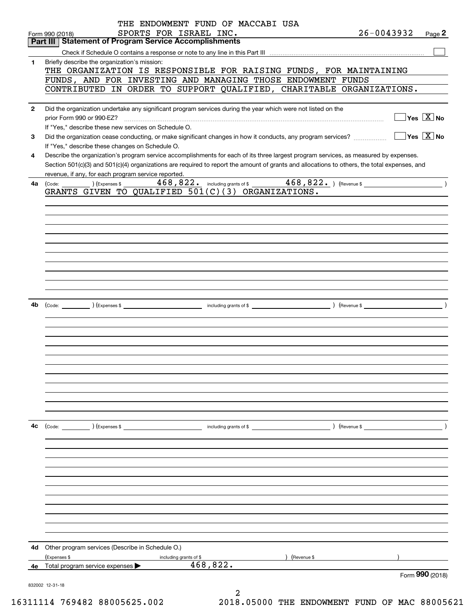|              | THE ENDOWMENT FUND OF MACCABI USA                                                                                                                                                                                                                                                    |                |                                                 |
|--------------|--------------------------------------------------------------------------------------------------------------------------------------------------------------------------------------------------------------------------------------------------------------------------------------|----------------|-------------------------------------------------|
|              | SPORTS FOR ISRAEL INC.<br>Form 990 (2018)                                                                                                                                                                                                                                            | $26 - 0043932$ | Page $2$                                        |
|              | <b>Part III Statement of Program Service Accomplishments</b>                                                                                                                                                                                                                         |                |                                                 |
|              |                                                                                                                                                                                                                                                                                      |                |                                                 |
| 1            | Briefly describe the organization's mission:<br>THE ORGANIZATION IS RESPONSIBLE FOR RAISING FUNDS, FOR MAINTAINING                                                                                                                                                                   |                |                                                 |
|              | FUNDS, AND FOR INVESTING AND MANAGING THOSE ENDOWMENT FUNDS                                                                                                                                                                                                                          |                |                                                 |
|              | CONTRIBUTED IN ORDER TO SUPPORT QUALIFIED, CHARITABLE ORGANIZATIONS.                                                                                                                                                                                                                 |                |                                                 |
|              |                                                                                                                                                                                                                                                                                      |                |                                                 |
| $\mathbf{2}$ | Did the organization undertake any significant program services during the year which were not listed on the                                                                                                                                                                         |                |                                                 |
|              | prior Form 990 or 990-EZ?                                                                                                                                                                                                                                                            |                | $\boxed{\phantom{1}}$ Yes $\boxed{\text{X}}$ No |
|              | If "Yes." describe these new services on Schedule O.                                                                                                                                                                                                                                 |                |                                                 |
| 3            | Did the organization cease conducting, or make significant changes in how it conducts, any program services?                                                                                                                                                                         |                | $\Box$ Yes $\Box$ No                            |
|              | If "Yes," describe these changes on Schedule O.                                                                                                                                                                                                                                      |                |                                                 |
| 4            | Describe the organization's program service accomplishments for each of its three largest program services, as measured by expenses.<br>Section 501(c)(3) and 501(c)(4) organizations are required to report the amount of grants and allocations to others, the total expenses, and |                |                                                 |
|              | revenue, if any, for each program service reported.                                                                                                                                                                                                                                  |                |                                                 |
| 4a           | $\frac{468,822.}{468,822.}$ including grants of \$28,822. Thevenue \$200.000 (Revenue \$200.000)<br>$(\textsf{Expenses $ } \texttt{\&}$<br>(Code:                                                                                                                                    |                |                                                 |
|              | GRANTS GIVEN TO QUALIFIED 501(C)(3) ORGANIZATIONS.                                                                                                                                                                                                                                   |                |                                                 |
|              |                                                                                                                                                                                                                                                                                      |                |                                                 |
|              |                                                                                                                                                                                                                                                                                      |                |                                                 |
|              |                                                                                                                                                                                                                                                                                      |                |                                                 |
|              |                                                                                                                                                                                                                                                                                      |                |                                                 |
|              |                                                                                                                                                                                                                                                                                      |                |                                                 |
|              |                                                                                                                                                                                                                                                                                      |                |                                                 |
|              |                                                                                                                                                                                                                                                                                      |                |                                                 |
|              |                                                                                                                                                                                                                                                                                      |                |                                                 |
|              |                                                                                                                                                                                                                                                                                      |                |                                                 |
|              |                                                                                                                                                                                                                                                                                      |                |                                                 |
| 4b           |                                                                                                                                                                                                                                                                                      |                |                                                 |
|              |                                                                                                                                                                                                                                                                                      |                |                                                 |
|              |                                                                                                                                                                                                                                                                                      |                |                                                 |
|              |                                                                                                                                                                                                                                                                                      |                |                                                 |
|              |                                                                                                                                                                                                                                                                                      |                |                                                 |
|              |                                                                                                                                                                                                                                                                                      |                |                                                 |
|              |                                                                                                                                                                                                                                                                                      |                |                                                 |
|              |                                                                                                                                                                                                                                                                                      |                |                                                 |
|              |                                                                                                                                                                                                                                                                                      |                |                                                 |
|              |                                                                                                                                                                                                                                                                                      |                |                                                 |
|              |                                                                                                                                                                                                                                                                                      |                |                                                 |
|              |                                                                                                                                                                                                                                                                                      |                |                                                 |
| 4с           |                                                                                                                                                                                                                                                                                      |                |                                                 |
|              |                                                                                                                                                                                                                                                                                      |                |                                                 |
|              |                                                                                                                                                                                                                                                                                      |                |                                                 |
|              |                                                                                                                                                                                                                                                                                      |                |                                                 |
|              |                                                                                                                                                                                                                                                                                      |                |                                                 |
|              |                                                                                                                                                                                                                                                                                      |                |                                                 |
|              |                                                                                                                                                                                                                                                                                      |                |                                                 |
|              |                                                                                                                                                                                                                                                                                      |                |                                                 |
|              |                                                                                                                                                                                                                                                                                      |                |                                                 |
|              |                                                                                                                                                                                                                                                                                      |                |                                                 |
|              |                                                                                                                                                                                                                                                                                      |                |                                                 |
|              |                                                                                                                                                                                                                                                                                      |                |                                                 |
|              | 4d Other program services (Describe in Schedule O.)                                                                                                                                                                                                                                  |                |                                                 |
|              | (Expenses \$<br>) (Revenue \$<br>including grants of \$<br>468,822.                                                                                                                                                                                                                  |                |                                                 |
| 4е           | Total program service expenses                                                                                                                                                                                                                                                       |                | Form 990 (2018)                                 |
|              | 832002 12-31-18                                                                                                                                                                                                                                                                      |                |                                                 |
|              | 2                                                                                                                                                                                                                                                                                    |                |                                                 |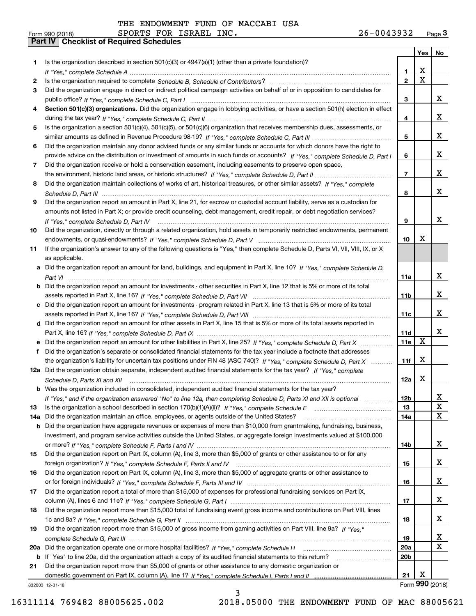|          |                                                                                                                                      |                 | Yes                     | No               |
|----------|--------------------------------------------------------------------------------------------------------------------------------------|-----------------|-------------------------|------------------|
| 1        | Is the organization described in section $501(c)(3)$ or $4947(a)(1)$ (other than a private foundation)?                              |                 |                         |                  |
|          |                                                                                                                                      | 1.              | X                       |                  |
| 2        |                                                                                                                                      | $\overline{2}$  | $\overline{\mathbf{x}}$ |                  |
| 3        | Did the organization engage in direct or indirect political campaign activities on behalf of or in opposition to candidates for      |                 |                         |                  |
|          |                                                                                                                                      | 3               |                         | x                |
|          | Section 501(c)(3) organizations. Did the organization engage in lobbying activities, or have a section 501(h) election in effect     |                 |                         |                  |
|          |                                                                                                                                      | 4               |                         | x                |
| 5        | Is the organization a section 501(c)(4), 501(c)(5), or 501(c)(6) organization that receives membership dues, assessments, or         |                 |                         |                  |
|          |                                                                                                                                      | 5               |                         | x                |
| 6        | Did the organization maintain any donor advised funds or any similar funds or accounts for which donors have the right to            |                 |                         |                  |
|          | provide advice on the distribution or investment of amounts in such funds or accounts? If "Yes," complete Schedule D, Part I         | 6               |                         | x                |
| 7        | Did the organization receive or hold a conservation easement, including easements to preserve open space,                            |                 |                         |                  |
|          |                                                                                                                                      | $\overline{7}$  |                         | x                |
| 8        | Did the organization maintain collections of works of art, historical treasures, or other similar assets? If "Yes," complete         |                 |                         |                  |
|          |                                                                                                                                      | 8               |                         | x                |
| 9        | Did the organization report an amount in Part X, line 21, for escrow or custodial account liability, serve as a custodian for        |                 |                         |                  |
|          | amounts not listed in Part X; or provide credit counseling, debt management, credit repair, or debt negotiation services?            |                 |                         |                  |
|          | If "Yes," complete Schedule D, Part IV                                                                                               | 9               |                         | x                |
| 10       | Did the organization, directly or through a related organization, hold assets in temporarily restricted endowments, permanent        |                 |                         |                  |
|          |                                                                                                                                      | 10              | X                       |                  |
| 11       | If the organization's answer to any of the following questions is "Yes," then complete Schedule D, Parts VI, VII, VIII, IX, or X     |                 |                         |                  |
|          | as applicable.                                                                                                                       |                 |                         |                  |
|          | a Did the organization report an amount for land, buildings, and equipment in Part X, line 10? If "Yes." complete Schedule D.        |                 |                         |                  |
|          |                                                                                                                                      | 11a             |                         | x                |
|          | <b>b</b> Did the organization report an amount for investments - other securities in Part X, line 12 that is 5% or more of its total |                 |                         |                  |
|          |                                                                                                                                      | 11 <sub>b</sub> |                         | x                |
|          | c Did the organization report an amount for investments - program related in Part X, line 13 that is 5% or more of its total         |                 |                         |                  |
|          |                                                                                                                                      | 11c             |                         | x                |
|          | d Did the organization report an amount for other assets in Part X, line 15 that is 5% or more of its total assets reported in       |                 |                         |                  |
|          |                                                                                                                                      | <b>11d</b>      | $\mathbf X$             | x                |
|          | e Did the organization report an amount for other liabilities in Part X, line 25? If "Yes," complete Schedule D, Part X              | 11e             |                         |                  |
| f        | Did the organization's separate or consolidated financial statements for the tax year include a footnote that addresses              |                 | X                       |                  |
|          | the organization's liability for uncertain tax positions under FIN 48 (ASC 740)? If "Yes," complete Schedule D, Part X               | 11f             |                         |                  |
|          | 12a Did the organization obtain separate, independent audited financial statements for the tax year? If "Yes," complete              |                 | X                       |                  |
|          | Schedule D. Parts XI and XII                                                                                                         | 12a             |                         |                  |
|          | <b>b</b> Was the organization included in consolidated, independent audited financial statements for the tax year?                   |                 |                         |                  |
|          | If "Yes," and if the organization answered "No" to line 12a, then completing Schedule D, Parts XI and XII is optional                | 12b             |                         | ᅀ<br>$\mathbf X$ |
| 13       |                                                                                                                                      | 13              |                         | X                |
| 14a      | Did the organization maintain an office, employees, or agents outside of the United States?                                          | 14a             |                         |                  |
| b        | Did the organization have aggregate revenues or expenses of more than \$10,000 from grantmaking, fundraising, business,              |                 |                         |                  |
|          | investment, and program service activities outside the United States, or aggregate foreign investments valued at \$100,000           | 14b             |                         | x                |
| 15       | Did the organization report on Part IX, column (A), line 3, more than \$5,000 of grants or other assistance to or for any            |                 |                         |                  |
|          |                                                                                                                                      | 15              |                         | x                |
| 16       | Did the organization report on Part IX, column (A), line 3, more than \$5,000 of aggregate grants or other assistance to             |                 |                         |                  |
|          |                                                                                                                                      | 16              |                         | x                |
| 17       | Did the organization report a total of more than \$15,000 of expenses for professional fundraising services on Part IX,              |                 |                         |                  |
|          |                                                                                                                                      | 17              |                         | x                |
| 18       | Did the organization report more than \$15,000 total of fundraising event gross income and contributions on Part VIII, lines         |                 |                         |                  |
|          |                                                                                                                                      | 18              |                         | x                |
| 19       | Did the organization report more than \$15,000 of gross income from gaming activities on Part VIII, line 9a? If "Yes."               |                 |                         |                  |
|          |                                                                                                                                      | 19              |                         | X                |
|          | Did the organization operate one or more hospital facilities? If "Yes," complete Schedule H                                          | 20a             |                         | X                |
| 20a<br>b | If "Yes" to line 20a, did the organization attach a copy of its audited financial statements to this return?                         | 20 <sub>b</sub> |                         |                  |
| 21       | Did the organization report more than \$5,000 of grants or other assistance to any domestic organization or                          |                 |                         |                  |
|          |                                                                                                                                      | 21              | x                       |                  |
|          | 832003 12-31-18                                                                                                                      |                 |                         | Form 990 (2018)  |

3 16311114 769482 88005625.002 2018.05000 THE ENDOWMENT FUND OF MAC 88005621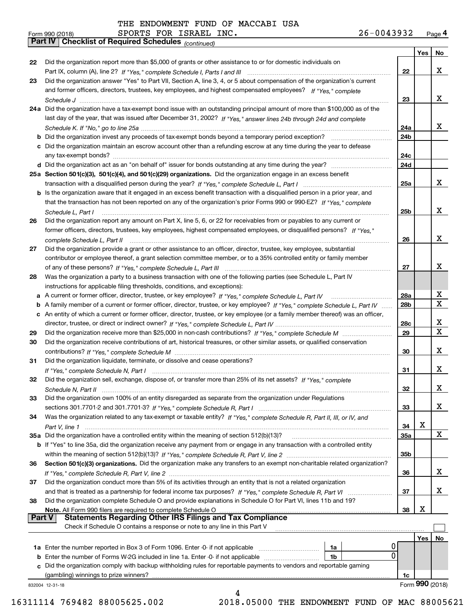*(continued)*

|        |                                                                                                                                                                                                       |                 | Yes | No                      |
|--------|-------------------------------------------------------------------------------------------------------------------------------------------------------------------------------------------------------|-----------------|-----|-------------------------|
| 22     | Did the organization report more than \$5,000 of grants or other assistance to or for domestic individuals on                                                                                         |                 |     |                         |
|        |                                                                                                                                                                                                       | 22              |     | x                       |
| 23     | Did the organization answer "Yes" to Part VII, Section A, line 3, 4, or 5 about compensation of the organization's current                                                                            |                 |     |                         |
|        | and former officers, directors, trustees, key employees, and highest compensated employees? If "Yes," complete                                                                                        |                 |     |                         |
|        |                                                                                                                                                                                                       | 23              |     | x                       |
|        | 24a Did the organization have a tax-exempt bond issue with an outstanding principal amount of more than \$100,000 as of the                                                                           |                 |     |                         |
|        | last day of the year, that was issued after December 31, 2002? If "Yes," answer lines 24b through 24d and complete                                                                                    |                 |     |                         |
|        |                                                                                                                                                                                                       | 24a             |     | x                       |
|        |                                                                                                                                                                                                       | 24b             |     |                         |
|        | c Did the organization maintain an escrow account other than a refunding escrow at any time during the year to defease                                                                                |                 |     |                         |
|        |                                                                                                                                                                                                       | 24с             |     |                         |
|        |                                                                                                                                                                                                       | 24d             |     |                         |
|        | 25a Section 501(c)(3), 501(c)(4), and 501(c)(29) organizations. Did the organization engage in an excess benefit                                                                                      |                 |     |                         |
|        |                                                                                                                                                                                                       | 25a             |     | x                       |
|        | b Is the organization aware that it engaged in an excess benefit transaction with a disqualified person in a prior year, and                                                                          |                 |     |                         |
|        | that the transaction has not been reported on any of the organization's prior Forms 990 or 990-EZ? If "Yes," complete                                                                                 |                 |     |                         |
|        | Schedule L, Part I                                                                                                                                                                                    | 25b             |     | x                       |
| 26     | Did the organization report any amount on Part X, line 5, 6, or 22 for receivables from or payables to any current or                                                                                 |                 |     |                         |
|        | former officers, directors, trustees, key employees, highest compensated employees, or disqualified persons? If "Yes "                                                                                |                 |     |                         |
|        | complete Schedule L, Part II                                                                                                                                                                          | 26              |     | x                       |
| 27     | Did the organization provide a grant or other assistance to an officer, director, trustee, key employee, substantial                                                                                  |                 |     |                         |
|        | contributor or employee thereof, a grant selection committee member, or to a 35% controlled entity or family member                                                                                   |                 |     |                         |
|        |                                                                                                                                                                                                       | 27              |     | x                       |
| 28     | Was the organization a party to a business transaction with one of the following parties (see Schedule L, Part IV                                                                                     |                 |     |                         |
|        | instructions for applicable filing thresholds, conditions, and exceptions):                                                                                                                           |                 |     |                         |
|        | a A current or former officer, director, trustee, or key employee? If "Yes," complete Schedule L, Part IV                                                                                             | 28a             |     | x                       |
| b      | A family member of a current or former officer, director, trustee, or key employee? If "Yes," complete Schedule L, Part IV                                                                            | 28 <sub>b</sub> |     | $\overline{\mathbf{X}}$ |
| c      | An entity of which a current or former officer, director, trustee, or key employee (or a family member thereof) was an officer,                                                                       |                 |     |                         |
|        |                                                                                                                                                                                                       | 28c             |     | x                       |
| 29     |                                                                                                                                                                                                       | 29              |     | X                       |
| 30     | Did the organization receive contributions of art, historical treasures, or other similar assets, or qualified conservation                                                                           |                 |     |                         |
|        |                                                                                                                                                                                                       | 30              |     | x                       |
| 31     | Did the organization liquidate, terminate, or dissolve and cease operations?                                                                                                                          |                 |     |                         |
|        |                                                                                                                                                                                                       | 31              |     | x                       |
| 32     | Did the organization sell, exchange, dispose of, or transfer more than 25% of its net assets? If "Yes," complete                                                                                      |                 |     |                         |
|        |                                                                                                                                                                                                       | 32              |     | x                       |
| 33     | Did the organization own 100% of an entity disregarded as separate from the organization under Regulations                                                                                            |                 |     |                         |
|        |                                                                                                                                                                                                       | 33              |     | x                       |
| 34     | Was the organization related to any tax-exempt or taxable entity? If "Yes," complete Schedule R, Part II, III, or IV, and                                                                             |                 |     |                         |
|        |                                                                                                                                                                                                       | 34              | x   |                         |
|        | 35a Did the organization have a controlled entity within the meaning of section 512(b)(13)?                                                                                                           | <b>35a</b>      |     | x                       |
|        | b If "Yes" to line 35a, did the organization receive any payment from or engage in any transaction with a controlled entity                                                                           |                 |     |                         |
|        |                                                                                                                                                                                                       | 35b             |     |                         |
| 36     | Section 501(c)(3) organizations. Did the organization make any transfers to an exempt non-charitable related organization?                                                                            |                 |     |                         |
|        |                                                                                                                                                                                                       | 36              |     | X.                      |
| 37     | Did the organization conduct more than 5% of its activities through an entity that is not a related organization                                                                                      |                 |     |                         |
|        |                                                                                                                                                                                                       | 37              |     | X.                      |
| 38     | Did the organization complete Schedule O and provide explanations in Schedule O for Part VI, lines 11b and 19?                                                                                        |                 | х   |                         |
| Part V | Note. All Form 990 filers are required to complete Schedule O<br><b>Statements Regarding Other IRS Filings and Tax Compliance</b>                                                                     | 38              |     |                         |
|        | Check if Schedule O contains a response or note to any line in this Part V                                                                                                                            |                 |     |                         |
|        |                                                                                                                                                                                                       |                 |     |                         |
|        |                                                                                                                                                                                                       |                 | Yes | No                      |
|        | 1a Enter the number reported in Box 3 of Form 1096. Enter -0- if not applicable<br>1a<br>0<br>1b                                                                                                      |                 |     |                         |
| b      | Enter the number of Forms W-2G included in line 1a. Enter -0- if not applicable<br>Did the organization comply with backup withholding rules for reportable payments to vendors and reportable gaming |                 |     |                         |
| c      | (gambling) winnings to prize winners?                                                                                                                                                                 | 1c              |     |                         |
|        | 832004 12-31-18                                                                                                                                                                                       |                 |     | Form 990 (2018)         |
|        | 4                                                                                                                                                                                                     |                 |     |                         |
|        |                                                                                                                                                                                                       |                 |     |                         |

16311114 769482 88005625.002 2018.05000 THE ENDOWMENT FUND OF MAC 88005621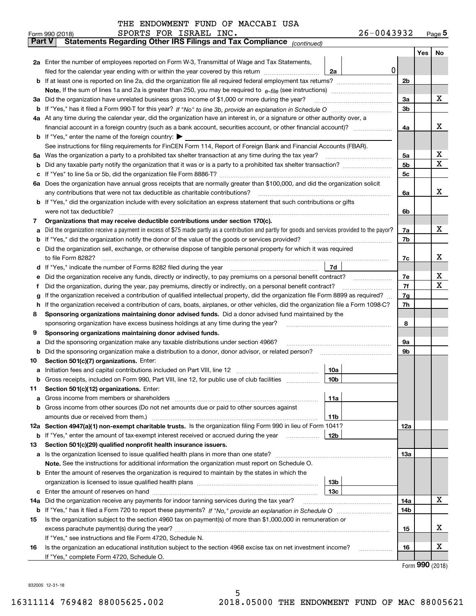| THE ENDOWMENT FUND OF MACCABI USA |  |  |
|-----------------------------------|--|--|
|-----------------------------------|--|--|

|               | $26 - 0043932$<br>SPORTS FOR ISRAEL INC.<br>Form 990 (2018)                                                                                     |   |            |     | $Page$ <sup>5</sup> |  |  |  |  |  |
|---------------|-------------------------------------------------------------------------------------------------------------------------------------------------|---|------------|-----|---------------------|--|--|--|--|--|
| <b>Part V</b> | Statements Regarding Other IRS Filings and Tax Compliance (continued)                                                                           |   |            |     |                     |  |  |  |  |  |
|               |                                                                                                                                                 |   |            | Yes | No                  |  |  |  |  |  |
|               | 2a Enter the number of employees reported on Form W-3, Transmittal of Wage and Tax Statements,                                                  |   |            |     |                     |  |  |  |  |  |
|               | filed for the calendar year ending with or within the year covered by this return<br>2a                                                         | 0 |            |     |                     |  |  |  |  |  |
|               |                                                                                                                                                 |   | 2b         |     |                     |  |  |  |  |  |
|               |                                                                                                                                                 |   | 3a         |     | х                   |  |  |  |  |  |
|               | 3a Did the organization have unrelated business gross income of \$1,000 or more during the year?                                                |   |            |     |                     |  |  |  |  |  |
|               |                                                                                                                                                 |   |            |     |                     |  |  |  |  |  |
|               | 4a At any time during the calendar year, did the organization have an interest in, or a signature or other authority over, a                    |   | 4a         |     | x                   |  |  |  |  |  |
|               |                                                                                                                                                 |   |            |     |                     |  |  |  |  |  |
|               | <b>b</b> If "Yes," enter the name of the foreign country: $\blacktriangleright$                                                                 |   |            |     |                     |  |  |  |  |  |
|               | See instructions for filing requirements for FinCEN Form 114, Report of Foreign Bank and Financial Accounts (FBAR).                             |   |            |     |                     |  |  |  |  |  |
| 5a            | Was the organization a party to a prohibited tax shelter transaction at any time during the tax year?                                           |   | 5а         |     | X                   |  |  |  |  |  |
| b             |                                                                                                                                                 |   | 5b         |     | X                   |  |  |  |  |  |
| c             |                                                                                                                                                 |   | 5c         |     |                     |  |  |  |  |  |
|               | 6a Does the organization have annual gross receipts that are normally greater than \$100,000, and did the organization solicit                  |   |            |     |                     |  |  |  |  |  |
|               | any contributions that were not tax deductible as charitable contributions?                                                                     |   | 6a         |     | x                   |  |  |  |  |  |
|               | b If "Yes," did the organization include with every solicitation an express statement that such contributions or gifts                          |   |            |     |                     |  |  |  |  |  |
|               | were not tax deductible?                                                                                                                        |   | 6b         |     |                     |  |  |  |  |  |
| 7             | Organizations that may receive deductible contributions under section 170(c).                                                                   |   |            |     |                     |  |  |  |  |  |
| a             | Did the organization receive a payment in excess of \$75 made partly as a contribution and partly for goods and services provided to the payor? |   | 7a         |     | х                   |  |  |  |  |  |
| b             | If "Yes," did the organization notify the donor of the value of the goods or services provided?                                                 |   | 7b         |     |                     |  |  |  |  |  |
|               | Did the organization sell, exchange, or otherwise dispose of tangible personal property for which it was required                               |   |            |     |                     |  |  |  |  |  |
|               |                                                                                                                                                 |   | 7c         |     | х                   |  |  |  |  |  |
| d             | 7d                                                                                                                                              |   |            |     |                     |  |  |  |  |  |
| е             | Did the organization receive any funds, directly or indirectly, to pay premiums on a personal benefit contract?                                 |   | 7e         |     | X                   |  |  |  |  |  |
| f             | Did the organization, during the year, pay premiums, directly or indirectly, on a personal benefit contract?                                    |   | 7f<br>7g   |     | X                   |  |  |  |  |  |
| g             | If the organization received a contribution of qualified intellectual property, did the organization file Form 8899 as required?                |   |            |     |                     |  |  |  |  |  |
| h.            | If the organization received a contribution of cars, boats, airplanes, or other vehicles, did the organization file a Form 1098-C?              |   | 7h         |     |                     |  |  |  |  |  |
| 8             | Sponsoring organizations maintaining donor advised funds. Did a donor advised fund maintained by the                                            |   |            |     |                     |  |  |  |  |  |
|               | sponsoring organization have excess business holdings at any time during the year?                                                              |   | 8          |     |                     |  |  |  |  |  |
| 9             | Sponsoring organizations maintaining donor advised funds.                                                                                       |   |            |     |                     |  |  |  |  |  |
| a             | Did the sponsoring organization make any taxable distributions under section 4966?                                                              |   | 9а         |     |                     |  |  |  |  |  |
| b             | Did the sponsoring organization make a distribution to a donor, donor advisor, or related person?                                               |   | 9b         |     |                     |  |  |  |  |  |
| 10            | Section 501(c)(7) organizations. Enter:                                                                                                         |   |            |     |                     |  |  |  |  |  |
|               | 10a                                                                                                                                             |   |            |     |                     |  |  |  |  |  |
|               | 10b <br>Gross receipts, included on Form 990, Part VIII, line 12, for public use of club facilities                                             |   |            |     |                     |  |  |  |  |  |
| 11            | Section 501(c)(12) organizations. Enter:                                                                                                        |   |            |     |                     |  |  |  |  |  |
| a             | Gross income from members or shareholders<br>11a                                                                                                |   |            |     |                     |  |  |  |  |  |
|               | b Gross income from other sources (Do not net amounts due or paid to other sources against                                                      |   |            |     |                     |  |  |  |  |  |
|               | 11b                                                                                                                                             |   |            |     |                     |  |  |  |  |  |
|               | 12a Section 4947(a)(1) non-exempt charitable trusts. Is the organization filing Form 990 in lieu of Form 1041?                                  |   | 12a        |     |                     |  |  |  |  |  |
|               | 12 <sub>b</sub><br><b>b</b> If "Yes," enter the amount of tax-exempt interest received or accrued during the year <i>manument</i>               |   |            |     |                     |  |  |  |  |  |
| 13            | Section 501(c)(29) qualified nonprofit health insurance issuers.                                                                                |   |            |     |                     |  |  |  |  |  |
|               | <b>a</b> Is the organization licensed to issue qualified health plans in more than one state?                                                   |   | <b>13a</b> |     |                     |  |  |  |  |  |
|               | Note. See the instructions for additional information the organization must report on Schedule O.                                               |   |            |     |                     |  |  |  |  |  |
|               | <b>b</b> Enter the amount of reserves the organization is required to maintain by the states in which the                                       |   |            |     |                     |  |  |  |  |  |
|               | 13 <sub>b</sub>                                                                                                                                 |   |            |     |                     |  |  |  |  |  |
|               | 13c                                                                                                                                             |   |            |     |                     |  |  |  |  |  |
| 14a           | Did the organization receive any payments for indoor tanning services during the tax year?                                                      |   | 14a        |     | х                   |  |  |  |  |  |
|               |                                                                                                                                                 |   | 14b        |     |                     |  |  |  |  |  |
| 15            | Is the organization subject to the section 4960 tax on payment(s) of more than \$1,000,000 in remuneration or                                   |   |            |     |                     |  |  |  |  |  |
|               |                                                                                                                                                 |   | 15         |     | х                   |  |  |  |  |  |
|               | If "Yes," see instructions and file Form 4720, Schedule N.                                                                                      |   |            |     |                     |  |  |  |  |  |
| 16            | Is the organization an educational institution subject to the section 4968 excise tax on net investment income?                                 |   | 16         |     | X                   |  |  |  |  |  |
|               | If "Yes," complete Form 4720, Schedule O.                                                                                                       |   |            |     |                     |  |  |  |  |  |

Form (2018) **990**

832005 12-31-18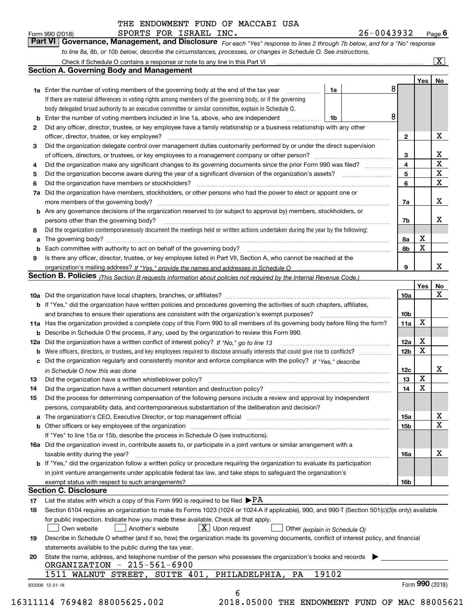*For each "Yes" response to lines 2 through 7b below, and for a "No" response to line 8a, 8b, or 10b below, describe the circumstances, processes, or changes in Schedule O. See instructions.* Form 990 (2018) **CONDICT BEORTS FOR ISRAEL INC.**<br>**Part VI Governance, Management, and Disclosure** For each "Yes" response to lines 2 through 7b below, and for a "No" response

|    |                                                                                                                                                                                                                      |       |  | 8 |                 | Yes   No |                  |  |
|----|----------------------------------------------------------------------------------------------------------------------------------------------------------------------------------------------------------------------|-------|--|---|-----------------|----------|------------------|--|
|    | <b>1a</b> Enter the number of voting members of the governing body at the end of the tax year                                                                                                                        | 1a    |  |   |                 |          |                  |  |
|    | If there are material differences in voting rights among members of the governing body, or if the governing<br>body delegated broad authority to an executive committee or similar committee, explain in Schedule O. |       |  |   |                 |          |                  |  |
|    |                                                                                                                                                                                                                      |       |  | 8 |                 |          |                  |  |
|    | <b>b</b> Enter the number of voting members included in line 1a, above, who are independent <i>manumum</i>                                                                                                           | 1b    |  |   |                 |          |                  |  |
| 2  | Did any officer, director, trustee, or key employee have a family relationship or a business relationship with any other                                                                                             |       |  |   |                 |          | X                |  |
|    | officer, director, trustee, or key employee?                                                                                                                                                                         |       |  |   | $\mathbf{2}$    |          |                  |  |
| 3  | Did the organization delegate control over management duties customarily performed by or under the direct supervision                                                                                                |       |  |   |                 |          |                  |  |
|    |                                                                                                                                                                                                                      |       |  |   | 3               |          | X<br>$\mathbf X$ |  |
| 4  | Did the organization make any significant changes to its governing documents since the prior Form 990 was filed?                                                                                                     |       |  |   | $\overline{4}$  |          |                  |  |
| 5  |                                                                                                                                                                                                                      |       |  |   | 5               |          | $\mathbf X$      |  |
| 6  |                                                                                                                                                                                                                      |       |  |   | 6               |          | $\mathbf X$      |  |
| 7a | Did the organization have members, stockholders, or other persons who had the power to elect or appoint one or                                                                                                       |       |  |   |                 |          |                  |  |
|    |                                                                                                                                                                                                                      |       |  |   | 7a              |          | x                |  |
|    | <b>b</b> Are any governance decisions of the organization reserved to (or subject to approval by) members, stockholders, or                                                                                          |       |  |   |                 |          |                  |  |
|    | persons other than the governing body?                                                                                                                                                                               |       |  |   | 7b              |          | х                |  |
| 8  | Did the organization contemporaneously document the meetings held or written actions undertaken during the year by the following:                                                                                    |       |  |   |                 |          |                  |  |
| a  |                                                                                                                                                                                                                      |       |  |   | 8a              | X        |                  |  |
|    |                                                                                                                                                                                                                      |       |  |   | 8b              | X        |                  |  |
| 9  | Is there any officer, director, trustee, or key employee listed in Part VII, Section A, who cannot be reached at the                                                                                                 |       |  |   |                 |          |                  |  |
|    |                                                                                                                                                                                                                      |       |  |   | 9               |          | x                |  |
|    | Section B. Policies (This Section B requests information about policies not required by the Internal Revenue Code.)                                                                                                  |       |  |   |                 |          |                  |  |
|    |                                                                                                                                                                                                                      |       |  |   |                 | Yes      | No               |  |
|    |                                                                                                                                                                                                                      |       |  |   | 10a             |          | X                |  |
|    | <b>b</b> If "Yes," did the organization have written policies and procedures governing the activities of such chapters, affiliates,                                                                                  |       |  |   |                 |          |                  |  |
|    |                                                                                                                                                                                                                      |       |  |   | 10 <sub>b</sub> |          |                  |  |
|    | 11a Has the organization provided a complete copy of this Form 990 to all members of its governing body before filing the form?                                                                                      |       |  |   | 11a             | X        |                  |  |
|    | <b>b</b> Describe in Schedule O the process, if any, used by the organization to review this Form 990.                                                                                                               |       |  |   |                 |          |                  |  |
|    |                                                                                                                                                                                                                      |       |  |   | 12a             | X        |                  |  |
| b  |                                                                                                                                                                                                                      |       |  |   | 12 <sub>b</sub> | х        |                  |  |
|    | c Did the organization regularly and consistently monitor and enforce compliance with the policy? If "Yes." describe                                                                                                 |       |  |   |                 |          |                  |  |
|    | in Schedule O how this was done manufactured and continuum control of the Schedule O how this was done manufactured and continuum control of the Schedule O how this was done                                        |       |  |   | 12c             |          | х                |  |
| 13 |                                                                                                                                                                                                                      |       |  |   | 13              | X        |                  |  |
| 14 | Did the organization have a written document retention and destruction policy? manufactured and the organization have a written document retention and destruction policy?                                           |       |  |   | 14              | X        |                  |  |
| 15 | Did the process for determining compensation of the following persons include a review and approval by independent                                                                                                   |       |  |   |                 |          |                  |  |
|    | persons, comparability data, and contemporaneous substantiation of the deliberation and decision?                                                                                                                    |       |  |   |                 |          |                  |  |
|    |                                                                                                                                                                                                                      |       |  |   | <b>15a</b>      |          | X                |  |
|    |                                                                                                                                                                                                                      |       |  |   | 15 <sub>b</sub> |          | $\mathbf X$      |  |
|    | If "Yes" to line 15a or 15b, describe the process in Schedule O (see instructions).                                                                                                                                  |       |  |   |                 |          |                  |  |
|    | 16a Did the organization invest in, contribute assets to, or participate in a joint venture or similar arrangement with a                                                                                            |       |  |   |                 |          |                  |  |
|    | taxable entity during the year?                                                                                                                                                                                      |       |  |   | 16a             |          | х                |  |
|    | b If "Yes," did the organization follow a written policy or procedure requiring the organization to evaluate its participation                                                                                       |       |  |   |                 |          |                  |  |
|    | in joint venture arrangements under applicable federal tax law, and take steps to safeguard the organization's                                                                                                       |       |  |   |                 |          |                  |  |
|    | exempt status with respect to such arrangements?                                                                                                                                                                     |       |  |   | 16 <sub>b</sub> |          |                  |  |
|    | <b>Section C. Disclosure</b>                                                                                                                                                                                         |       |  |   |                 |          |                  |  |
| 17 | List the states with which a copy of this Form 990 is required to be filed $\blacktriangleright$ PA                                                                                                                  |       |  |   |                 |          |                  |  |
| 18 | Section 6104 requires an organization to make its Forms 1023 (1024 or 1024 A if applicable), 990, and 990-T (Section 501(c)(3)s only) available                                                                      |       |  |   |                 |          |                  |  |
|    | for public inspection. Indicate how you made these available. Check all that apply.                                                                                                                                  |       |  |   |                 |          |                  |  |
|    | $X$ Upon request<br>Another's website<br>Own website<br>Other (explain in Schedule O)                                                                                                                                |       |  |   |                 |          |                  |  |
| 19 | Describe in Schedule O whether (and if so, how) the organization made its governing documents, conflict of interest policy, and financial                                                                            |       |  |   |                 |          |                  |  |
|    |                                                                                                                                                                                                                      |       |  |   |                 |          |                  |  |
|    | statements available to the public during the tax year.                                                                                                                                                              |       |  |   |                 |          |                  |  |
| 20 | State the name, address, and telephone number of the person who possesses the organization's books and records<br>ORGANIZATION - 215-561-6900                                                                        |       |  |   |                 |          |                  |  |
|    | 1511 WALNUT STREET, SUITE 401,<br>PHILADELPHIA,<br>PA                                                                                                                                                                | 19102 |  |   |                 |          |                  |  |
|    |                                                                                                                                                                                                                      |       |  |   |                 |          |                  |  |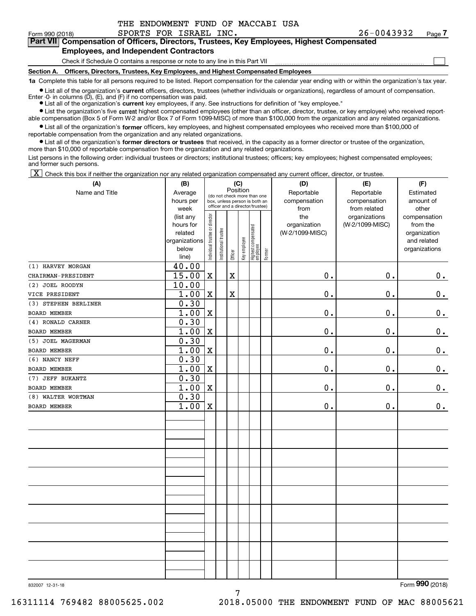$\mathcal{L}^{\text{max}}$ 

# Form 990 (2018) SPORTS FOR ISRAEL INC. 26-0043932 <sub>Page</sub> **7Part VII Compensation of Officers, Directors, Trustees, Key Employees, Highest Compensated**

#### **Employees, and Independent Contractors**

Check if Schedule O contains a response or note to any line in this Part VII

**Section A. Officers, Directors, Trustees, Key Employees, and Highest Compensated Employees**

**1a**  Complete this table for all persons required to be listed. Report compensation for the calendar year ending with or within the organization's tax year.

**•** List all of the organization's current officers, directors, trustees (whether individuals or organizations), regardless of amount of compensation. Enter -0- in columns (D), (E), and (F) if no compensation was paid.

**(A)**

● List all of the organization's **current** key employees, if any. See instructions for definition of "key employee."

**•** List the organization's five current highest compensated employees (other than an officer, director, trustee, or key employee) who received reportable compensation (Box 5 of Form W-2 and/or Box 7 of Form 1099-MISC) of more than \$100,000 from the organization and any related organizations.

 $\bullet$  List all of the organization's **former** officers, key employees, and highest compensated employees who received more than \$100,000 of reportable compensation from the organization and any related organizations.

**•** List all of the organization's former directors or trustees that received, in the capacity as a former director or trustee of the organization, more than \$10,000 of reportable compensation from the organization and any related organizations.

List persons in the following order: individual trustees or directors; institutional trustees; officers; key employees; highest compensated employees; and former such persons.

 $\boxed{\textbf{X}}$  Check this box if neither the organization nor any related organization compensated any current officer, director, or trustee.

| (A)                  | (B)               |                                |                                                                  |             | (C)          |                                 |           | (D)             | (E)                           | (F)                   |
|----------------------|-------------------|--------------------------------|------------------------------------------------------------------|-------------|--------------|---------------------------------|-----------|-----------------|-------------------------------|-----------------------|
| Name and Title       | Average           |                                | Position<br>(do not check more than one                          |             |              |                                 |           | Reportable      | Reportable                    | Estimated             |
|                      | hours per         |                                | box, unless person is both an<br>officer and a director/trustee) |             | compensation | compensation                    | amount of |                 |                               |                       |
|                      | week<br>(list any |                                |                                                                  |             |              |                                 |           | from<br>the     | from related<br>organizations | other<br>compensation |
|                      | hours for         |                                |                                                                  |             |              |                                 |           | organization    | (W-2/1099-MISC)               | from the              |
|                      | related           |                                |                                                                  |             |              |                                 |           | (W-2/1099-MISC) |                               | organization          |
|                      | organizations     |                                |                                                                  |             |              |                                 |           |                 |                               | and related           |
|                      | below             | Individual trustee or director | Institutional trustee                                            |             | Key employee | Highest compensated<br>employee |           |                 |                               | organizations         |
|                      | line)             |                                |                                                                  | Officer     |              |                                 | Former    |                 |                               |                       |
| (1) HARVEY MORGAN    | 40.00             |                                |                                                                  |             |              |                                 |           |                 |                               |                       |
| CHAIRMAN-PRESIDENT   | 15.00             | $\mathbf X$                    |                                                                  | $\mathbf X$ |              |                                 |           | $\mathbf 0$ .   | 0.                            | $0_{\cdot}$           |
| (2) JOEL ROODYN      | 10.00             |                                |                                                                  |             |              |                                 |           |                 |                               |                       |
| VICE PRESIDENT       | 1.00              | $\mathbf x$                    |                                                                  | $\mathbf X$ |              |                                 |           | $\mathbf 0$ .   | $\mathbf 0$ .                 | $0_{.}$               |
| (3) STEPHEN BERLINER | 0.30              |                                |                                                                  |             |              |                                 |           |                 |                               |                       |
| <b>BOARD MEMBER</b>  | 1.00              | $\mathbf X$                    |                                                                  |             |              |                                 |           | $\mathbf 0$ .   | $\mathbf 0$ .                 | $\mathbf 0$ .         |
| (4) RONALD CARNER    | 0.30              |                                |                                                                  |             |              |                                 |           |                 |                               |                       |
| <b>BOARD MEMBER</b>  | 1.00              | $\mathbf X$                    |                                                                  |             |              |                                 |           | $\mathbf 0$ .   | $\mathbf 0$ .                 | $\mathbf 0$ .         |
| (5) JOEL MAGERMAN    | 0.30              |                                |                                                                  |             |              |                                 |           |                 |                               |                       |
| BOARD MEMBER         | 1.00              | $\mathbf X$                    |                                                                  |             |              |                                 |           | $\mathbf 0$ .   | $\mathbf 0$ .                 | 0.                    |
| (6) NANCY NEFF       | 0.30              |                                |                                                                  |             |              |                                 |           |                 |                               |                       |
| BOARD MEMBER         | 1.00              | $\mathbf x$                    |                                                                  |             |              |                                 |           | $\mathbf 0$ .   | $\mathbf 0$ .                 | $0_{.}$               |
| (7) JEFF BUKANTZ     | 0.30              |                                |                                                                  |             |              |                                 |           |                 |                               |                       |
| BOARD MEMBER         | 1.00              | $\mathbf X$                    |                                                                  |             |              |                                 |           | $\mathbf 0$ .   | $\mathbf 0$ .                 | $\mathbf 0$ .         |
| (8) WALTER WORTMAN   | 0.30              |                                |                                                                  |             |              |                                 |           |                 |                               |                       |
| BOARD MEMBER         | 1.00              | $\mathbf X$                    |                                                                  |             |              |                                 |           | $\mathbf 0$ .   | $\mathbf 0$ .                 | $0_{.}$               |
|                      |                   |                                |                                                                  |             |              |                                 |           |                 |                               |                       |
|                      |                   |                                |                                                                  |             |              |                                 |           |                 |                               |                       |
|                      |                   |                                |                                                                  |             |              |                                 |           |                 |                               |                       |
|                      |                   |                                |                                                                  |             |              |                                 |           |                 |                               |                       |
|                      |                   |                                |                                                                  |             |              |                                 |           |                 |                               |                       |
|                      |                   |                                |                                                                  |             |              |                                 |           |                 |                               |                       |
|                      |                   |                                |                                                                  |             |              |                                 |           |                 |                               |                       |
|                      |                   |                                |                                                                  |             |              |                                 |           |                 |                               |                       |
|                      |                   |                                |                                                                  |             |              |                                 |           |                 |                               |                       |
|                      |                   |                                |                                                                  |             |              |                                 |           |                 |                               |                       |
|                      |                   |                                |                                                                  |             |              |                                 |           |                 |                               |                       |
|                      |                   |                                |                                                                  |             |              |                                 |           |                 |                               |                       |
|                      |                   |                                |                                                                  |             |              |                                 |           |                 |                               |                       |
|                      |                   |                                |                                                                  |             |              |                                 |           |                 |                               |                       |
|                      |                   |                                |                                                                  |             |              |                                 |           |                 |                               |                       |
|                      |                   |                                |                                                                  |             |              |                                 |           |                 |                               |                       |
|                      |                   |                                |                                                                  |             |              |                                 |           |                 |                               |                       |
|                      |                   |                                |                                                                  |             |              |                                 |           |                 |                               |                       |

832007 12-31-18

Form (2018) **990**

7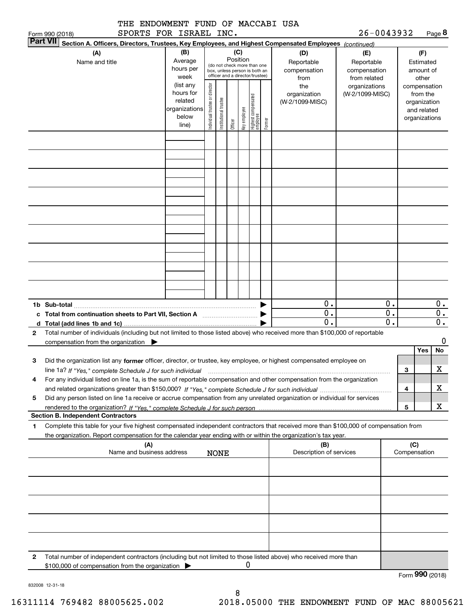|                                                                                                                                                                                                     | THE ENDOWMENT FUND OF MACCABI USA               |                                                                      |                                |                       |                 |              |                                                                                                 |        |                                                                                                                                                                                                                                            | 26-0043932                                        |                  |                                                                          |                           |
|-----------------------------------------------------------------------------------------------------------------------------------------------------------------------------------------------------|-------------------------------------------------|----------------------------------------------------------------------|--------------------------------|-----------------------|-----------------|--------------|-------------------------------------------------------------------------------------------------|--------|--------------------------------------------------------------------------------------------------------------------------------------------------------------------------------------------------------------------------------------------|---------------------------------------------------|------------------|--------------------------------------------------------------------------|---------------------------|
| Form 990 (2018)<br><b>Part VII</b>                                                                                                                                                                  | SPORTS FOR ISRAEL INC.                          |                                                                      |                                |                       |                 |              |                                                                                                 |        |                                                                                                                                                                                                                                            |                                                   |                  |                                                                          | Page 8                    |
| (A)<br>Name and title                                                                                                                                                                               |                                                 | (B)<br>Average<br>hours per<br>week                                  |                                |                       | (C)<br>Position |              | (do not check more than one<br>box, unless person is both an<br>officer and a director/trustee) |        | Section A. Officers, Directors, Trustees, Key Employees, and Highest Compensated Employees (continued)<br>(D)<br>Reportable<br>compensation<br>from                                                                                        | (E)<br>Reportable<br>compensation<br>from related |                  | (F)<br>Estimated<br>amount of<br>other                                   |                           |
|                                                                                                                                                                                                     |                                                 | (list any<br>hours for<br>related<br>organizations<br>below<br>line) | Individual trustee or director | Institutional trustee | Officer         | Key employee | Highest compensated<br>employee                                                                 | Former | the<br>organization<br>(W-2/1099-MISC)                                                                                                                                                                                                     | organizations<br>(W-2/1099-MISC)                  |                  | compensation<br>from the<br>organization<br>and related<br>organizations |                           |
|                                                                                                                                                                                                     |                                                 |                                                                      |                                |                       |                 |              |                                                                                                 |        |                                                                                                                                                                                                                                            |                                                   |                  |                                                                          |                           |
|                                                                                                                                                                                                     |                                                 |                                                                      |                                |                       |                 |              |                                                                                                 |        |                                                                                                                                                                                                                                            |                                                   |                  |                                                                          |                           |
|                                                                                                                                                                                                     |                                                 |                                                                      |                                |                       |                 |              |                                                                                                 |        |                                                                                                                                                                                                                                            |                                                   |                  |                                                                          |                           |
|                                                                                                                                                                                                     |                                                 |                                                                      |                                |                       |                 |              |                                                                                                 |        |                                                                                                                                                                                                                                            |                                                   |                  |                                                                          |                           |
|                                                                                                                                                                                                     |                                                 |                                                                      |                                |                       |                 |              |                                                                                                 |        | 0.<br>$\overline{0}$ .                                                                                                                                                                                                                     |                                                   | 0.<br>0.         |                                                                          | $0$ .<br>$\overline{0}$ . |
|                                                                                                                                                                                                     |                                                 |                                                                      |                                |                       |                 |              |                                                                                                 |        | $\mathbf 0$ .                                                                                                                                                                                                                              |                                                   | $\overline{0}$ . |                                                                          | $\overline{\mathbf{0}}$ . |
| 2                                                                                                                                                                                                   | compensation from the organization              |                                                                      |                                |                       |                 |              |                                                                                                 |        | Total number of individuals (including but not limited to those listed above) who received more than \$100,000 of reportable                                                                                                               |                                                   |                  |                                                                          | 0                         |
| з                                                                                                                                                                                                   |                                                 |                                                                      |                                |                       |                 |              |                                                                                                 |        | Did the organization list any former officer, director, or trustee, key employee, or highest compensated employee on                                                                                                                       |                                                   |                  | <b>Yes</b>                                                               | No                        |
| 4                                                                                                                                                                                                   |                                                 |                                                                      |                                |                       |                 |              |                                                                                                 |        | line 1a? If "Yes," complete Schedule J for such individual manumanament contained and the numerous complete sc<br>For any individual listed on line 1a, is the sum of reportable compensation and other compensation from the organization |                                                   |                  | з                                                                        | X                         |
| 5                                                                                                                                                                                                   |                                                 |                                                                      |                                |                       |                 |              |                                                                                                 |        | Did any person listed on line 1a receive or accrue compensation from any unrelated organization or individual for services                                                                                                                 |                                                   |                  | 4                                                                        | х                         |
| <b>Section B. Independent Contractors</b>                                                                                                                                                           |                                                 |                                                                      |                                |                       |                 |              |                                                                                                 |        |                                                                                                                                                                                                                                            |                                                   |                  | 5                                                                        | X                         |
| 1                                                                                                                                                                                                   |                                                 |                                                                      |                                |                       |                 |              |                                                                                                 |        | Complete this table for your five highest compensated independent contractors that received more than \$100,000 of compensation from                                                                                                       |                                                   |                  |                                                                          |                           |
| the organization. Report compensation for the calendar year ending with or within the organization's tax year.<br>(A)<br>(B)<br>Name and business address<br>Description of services<br><b>NONE</b> |                                                 |                                                                      |                                |                       |                 |              |                                                                                                 |        |                                                                                                                                                                                                                                            | (C)<br>Compensation                               |                  |                                                                          |                           |
|                                                                                                                                                                                                     |                                                 |                                                                      |                                |                       |                 |              |                                                                                                 |        |                                                                                                                                                                                                                                            |                                                   |                  |                                                                          |                           |
|                                                                                                                                                                                                     |                                                 |                                                                      |                                |                       |                 |              |                                                                                                 |        |                                                                                                                                                                                                                                            |                                                   |                  |                                                                          |                           |
|                                                                                                                                                                                                     |                                                 |                                                                      |                                |                       |                 |              |                                                                                                 |        |                                                                                                                                                                                                                                            |                                                   |                  |                                                                          |                           |
|                                                                                                                                                                                                     |                                                 |                                                                      |                                |                       |                 |              |                                                                                                 |        |                                                                                                                                                                                                                                            |                                                   |                  |                                                                          |                           |
| 2                                                                                                                                                                                                   | \$100,000 of compensation from the organization |                                                                      |                                |                       |                 | 0            |                                                                                                 |        | Total number of independent contractors (including but not limited to those listed above) who received more than                                                                                                                           |                                                   |                  |                                                                          |                           |
|                                                                                                                                                                                                     |                                                 |                                                                      |                                |                       |                 |              |                                                                                                 |        |                                                                                                                                                                                                                                            |                                                   |                  |                                                                          | Form 990 (2018)           |

832008 12-31-18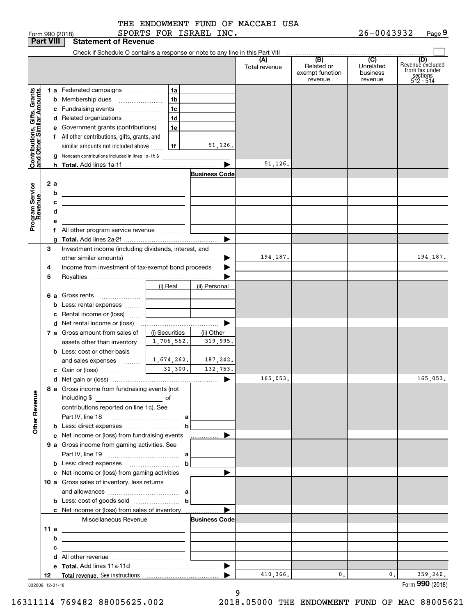|                                                           | <b>Part VIII</b> | <b>Statement of Revenue</b>                                                                                          |                                            |                       |                      |                                                 |                                         |                                                                    |
|-----------------------------------------------------------|------------------|----------------------------------------------------------------------------------------------------------------------|--------------------------------------------|-----------------------|----------------------|-------------------------------------------------|-----------------------------------------|--------------------------------------------------------------------|
|                                                           |                  | Check if Schedule O contains a response or note to any line in this Part VIII                                        |                                            |                       | (A)<br>Total revenue | (B)<br>Related or<br>exempt function<br>revenue | (C)<br>Unrelated<br>business<br>revenue | (D)<br>Revenuè excluded<br>from tax under<br>sections<br>512 - 514 |
|                                                           |                  | 1 a Federated campaigns                                                                                              | 1a                                         |                       |                      |                                                 |                                         |                                                                    |
|                                                           |                  | <b>b</b> Membership dues                                                                                             | 1 <sub>b</sub>                             |                       |                      |                                                 |                                         |                                                                    |
|                                                           |                  | c Fundraising events                                                                                                 | 1 <sub>c</sub>                             |                       |                      |                                                 |                                         |                                                                    |
|                                                           |                  | d Related organizations                                                                                              | 1 <sub>d</sub><br>$\overline{\phantom{a}}$ |                       |                      |                                                 |                                         |                                                                    |
|                                                           |                  | e Government grants (contributions)                                                                                  | 1e                                         |                       |                      |                                                 |                                         |                                                                    |
|                                                           |                  | f All other contributions, gifts, grants, and                                                                        |                                            |                       |                      |                                                 |                                         |                                                                    |
|                                                           |                  | similar amounts not included above                                                                                   | 1f                                         | 51, 126.              |                      |                                                 |                                         |                                                                    |
|                                                           |                  | g Noncash contributions included in lines 1a-1f: \$                                                                  |                                            |                       |                      |                                                 |                                         |                                                                    |
| Contributions, Gifts, Grants<br>and Other Similar Amounts |                  |                                                                                                                      |                                            | ▶                     | 51,126.              |                                                 |                                         |                                                                    |
|                                                           |                  |                                                                                                                      |                                            | <b>Business Code</b>  |                      |                                                 |                                         |                                                                    |
|                                                           | 2 a              | <u> 1989 - Johann Barn, amerikansk politiker (</u>                                                                   |                                            |                       |                      |                                                 |                                         |                                                                    |
|                                                           | b                |                                                                                                                      |                                            |                       |                      |                                                 |                                         |                                                                    |
|                                                           | с                | <u> 1989 - Johann Stein, mars an deus an deus an deus an deus an deus an deus an deus an deus an deus an deus an</u> |                                            |                       |                      |                                                 |                                         |                                                                    |
|                                                           | d                | <u> 1980 - John Stone, Amerikaansk politiker (</u>                                                                   |                                            |                       |                      |                                                 |                                         |                                                                    |
|                                                           | е                | <u> 1989 - Johann Barbara, marka a shekara tsa 1989 - An tsa 1989 - An tsa 1989 - An tsa 1989 - An tsa 1989 - An</u> |                                            |                       |                      |                                                 |                                         |                                                                    |
| Program Service<br>Revenue                                |                  | f All other program service revenue                                                                                  |                                            |                       |                      |                                                 |                                         |                                                                    |
|                                                           |                  |                                                                                                                      |                                            | ▶                     |                      |                                                 |                                         |                                                                    |
|                                                           | З                | Investment income (including dividends, interest, and                                                                |                                            |                       |                      |                                                 |                                         |                                                                    |
|                                                           |                  |                                                                                                                      |                                            |                       | 194,187.             |                                                 |                                         | 194,187.                                                           |
|                                                           | 4                | Income from investment of tax-exempt bond proceeds                                                                   |                                            |                       |                      |                                                 |                                         |                                                                    |
|                                                           | 5                |                                                                                                                      |                                            |                       |                      |                                                 |                                         |                                                                    |
|                                                           |                  |                                                                                                                      | (i) Real                                   | (ii) Personal         |                      |                                                 |                                         |                                                                    |
|                                                           |                  | 6 a Gross rents                                                                                                      |                                            |                       |                      |                                                 |                                         |                                                                    |
|                                                           |                  | <b>b</b> Less: rental expenses                                                                                       |                                            |                       |                      |                                                 |                                         |                                                                    |
|                                                           | c                | Rental income or (loss)                                                                                              |                                            |                       |                      |                                                 |                                         |                                                                    |
|                                                           |                  |                                                                                                                      |                                            | ▶                     |                      |                                                 |                                         |                                                                    |
|                                                           |                  | 7 a Gross amount from sales of                                                                                       | (i) Securities                             | (ii) Other            |                      |                                                 |                                         |                                                                    |
|                                                           |                  | assets other than inventory                                                                                          | 1,706,562.                                 | 319,995.              |                      |                                                 |                                         |                                                                    |
|                                                           |                  | <b>b</b> Less: cost or other basis                                                                                   |                                            |                       |                      |                                                 |                                         |                                                                    |
|                                                           |                  | and sales expenses $\frac{1}{1674}$ , $\frac{674}{262}$ .                                                            |                                            | 187,242.              |                      |                                                 |                                         |                                                                    |
|                                                           |                  | c Gain or (loss) $\frac{1}{2}$ $\frac{32,300}{1}$ .                                                                  |                                            | 132,753.              |                      |                                                 |                                         |                                                                    |
|                                                           |                  |                                                                                                                      |                                            | $\blacktriangleright$ | 165,053.             |                                                 |                                         | 165,053.                                                           |
|                                                           |                  | 8 a Gross income from fundraising events (not                                                                        |                                            |                       |                      |                                                 |                                         |                                                                    |
| <b>Other Revenue</b>                                      |                  | including \$<br>$\overline{\phantom{a}}$ of                                                                          |                                            |                       |                      |                                                 |                                         |                                                                    |
|                                                           |                  | contributions reported on line 1c). See                                                                              |                                            |                       |                      |                                                 |                                         |                                                                    |
|                                                           |                  |                                                                                                                      |                                            |                       |                      |                                                 |                                         |                                                                    |
|                                                           |                  |                                                                                                                      |                                            |                       |                      |                                                 |                                         |                                                                    |
|                                                           |                  | c Net income or (loss) from fundraising events                                                                       |                                            | ▶<br>.                |                      |                                                 |                                         |                                                                    |
|                                                           |                  | 9 a Gross income from gaming activities. See                                                                         |                                            |                       |                      |                                                 |                                         |                                                                    |
|                                                           |                  |                                                                                                                      |                                            |                       |                      |                                                 |                                         |                                                                    |
|                                                           |                  |                                                                                                                      | $\mathbf b$                                |                       |                      |                                                 |                                         |                                                                    |
|                                                           |                  |                                                                                                                      |                                            | ▶                     |                      |                                                 |                                         |                                                                    |
|                                                           |                  | 10 a Gross sales of inventory, less returns                                                                          |                                            |                       |                      |                                                 |                                         |                                                                    |
|                                                           |                  |                                                                                                                      |                                            |                       |                      |                                                 |                                         |                                                                    |
|                                                           |                  | <b>b</b> Less: cost of goods sold $\ldots$ <b>b</b>                                                                  |                                            |                       |                      |                                                 |                                         |                                                                    |
|                                                           |                  | c Net income or (loss) from sales of inventory                                                                       |                                            | ▶                     |                      |                                                 |                                         |                                                                    |
|                                                           |                  | Miscellaneous Revenue                                                                                                |                                            | <b>Business Code</b>  |                      |                                                 |                                         |                                                                    |
|                                                           | 11 a             | <u> 1989 - Johann Barn, fransk politik amerikansk politik (</u>                                                      |                                            |                       |                      |                                                 |                                         |                                                                    |
|                                                           | b                | the control of the control of the control of the control of the control of the control of                            |                                            |                       |                      |                                                 |                                         |                                                                    |
|                                                           | с                | <u> 1989 - Johann Barn, mars et al. (b. 1989)</u>                                                                    |                                            |                       |                      |                                                 |                                         |                                                                    |
|                                                           |                  |                                                                                                                      |                                            |                       |                      |                                                 |                                         |                                                                    |
|                                                           |                  |                                                                                                                      |                                            |                       |                      |                                                 |                                         |                                                                    |
|                                                           | 12               |                                                                                                                      |                                            |                       | 410,366.             | 0.                                              | $\mathbf{0}$ .                          | 359, 240.                                                          |
|                                                           | 832009 12-31-18  |                                                                                                                      |                                            |                       |                      |                                                 |                                         | Form 990 (2018)                                                    |

832009 12-31-18

9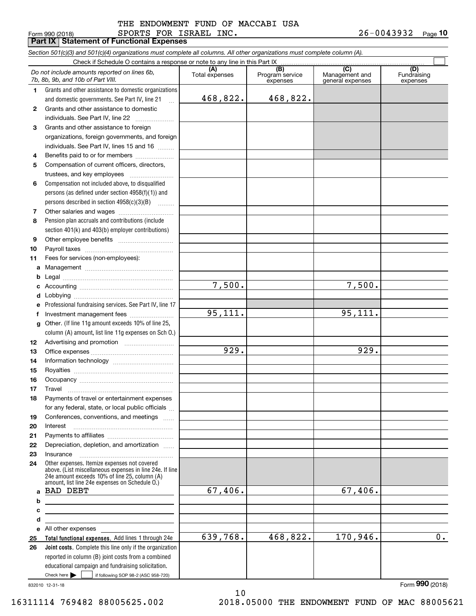#### Form 990 (2018) SPORTS FOR ISRAEL INC. 2 6-0 0 4 3 9 3 2 <sub>Page</sub> **Part IX Statement of Functional Expenses** THE ENDOWMENT FUND OF MACCABI USA

*Section 501(c)(3) and 501(c)(4) organizations must complete all columns. All other organizations must complete column (A).*

|          | Check if Schedule O contains a response or note to any line in this Part IX                                                                                                                                 |                       |                        |                       |                    |  |  |  |  |  |  |
|----------|-------------------------------------------------------------------------------------------------------------------------------------------------------------------------------------------------------------|-----------------------|------------------------|-----------------------|--------------------|--|--|--|--|--|--|
|          | Do not include amounts reported on lines 6b,<br>7b, 8b, 9b, and 10b of Part VIII.                                                                                                                           | (A)<br>Total expenses | (B)<br>Program service | (C)<br>Management and | (D)<br>Fundraising |  |  |  |  |  |  |
|          |                                                                                                                                                                                                             |                       | expenses               | general expenses      | expenses           |  |  |  |  |  |  |
| 1.       | Grants and other assistance to domestic organizations<br>and domestic governments. See Part IV, line 21                                                                                                     | 468,822.              | 468,822.               |                       |                    |  |  |  |  |  |  |
| 2        | Grants and other assistance to domestic                                                                                                                                                                     |                       |                        |                       |                    |  |  |  |  |  |  |
|          | individuals. See Part IV, line 22                                                                                                                                                                           |                       |                        |                       |                    |  |  |  |  |  |  |
| з        | Grants and other assistance to foreign                                                                                                                                                                      |                       |                        |                       |                    |  |  |  |  |  |  |
|          | organizations, foreign governments, and foreign                                                                                                                                                             |                       |                        |                       |                    |  |  |  |  |  |  |
|          | individuals. See Part IV, lines 15 and 16                                                                                                                                                                   |                       |                        |                       |                    |  |  |  |  |  |  |
| 4        | Benefits paid to or for members                                                                                                                                                                             |                       |                        |                       |                    |  |  |  |  |  |  |
| 5        | Compensation of current officers, directors,                                                                                                                                                                |                       |                        |                       |                    |  |  |  |  |  |  |
|          | trustees, and key employees                                                                                                                                                                                 |                       |                        |                       |                    |  |  |  |  |  |  |
| 6        | Compensation not included above, to disqualified                                                                                                                                                            |                       |                        |                       |                    |  |  |  |  |  |  |
|          | persons (as defined under section 4958(f)(1)) and                                                                                                                                                           |                       |                        |                       |                    |  |  |  |  |  |  |
|          | persons described in section $4958(c)(3)(B)$                                                                                                                                                                |                       |                        |                       |                    |  |  |  |  |  |  |
| 7        |                                                                                                                                                                                                             |                       |                        |                       |                    |  |  |  |  |  |  |
| 8        | Pension plan accruals and contributions (include                                                                                                                                                            |                       |                        |                       |                    |  |  |  |  |  |  |
|          | section 401(k) and 403(b) employer contributions)                                                                                                                                                           |                       |                        |                       |                    |  |  |  |  |  |  |
| 9        |                                                                                                                                                                                                             |                       |                        |                       |                    |  |  |  |  |  |  |
| 10       |                                                                                                                                                                                                             |                       |                        |                       |                    |  |  |  |  |  |  |
| 11       | Fees for services (non-employees):                                                                                                                                                                          |                       |                        |                       |                    |  |  |  |  |  |  |
| a        |                                                                                                                                                                                                             |                       |                        |                       |                    |  |  |  |  |  |  |
| b        |                                                                                                                                                                                                             |                       |                        |                       |                    |  |  |  |  |  |  |
| c        |                                                                                                                                                                                                             | 7,500.                |                        | 7,500.                |                    |  |  |  |  |  |  |
| d        |                                                                                                                                                                                                             |                       |                        |                       |                    |  |  |  |  |  |  |
| e        | Professional fundraising services. See Part IV, line 17                                                                                                                                                     |                       |                        |                       |                    |  |  |  |  |  |  |
| f        | Investment management fees                                                                                                                                                                                  | 95, 111.              |                        | 95,111.               |                    |  |  |  |  |  |  |
| g        | Other. (If line 11g amount exceeds 10% of line 25,                                                                                                                                                          |                       |                        |                       |                    |  |  |  |  |  |  |
|          | column (A) amount, list line 11g expenses on Sch O.)                                                                                                                                                        |                       |                        |                       |                    |  |  |  |  |  |  |
| 12       |                                                                                                                                                                                                             |                       |                        |                       |                    |  |  |  |  |  |  |
| 13       |                                                                                                                                                                                                             | 929.                  |                        | 929.                  |                    |  |  |  |  |  |  |
| 14       |                                                                                                                                                                                                             |                       |                        |                       |                    |  |  |  |  |  |  |
| 15       |                                                                                                                                                                                                             |                       |                        |                       |                    |  |  |  |  |  |  |
| 16       |                                                                                                                                                                                                             |                       |                        |                       |                    |  |  |  |  |  |  |
| 17       | Travel                                                                                                                                                                                                      |                       |                        |                       |                    |  |  |  |  |  |  |
| 18       | Payments of travel or entertainment expenses                                                                                                                                                                |                       |                        |                       |                    |  |  |  |  |  |  |
|          | for any federal, state, or local public officials                                                                                                                                                           |                       |                        |                       |                    |  |  |  |  |  |  |
| 19<br>20 | Conferences, conventions, and meetings<br>Interest                                                                                                                                                          |                       |                        |                       |                    |  |  |  |  |  |  |
| 21       |                                                                                                                                                                                                             |                       |                        |                       |                    |  |  |  |  |  |  |
| 22       | Depreciation, depletion, and amortization                                                                                                                                                                   |                       |                        |                       |                    |  |  |  |  |  |  |
| 23       | Insurance                                                                                                                                                                                                   |                       |                        |                       |                    |  |  |  |  |  |  |
| 24       | Other expenses. Itemize expenses not covered<br>above. (List miscellaneous expenses in line 24e. If line<br>24e amount exceeds 10% of line 25, column (A)<br>amount, list line 24e expenses on Schedule O.) |                       |                        |                       |                    |  |  |  |  |  |  |
| a        | <b>BAD DEBT</b>                                                                                                                                                                                             | 67,406.               |                        | 67,406.               |                    |  |  |  |  |  |  |
| b        | <u> 1980 - Jan James James Barbara, politik eta politikaria (h. 1905).</u>                                                                                                                                  |                       |                        |                       |                    |  |  |  |  |  |  |
| c        | <u> 1989 - Johann Stein, marwolaethau a bhann an t-Albann an t-Albann an t-Albann an t-Albann an t-Albann an t-Alb</u>                                                                                      |                       |                        |                       |                    |  |  |  |  |  |  |
| d        | the control of the control of the control of the control of the control of the control of                                                                                                                   |                       |                        |                       |                    |  |  |  |  |  |  |
| е        | All other expenses                                                                                                                                                                                          |                       |                        |                       |                    |  |  |  |  |  |  |
| 25       | Total functional expenses. Add lines 1 through 24e                                                                                                                                                          | 639,768.              | 468,822.               | 170,946.              | $\overline{0}$ .   |  |  |  |  |  |  |
| 26       | Joint costs. Complete this line only if the organization                                                                                                                                                    |                       |                        |                       |                    |  |  |  |  |  |  |
|          | reported in column (B) joint costs from a combined                                                                                                                                                          |                       |                        |                       |                    |  |  |  |  |  |  |
|          | educational campaign and fundraising solicitation.                                                                                                                                                          |                       |                        |                       |                    |  |  |  |  |  |  |
|          | Check here $\blacktriangleright$<br>if following SOP 98-2 (ASC 958-720)                                                                                                                                     |                       |                        |                       |                    |  |  |  |  |  |  |

10

832010 12-31-18

16311114 769482 88005625.002 2018.05000 THE ENDOWMENT FUND OF MAC 88005621

Form (2018) **990**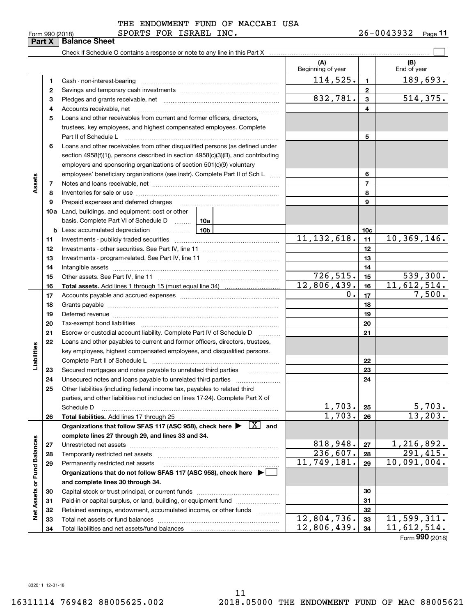| Form 990 (2018) |  |  |
|-----------------|--|--|
|                 |  |  |

Form 990 (2018) SPORTS FOR ISRAEL INC. 2 6-0 0 4 3 9 3 2 <sub>Page</sub> **11**

|                             | Part X | <b>Balance Sheet</b>                                                                                                                                                                                                           |                            |                 |                    |
|-----------------------------|--------|--------------------------------------------------------------------------------------------------------------------------------------------------------------------------------------------------------------------------------|----------------------------|-----------------|--------------------|
|                             |        |                                                                                                                                                                                                                                |                            |                 |                    |
|                             |        |                                                                                                                                                                                                                                | (A)<br>Beginning of year   |                 | (B)<br>End of year |
|                             | 1      | Cash - non-interest-bearing                                                                                                                                                                                                    | 114,525.                   | 1               | 189,693.           |
|                             | 2      |                                                                                                                                                                                                                                |                            | $\mathbf{2}$    |                    |
|                             | 3      |                                                                                                                                                                                                                                | 832,781.                   | 3               | 514, 375.          |
|                             | 4      |                                                                                                                                                                                                                                |                            | 4               |                    |
|                             | 5      | Loans and other receivables from current and former officers, directors,                                                                                                                                                       |                            |                 |                    |
|                             |        | trustees, key employees, and highest compensated employees. Complete                                                                                                                                                           |                            |                 |                    |
|                             |        | Part II of Schedule L                                                                                                                                                                                                          |                            | 5               |                    |
|                             | 6      | Loans and other receivables from other disqualified persons (as defined under                                                                                                                                                  |                            |                 |                    |
|                             |        | section $4958(f)(1)$ , persons described in section $4958(c)(3)(B)$ , and contributing                                                                                                                                         |                            |                 |                    |
|                             |        | employers and sponsoring organizations of section 501(c)(9) voluntary                                                                                                                                                          |                            |                 |                    |
|                             |        | employees' beneficiary organizations (see instr). Complete Part II of Sch L                                                                                                                                                    |                            | 6               |                    |
| Assets                      | 7      |                                                                                                                                                                                                                                |                            | $\overline{7}$  |                    |
|                             | 8      |                                                                                                                                                                                                                                |                            | 8               |                    |
|                             | 9      | Prepaid expenses and deferred charges                                                                                                                                                                                          |                            | 9               |                    |
|                             |        | 10a Land, buildings, and equipment: cost or other                                                                                                                                                                              |                            |                 |                    |
|                             |        | basis. Complete Part VI of Schedule D  10a                                                                                                                                                                                     |                            |                 |                    |
|                             |        | 10b<br><b>b</b> Less: accumulated depreciation                                                                                                                                                                                 |                            | 10 <sub>c</sub> |                    |
|                             | 11     |                                                                                                                                                                                                                                | 11, 132, 618.              | 11              | 10, 369, 146.      |
|                             | 12     |                                                                                                                                                                                                                                |                            | 12              |                    |
|                             | 13     |                                                                                                                                                                                                                                |                            | 13              |                    |
|                             | 14     |                                                                                                                                                                                                                                |                            | 14              |                    |
|                             | 15     |                                                                                                                                                                                                                                | 726, 515.                  | 15              | 539,300.           |
|                             | 16     |                                                                                                                                                                                                                                | 12,806,439.                | 16              | 11,612,514.        |
|                             | 17     |                                                                                                                                                                                                                                | 0.                         | 17              | 7,500.             |
|                             | 18     |                                                                                                                                                                                                                                |                            | 18              |                    |
|                             | 19     | Deferred revenue material contracts and a contract of the contract of the contract of the contract of the contract of the contract of the contract of the contract of the contract of the contract of the contract of the cont |                            | 19              |                    |
|                             | 20     |                                                                                                                                                                                                                                |                            | 20              |                    |
|                             | 21     | Escrow or custodial account liability. Complete Part IV of Schedule D                                                                                                                                                          |                            | 21              |                    |
|                             | 22     | Loans and other payables to current and former officers, directors, trustees,                                                                                                                                                  |                            |                 |                    |
|                             |        | key employees, highest compensated employees, and disqualified persons.                                                                                                                                                        |                            |                 |                    |
| Liabilities                 |        | Complete Part II of Schedule L                                                                                                                                                                                                 |                            | 22              |                    |
|                             | 23     | Secured mortgages and notes payable to unrelated third parties<br>.                                                                                                                                                            |                            | 23              |                    |
|                             | 24     |                                                                                                                                                                                                                                |                            | 24              |                    |
|                             | 25     | Other liabilities (including federal income tax, payables to related third                                                                                                                                                     |                            |                 |                    |
|                             |        | parties, and other liabilities not included on lines 17-24). Complete Part X of                                                                                                                                                | 1,703.                     | 25              | 5,703.             |
|                             |        | Schedule D                                                                                                                                                                                                                     | 1,703.                     | 26              | 13, 203.           |
|                             | 26     | Organizations that follow SFAS 117 (ASC 958), check here $\blacktriangleright \begin{array}{c} \boxed{X} \\ \end{array}$ and                                                                                                   |                            |                 |                    |
|                             |        | complete lines 27 through 29, and lines 33 and 34.                                                                                                                                                                             |                            |                 |                    |
|                             | 27     |                                                                                                                                                                                                                                | 818,948.                   | 27              | 1,216,892.         |
|                             | 28     |                                                                                                                                                                                                                                | 236,607.                   | 28              | 291,415.           |
|                             | 29     | Permanently restricted net assets                                                                                                                                                                                              | $\overline{11,749}$ , 181. | 29              | 10,091,004.        |
|                             |        | Organizations that do not follow SFAS 117 (ASC 958), check here $\blacktriangleright$                                                                                                                                          |                            |                 |                    |
|                             |        | and complete lines 30 through 34.                                                                                                                                                                                              |                            |                 |                    |
|                             | 30     |                                                                                                                                                                                                                                |                            | 30              |                    |
|                             | 31     | Paid-in or capital surplus, or land, building, or equipment fund                                                                                                                                                               |                            | 31              |                    |
| Net Assets or Fund Balances | 32     | Retained earnings, endowment, accumulated income, or other funds<br>1.1.1.1.1.1.1.1.1                                                                                                                                          |                            | 32              |                    |
|                             | 33     |                                                                                                                                                                                                                                | 12,804,736.                | 33              | 11,599,311.        |
|                             | 34     |                                                                                                                                                                                                                                | 12,806,439.                | 34              | 11,612,514.        |
|                             |        |                                                                                                                                                                                                                                |                            |                 |                    |

Form (2018) **990**

832011 12-31-18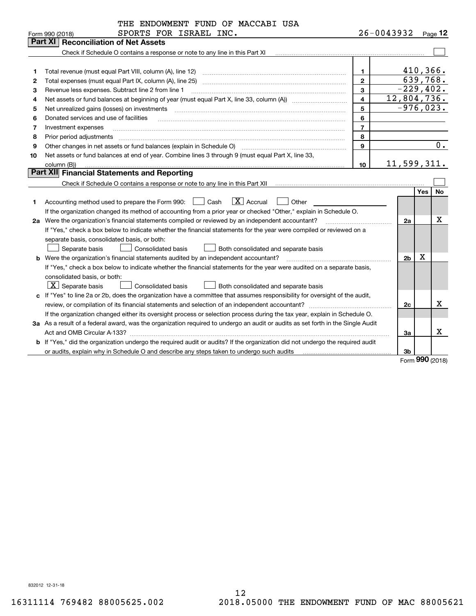|    | THE ENDOWMENT FUND OF MACCABI USA                                                                                               |                         |                |             |                  |
|----|---------------------------------------------------------------------------------------------------------------------------------|-------------------------|----------------|-------------|------------------|
|    | SPORTS FOR ISRAEL INC.<br>Form 990 (2018)                                                                                       |                         | 26-0043932     |             | Page 12          |
|    | <b>Reconciliation of Net Assets</b><br>Part XI                                                                                  |                         |                |             |                  |
|    | Check if Schedule O contains a response or note to any line in this Part XI                                                     |                         |                |             |                  |
|    |                                                                                                                                 |                         |                |             |                  |
| 1  | Total revenue (must equal Part VIII, column (A), line 12)                                                                       | 1.                      |                | $410,366$ . |                  |
| 2  | Total expenses (must equal Part IX, column (A), line 25)                                                                        | $\mathbf{2}$            |                |             | 639,768.         |
| з  | Revenue less expenses. Subtract line 2 from line 1                                                                              | 3                       | $-229,402.$    |             |                  |
| 4  |                                                                                                                                 | $\overline{\mathbf{4}}$ | 12,804,736.    |             |                  |
| 5  | Net unrealized gains (losses) on investments                                                                                    | 5                       | $-976,023.$    |             |                  |
| 6  | Donated services and use of facilities                                                                                          | 6                       |                |             |                  |
| 7  | Investment expenses                                                                                                             | $\overline{7}$          |                |             |                  |
| 8  | Prior period adjustments                                                                                                        | 8                       |                |             |                  |
| 9  | Other changes in net assets or fund balances (explain in Schedule O)                                                            | 9                       |                |             | $\overline{0}$ . |
| 10 | Net assets or fund balances at end of year. Combine lines 3 through 9 (must equal Part X, line 33,                              |                         |                |             |                  |
|    | column (B))                                                                                                                     | 10                      | 11,599,311.    |             |                  |
|    | Part XII Financial Statements and Reporting                                                                                     |                         |                |             |                  |
|    |                                                                                                                                 |                         |                |             |                  |
|    |                                                                                                                                 |                         |                | <b>Yes</b>  | No               |
| 1. | $ X $ Accrual<br>Accounting method used to prepare the Form 990: <u>[16</u> ] Cash<br>Other                                     |                         |                |             |                  |
|    | If the organization changed its method of accounting from a prior year or checked "Other," explain in Schedule O.               |                         |                |             |                  |
|    | 2a Were the organization's financial statements compiled or reviewed by an independent accountant?                              |                         | 2a             |             | X                |
|    | If "Yes," check a box below to indicate whether the financial statements for the year were compiled or reviewed on a            |                         |                |             |                  |
|    | separate basis, consolidated basis, or both:                                                                                    |                         |                |             |                  |
|    | Separate basis<br><b>Consolidated basis</b><br>Both consolidated and separate basis                                             |                         |                |             |                  |
|    | <b>b</b> Were the organization's financial statements audited by an independent accountant?                                     |                         | 2 <sub>b</sub> | $\mathbf X$ |                  |
|    | If "Yes," check a box below to indicate whether the financial statements for the year were audited on a separate basis,         |                         |                |             |                  |
|    | consolidated basis, or both:                                                                                                    |                         |                |             |                  |
|    | $\lfloor x \rfloor$ Separate basis<br><b>Consolidated basis</b><br>Both consolidated and separate basis                         |                         |                |             |                  |
|    | c If "Yes" to line 2a or 2b, does the organization have a committee that assumes responsibility for oversight of the audit,     |                         |                |             |                  |
|    |                                                                                                                                 |                         | 2c             |             | x.               |
|    | If the organization changed either its oversight process or selection process during the tax year, explain in Schedule O.       |                         |                |             |                  |
|    | 3a As a result of a federal award, was the organization required to undergo an audit or audits as set forth in the Single Audit |                         |                |             |                  |
|    | Act and OMB Circular A-133?                                                                                                     |                         | 3a             |             | x                |
|    | b If "Yes," did the organization undergo the required audit or audits? If the organization did not undergo the required audit   |                         |                |             |                  |
|    |                                                                                                                                 |                         | 3b             |             |                  |
|    |                                                                                                                                 |                         |                |             | $QQQ \sim 0.000$ |

Form (2018) **990**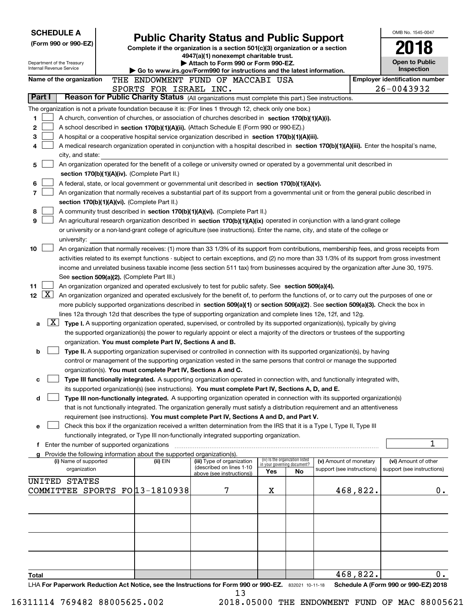| <b>SCHEDULE A</b><br>(Form 990 or 990-EZ)<br>Department of the Treasury                                                                                                                                                                                                                          | <b>Public Charity Status and Public Support</b><br>Complete if the organization is a section 501(c)(3) organization or a section<br>4947(a)(1) nonexempt charitable trust.<br>Attach to Form 990 or Form 990-EZ.                                               | OMB No. 1545-0047<br><b>Open to Public</b>                                              |                                 |    |                            |          |                                                     |
|--------------------------------------------------------------------------------------------------------------------------------------------------------------------------------------------------------------------------------------------------------------------------------------------------|----------------------------------------------------------------------------------------------------------------------------------------------------------------------------------------------------------------------------------------------------------------|-----------------------------------------------------------------------------------------|---------------------------------|----|----------------------------|----------|-----------------------------------------------------|
| Internal Revenue Service                                                                                                                                                                                                                                                                         |                                                                                                                                                                                                                                                                | $\triangleright$ Go to www.irs.gov/Form990 for instructions and the latest information. |                                 |    |                            |          | Inspection                                          |
| Name of the organization                                                                                                                                                                                                                                                                         | THE ENDOWMENT FUND OF MACCABI USA<br>SPORTS FOR ISRAEL INC.                                                                                                                                                                                                    |                                                                                         |                                 |    |                            |          | <b>Employer identification number</b><br>26-0043932 |
| Part I                                                                                                                                                                                                                                                                                           | Reason for Public Charity Status (All organizations must complete this part.) See instructions.                                                                                                                                                                |                                                                                         |                                 |    |                            |          |                                                     |
| The organization is not a private foundation because it is: (For lines 1 through 12, check only one box.)                                                                                                                                                                                        |                                                                                                                                                                                                                                                                |                                                                                         |                                 |    |                            |          |                                                     |
| 1<br>A church, convention of churches, or association of churches described in section 170(b)(1)(A)(i).                                                                                                                                                                                          |                                                                                                                                                                                                                                                                |                                                                                         |                                 |    |                            |          |                                                     |
| 2<br>A school described in section 170(b)(1)(A)(ii). (Attach Schedule E (Form 990 or 990-EZ).)                                                                                                                                                                                                   |                                                                                                                                                                                                                                                                |                                                                                         |                                 |    |                            |          |                                                     |
| 3<br>A hospital or a cooperative hospital service organization described in section 170(b)(1)(A)(iii).                                                                                                                                                                                           |                                                                                                                                                                                                                                                                |                                                                                         |                                 |    |                            |          |                                                     |
| A medical research organization operated in conjunction with a hospital described in section 170(b)(1)(A)(iii). Enter the hospital's name,<br>4                                                                                                                                                  |                                                                                                                                                                                                                                                                |                                                                                         |                                 |    |                            |          |                                                     |
| city, and state:                                                                                                                                                                                                                                                                                 |                                                                                                                                                                                                                                                                |                                                                                         |                                 |    |                            |          |                                                     |
| An organization operated for the benefit of a college or university owned or operated by a governmental unit described in<br>5<br>section 170(b)(1)(A)(iv). (Complete Part II.)                                                                                                                  |                                                                                                                                                                                                                                                                |                                                                                         |                                 |    |                            |          |                                                     |
| A federal, state, or local government or governmental unit described in section $170(b)(1)(A)(v)$ .<br>6                                                                                                                                                                                         |                                                                                                                                                                                                                                                                |                                                                                         |                                 |    |                            |          |                                                     |
| 7<br>An organization that normally receives a substantial part of its support from a governmental unit or from the general public described in                                                                                                                                                   |                                                                                                                                                                                                                                                                |                                                                                         |                                 |    |                            |          |                                                     |
| section 170(b)(1)(A)(vi). (Complete Part II.)                                                                                                                                                                                                                                                    |                                                                                                                                                                                                                                                                |                                                                                         |                                 |    |                            |          |                                                     |
| 8<br>A community trust described in section 170(b)(1)(A)(vi). (Complete Part II.)                                                                                                                                                                                                                |                                                                                                                                                                                                                                                                |                                                                                         |                                 |    |                            |          |                                                     |
| 9<br>An agricultural research organization described in section 170(b)(1)(A)(ix) operated in conjunction with a land-grant college                                                                                                                                                               |                                                                                                                                                                                                                                                                |                                                                                         |                                 |    |                            |          |                                                     |
| or university or a non-land-grant college of agriculture (see instructions). Enter the name, city, and state of the college or                                                                                                                                                                   |                                                                                                                                                                                                                                                                |                                                                                         |                                 |    |                            |          |                                                     |
| university:                                                                                                                                                                                                                                                                                      |                                                                                                                                                                                                                                                                |                                                                                         |                                 |    |                            |          |                                                     |
| 10<br>An organization that normally receives: (1) more than 33 1/3% of its support from contributions, membership fees, and gross receipts from<br>activities related to its exempt functions - subject to certain exceptions, and (2) no more than 33 1/3% of its support from gross investment |                                                                                                                                                                                                                                                                |                                                                                         |                                 |    |                            |          |                                                     |
| income and unrelated business taxable income (less section 511 tax) from businesses acquired by the organization after June 30, 1975.                                                                                                                                                            |                                                                                                                                                                                                                                                                |                                                                                         |                                 |    |                            |          |                                                     |
| See section 509(a)(2). (Complete Part III.)                                                                                                                                                                                                                                                      |                                                                                                                                                                                                                                                                |                                                                                         |                                 |    |                            |          |                                                     |
| 11<br>An organization organized and operated exclusively to test for public safety. See section 509(a)(4).                                                                                                                                                                                       |                                                                                                                                                                                                                                                                |                                                                                         |                                 |    |                            |          |                                                     |
| $\sqrt{\mathbf{X}}$<br>12 <sub>2</sub><br>An organization organized and operated exclusively for the benefit of, to perform the functions of, or to carry out the purposes of one or                                                                                                             |                                                                                                                                                                                                                                                                |                                                                                         |                                 |    |                            |          |                                                     |
| more publicly supported organizations described in section 509(a)(1) or section 509(a)(2). See section 509(a)(3). Check the box in                                                                                                                                                               |                                                                                                                                                                                                                                                                |                                                                                         |                                 |    |                            |          |                                                     |
| lines 12a through 12d that describes the type of supporting organization and complete lines 12e, 12f, and 12g.                                                                                                                                                                                   |                                                                                                                                                                                                                                                                |                                                                                         |                                 |    |                            |          |                                                     |
| $\lfloor x \rfloor$<br>a                                                                                                                                                                                                                                                                         | Type I. A supporting organization operated, supervised, or controlled by its supported organization(s), typically by giving<br>the supported organization(s) the power to regularly appoint or elect a majority of the directors or trustees of the supporting |                                                                                         |                                 |    |                            |          |                                                     |
|                                                                                                                                                                                                                                                                                                  | organization. You must complete Part IV, Sections A and B.                                                                                                                                                                                                     |                                                                                         |                                 |    |                            |          |                                                     |
| b                                                                                                                                                                                                                                                                                                | Type II. A supporting organization supervised or controlled in connection with its supported organization(s), by having                                                                                                                                        |                                                                                         |                                 |    |                            |          |                                                     |
|                                                                                                                                                                                                                                                                                                  | control or management of the supporting organization vested in the same persons that control or manage the supported                                                                                                                                           |                                                                                         |                                 |    |                            |          |                                                     |
|                                                                                                                                                                                                                                                                                                  | organization(s). You must complete Part IV, Sections A and C.                                                                                                                                                                                                  |                                                                                         |                                 |    |                            |          |                                                     |
|                                                                                                                                                                                                                                                                                                  | Type III functionally integrated. A supporting organization operated in connection with, and functionally integrated with,                                                                                                                                     |                                                                                         |                                 |    |                            |          |                                                     |
|                                                                                                                                                                                                                                                                                                  | its supported organization(s) (see instructions). You must complete Part IV, Sections A, D, and E.                                                                                                                                                             |                                                                                         |                                 |    |                            |          |                                                     |
| d                                                                                                                                                                                                                                                                                                | Type III non-functionally integrated. A supporting organization operated in connection with its supported organization(s)<br>that is not functionally integrated. The organization generally must satisfy a distribution requirement and an attentiveness      |                                                                                         |                                 |    |                            |          |                                                     |
|                                                                                                                                                                                                                                                                                                  | requirement (see instructions). You must complete Part IV, Sections A and D, and Part V.                                                                                                                                                                       |                                                                                         |                                 |    |                            |          |                                                     |
| е                                                                                                                                                                                                                                                                                                | Check this box if the organization received a written determination from the IRS that it is a Type I, Type II, Type III                                                                                                                                        |                                                                                         |                                 |    |                            |          |                                                     |
|                                                                                                                                                                                                                                                                                                  | functionally integrated, or Type III non-functionally integrated supporting organization.                                                                                                                                                                      |                                                                                         |                                 |    |                            |          |                                                     |
| <b>f</b> Enter the number of supported organizations                                                                                                                                                                                                                                             |                                                                                                                                                                                                                                                                |                                                                                         |                                 |    |                            |          | 1                                                   |
| g Provide the following information about the supported organization(s).<br>(i) Name of supported                                                                                                                                                                                                | (ii) EIN                                                                                                                                                                                                                                                       | (iii) Type of organization                                                              | (iv) Is the organization listed |    | (v) Amount of monetary     |          | (vi) Amount of other                                |
| organization                                                                                                                                                                                                                                                                                     |                                                                                                                                                                                                                                                                | (described on lines 1-10                                                                | in your governing document?     |    | support (see instructions) |          | support (see instructions)                          |
| UNITED STATES                                                                                                                                                                                                                                                                                    |                                                                                                                                                                                                                                                                | above (see instructions))                                                               | Yes                             | No |                            |          |                                                     |
| COMMITTEE SPORTS FO 13-1810938                                                                                                                                                                                                                                                                   |                                                                                                                                                                                                                                                                | 7                                                                                       | х                               |    |                            | 468,822. | 0.                                                  |
|                                                                                                                                                                                                                                                                                                  |                                                                                                                                                                                                                                                                |                                                                                         |                                 |    |                            |          |                                                     |
|                                                                                                                                                                                                                                                                                                  |                                                                                                                                                                                                                                                                |                                                                                         |                                 |    |                            |          |                                                     |
|                                                                                                                                                                                                                                                                                                  |                                                                                                                                                                                                                                                                |                                                                                         |                                 |    |                            |          |                                                     |
|                                                                                                                                                                                                                                                                                                  |                                                                                                                                                                                                                                                                |                                                                                         |                                 |    |                            |          |                                                     |
|                                                                                                                                                                                                                                                                                                  |                                                                                                                                                                                                                                                                |                                                                                         |                                 |    |                            |          |                                                     |
|                                                                                                                                                                                                                                                                                                  |                                                                                                                                                                                                                                                                |                                                                                         |                                 |    |                            |          |                                                     |
|                                                                                                                                                                                                                                                                                                  |                                                                                                                                                                                                                                                                |                                                                                         |                                 |    |                            |          |                                                     |
| Total                                                                                                                                                                                                                                                                                            |                                                                                                                                                                                                                                                                |                                                                                         |                                 |    |                            | 468,822. | 0.                                                  |
| LHA For Paperwork Reduction Act Notice, see the Instructions for Form 990 or 990-EZ. 832021 10-11-18                                                                                                                                                                                             |                                                                                                                                                                                                                                                                |                                                                                         |                                 |    |                            |          | Schedule A (Form 990 or 990-EZ) 2018                |
|                                                                                                                                                                                                                                                                                                  |                                                                                                                                                                                                                                                                | 13                                                                                      |                                 |    |                            |          |                                                     |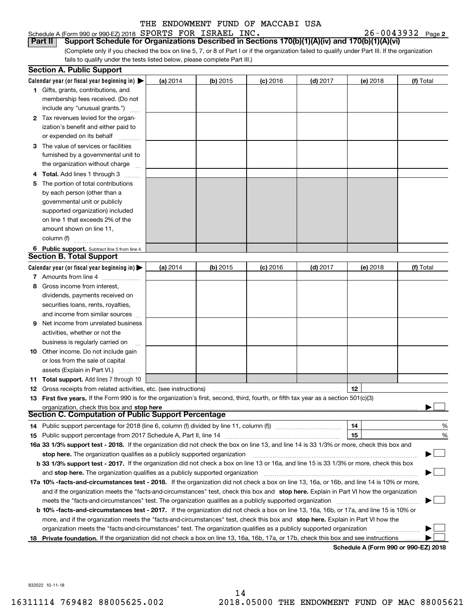Schedule A (Form 990 or 990-EZ) 2018 Page SPORTS FOR ISRAEL INC. 26-0043932 **Part II Support Schedule for Organizations Described in Sections 170(b)(1)(A)(iv) and 170(b)(1)(A)(vi)**

(Complete only if you checked the box on line 5, 7, or 8 of Part I or if the organization failed to qualify under Part III. If the organization fails to qualify under the tests listed below, please complete Part III.)

|    | <b>Section A. Public Support</b>                                                                                                               |            |            |            |            |                                      |           |
|----|------------------------------------------------------------------------------------------------------------------------------------------------|------------|------------|------------|------------|--------------------------------------|-----------|
|    | Calendar year (or fiscal year beginning in) $\blacktriangleright$                                                                              | (a) 2014   | $(b)$ 2015 | $(c)$ 2016 | $(d)$ 2017 | (e) 2018                             | (f) Total |
|    | <b>1</b> Gifts, grants, contributions, and                                                                                                     |            |            |            |            |                                      |           |
|    | membership fees received. (Do not                                                                                                              |            |            |            |            |                                      |           |
|    | include any "unusual grants.")                                                                                                                 |            |            |            |            |                                      |           |
|    | 2 Tax revenues levied for the organ-                                                                                                           |            |            |            |            |                                      |           |
|    | ization's benefit and either paid to                                                                                                           |            |            |            |            |                                      |           |
|    | or expended on its behalf                                                                                                                      |            |            |            |            |                                      |           |
|    | 3 The value of services or facilities                                                                                                          |            |            |            |            |                                      |           |
|    | furnished by a governmental unit to                                                                                                            |            |            |            |            |                                      |           |
|    | the organization without charge                                                                                                                |            |            |            |            |                                      |           |
|    | <b>4 Total.</b> Add lines 1 through 3                                                                                                          |            |            |            |            |                                      |           |
| 5. | The portion of total contributions                                                                                                             |            |            |            |            |                                      |           |
|    | by each person (other than a                                                                                                                   |            |            |            |            |                                      |           |
|    | governmental unit or publicly                                                                                                                  |            |            |            |            |                                      |           |
|    | supported organization) included                                                                                                               |            |            |            |            |                                      |           |
|    | on line 1 that exceeds 2% of the                                                                                                               |            |            |            |            |                                      |           |
|    | amount shown on line 11,                                                                                                                       |            |            |            |            |                                      |           |
|    | column (f)                                                                                                                                     |            |            |            |            |                                      |           |
|    | 6 Public support. Subtract line 5 from line 4.                                                                                                 |            |            |            |            |                                      |           |
|    | <b>Section B. Total Support</b>                                                                                                                |            |            |            |            |                                      |           |
|    | Calendar year (or fiscal year beginning in) $\blacktriangleright$                                                                              | (a) $2014$ | $(b)$ 2015 | $(c)$ 2016 | $(d)$ 2017 | (e) 2018                             | (f) Total |
|    | 7 Amounts from line 4                                                                                                                          |            |            |            |            |                                      |           |
| 8  | Gross income from interest,                                                                                                                    |            |            |            |            |                                      |           |
|    | dividends, payments received on                                                                                                                |            |            |            |            |                                      |           |
|    | securities loans, rents, royalties,                                                                                                            |            |            |            |            |                                      |           |
|    | and income from similar sources                                                                                                                |            |            |            |            |                                      |           |
| 9  | Net income from unrelated business                                                                                                             |            |            |            |            |                                      |           |
|    | activities, whether or not the                                                                                                                 |            |            |            |            |                                      |           |
|    | business is regularly carried on                                                                                                               |            |            |            |            |                                      |           |
|    | <b>10</b> Other income. Do not include gain                                                                                                    |            |            |            |            |                                      |           |
|    | or loss from the sale of capital                                                                                                               |            |            |            |            |                                      |           |
|    | assets (Explain in Part VI.)                                                                                                                   |            |            |            |            |                                      |           |
|    | <b>11 Total support.</b> Add lines 7 through 10                                                                                                |            |            |            |            |                                      |           |
|    | <b>12</b> Gross receipts from related activities, etc. (see instructions)                                                                      |            |            |            |            | 12                                   |           |
|    | 13 First five years. If the Form 990 is for the organization's first, second, third, fourth, or fifth tax year as a section 501(c)(3)          |            |            |            |            |                                      |           |
|    | organization, check this box and stop here                                                                                                     |            |            |            |            |                                      |           |
|    | Section C. Computation of Public Support Percentage                                                                                            |            |            |            |            |                                      |           |
|    | 14 Public support percentage for 2018 (line 6, column (f) divided by line 11, column (f) <i>mummumumumum</i>                                   |            |            |            |            | 14                                   | %         |
|    |                                                                                                                                                |            |            |            |            | 15                                   | %         |
|    | 16a 33 1/3% support test - 2018. If the organization did not check the box on line 13, and line 14 is 33 1/3% or more, check this box and      |            |            |            |            |                                      |           |
|    | stop here. The organization qualifies as a publicly supported organization                                                                     |            |            |            |            |                                      |           |
|    | b 33 1/3% support test - 2017. If the organization did not check a box on line 13 or 16a, and line 15 is 33 1/3% or more, check this box       |            |            |            |            |                                      |           |
|    | and stop here. The organization qualifies as a publicly supported organization                                                                 |            |            |            |            |                                      |           |
|    | 17a 10% -facts-and-circumstances test - 2018. If the organization did not check a box on line 13, 16a, or 16b, and line 14 is 10% or more,     |            |            |            |            |                                      |           |
|    | and if the organization meets the "facts-and-circumstances" test, check this box and stop here. Explain in Part VI how the organization        |            |            |            |            |                                      |           |
|    | meets the "facts-and-circumstances" test. The organization qualifies as a publicly supported organization                                      |            |            |            |            |                                      |           |
|    | <b>b 10% -facts-and-circumstances test - 2017.</b> If the organization did not check a box on line 13, 16a, 16b, or 17a, and line 15 is 10% or |            |            |            |            |                                      |           |
|    | more, and if the organization meets the "facts-and-circumstances" test, check this box and stop here. Explain in Part VI how the               |            |            |            |            |                                      |           |
|    | organization meets the "facts-and-circumstances" test. The organization qualifies as a publicly supported organization                         |            |            |            |            |                                      |           |
|    | 18 Private foundation. If the organization did not check a box on line 13, 16a, 16b, 17a, or 17b, check this box and see instructions          |            |            |            |            | Schodule A (Form 000 or 000 F7) 2019 |           |

**Schedule A (Form 990 or 990-EZ) 2018**

832022 10-11-18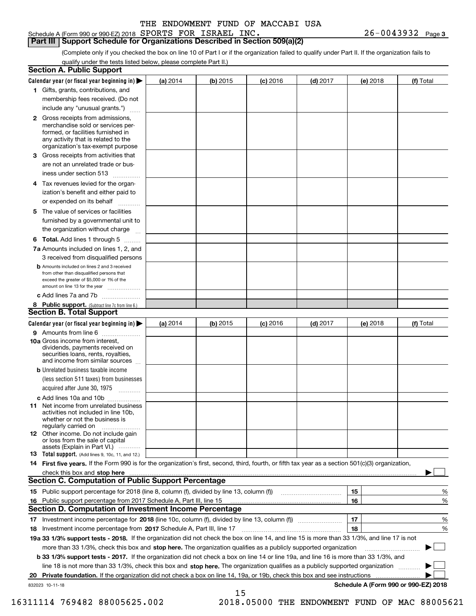#### Schedule A (Form 990 or 990-EZ) 2018 Page SPORTS FOR ISRAEL INC. 26-0043932

**Part III Support Schedule for Organizations Described in Section 509(a)(2)** 

(Complete only if you checked the box on line 10 of Part I or if the organization failed to qualify under Part II. If the organization fails to qualify under the tests listed below, please complete Part II.)

| <b>Section A. Public Support</b>                                                                                                                                                         |            |          |            |            |          |                                      |
|------------------------------------------------------------------------------------------------------------------------------------------------------------------------------------------|------------|----------|------------|------------|----------|--------------------------------------|
| Calendar year (or fiscal year beginning in) $\blacktriangleright$                                                                                                                        | (a) 2014   | (b) 2015 | $(c)$ 2016 | $(d)$ 2017 | (e) 2018 | (f) Total                            |
| 1 Gifts, grants, contributions, and                                                                                                                                                      |            |          |            |            |          |                                      |
| membership fees received. (Do not                                                                                                                                                        |            |          |            |            |          |                                      |
| include any "unusual grants.")                                                                                                                                                           |            |          |            |            |          |                                      |
| 2 Gross receipts from admissions,<br>merchandise sold or services per-<br>formed, or facilities furnished in<br>any activity that is related to the<br>organization's tax-exempt purpose |            |          |            |            |          |                                      |
| 3 Gross receipts from activities that<br>are not an unrelated trade or bus-                                                                                                              |            |          |            |            |          |                                      |
| iness under section 513                                                                                                                                                                  |            |          |            |            |          |                                      |
| 4 Tax revenues levied for the organ-<br>ization's benefit and either paid to<br>or expended on its behalf<br>.                                                                           |            |          |            |            |          |                                      |
| 5 The value of services or facilities<br>furnished by a governmental unit to<br>the organization without charge                                                                          |            |          |            |            |          |                                      |
| <b>6 Total.</b> Add lines 1 through 5                                                                                                                                                    |            |          |            |            |          |                                      |
| 7a Amounts included on lines 1, 2, and<br>3 received from disqualified persons                                                                                                           |            |          |            |            |          |                                      |
| <b>b</b> Amounts included on lines 2 and 3 received<br>from other than disqualified persons that<br>exceed the greater of \$5,000 or 1% of the<br>amount on line 13 for the year         |            |          |            |            |          |                                      |
| c Add lines 7a and 7b                                                                                                                                                                    |            |          |            |            |          |                                      |
| 8 Public support. (Subtract line 7c from line 6.)<br><b>Section B. Total Support</b>                                                                                                     |            |          |            |            |          |                                      |
| Calendar year (or fiscal year beginning in) $\blacktriangleright$                                                                                                                        | (a) $2014$ | (b) 2015 | $(c)$ 2016 | $(d)$ 2017 | (e) 2018 | (f) Total                            |
| 9 Amounts from line 6                                                                                                                                                                    |            |          |            |            |          |                                      |
| 10a Gross income from interest,<br>dividends, payments received on<br>securities loans, rents, royalties,<br>and income from similar sources                                             |            |          |            |            |          |                                      |
| <b>b</b> Unrelated business taxable income<br>(less section 511 taxes) from businesses<br>acquired after June 30, 1975<br>1.1.1.1.1.1.1.1.1.1                                            |            |          |            |            |          |                                      |
| c Add lines 10a and 10b                                                                                                                                                                  |            |          |            |            |          |                                      |
| <b>11</b> Net income from unrelated business<br>activities not included in line 10b,<br>whether or not the business is<br>regularly carried on                                           |            |          |            |            |          |                                      |
| <b>12</b> Other income. Do not include gain<br>or loss from the sale of capital<br>assets (Explain in Part VI.)                                                                          |            |          |            |            |          |                                      |
| <b>13</b> Total support. (Add lines 9, 10c, 11, and 12.)                                                                                                                                 |            |          |            |            |          |                                      |
| 14 First five years. If the Form 990 is for the organization's first, second, third, fourth, or fifth tax year as a section 501(c)(3) organization,                                      |            |          |            |            |          |                                      |
| check this box and stop here <b>contractly contractly and structure and stop here</b> check this box and stop here <b>contractly and stop here contractly</b>                            |            |          |            |            |          |                                      |
| <b>Section C. Computation of Public Support Percentage</b>                                                                                                                               |            |          |            |            |          |                                      |
|                                                                                                                                                                                          |            |          |            |            | 15       | %                                    |
| 16 Public support percentage from 2017 Schedule A, Part III, line 15                                                                                                                     |            |          |            |            | 16       | %                                    |
| <b>Section D. Computation of Investment Income Percentage</b>                                                                                                                            |            |          |            |            |          |                                      |
| 17 Investment income percentage for 2018 (line 10c, column (f), divided by line 13, column (f))                                                                                          |            |          |            |            | 17       | %                                    |
| 18 Investment income percentage from 2017 Schedule A, Part III, line 17                                                                                                                  |            |          |            |            | 18       | %                                    |
| 19a 33 1/3% support tests - 2018. If the organization did not check the box on line 14, and line 15 is more than 33 1/3%, and line 17 is not                                             |            |          |            |            |          |                                      |
| more than 33 1/3%, check this box and stop here. The organization qualifies as a publicly supported organization                                                                         |            |          |            |            |          |                                      |
| b 33 1/3% support tests - 2017. If the organization did not check a box on line 14 or line 19a, and line 16 is more than 33 1/3%, and                                                    |            |          |            |            |          |                                      |
| line 18 is not more than 33 1/3%, check this box and stop here. The organization qualifies as a publicly supported organization                                                          |            |          |            |            |          |                                      |
| 20 Private foundation. If the organization did not check a box on line 14, 19a, or 19b, check this box and see instructions                                                              |            |          |            |            |          |                                      |
| 832023 10-11-18                                                                                                                                                                          |            | 15       |            |            |          | Schedule A (Form 990 or 990-EZ) 2018 |

 <sup>16311114 769482 88005625.002 2018.05000</sup> THE ENDOWMENT FUND OF MAC 88005621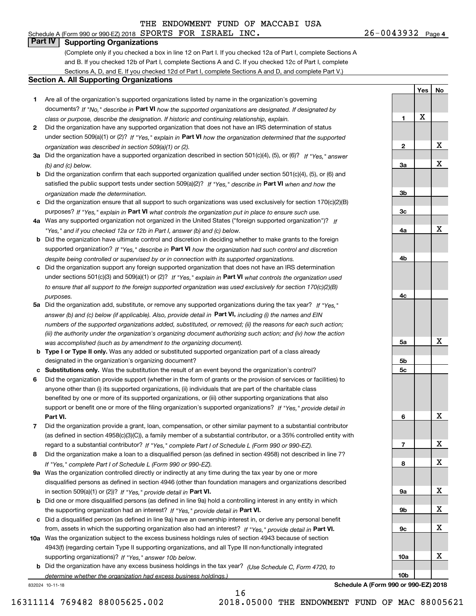# **Part IV Supporting Organizations**

(Complete only if you checked a box in line 12 on Part I. If you checked 12a of Part I, complete Sections A and B. If you checked 12b of Part I, complete Sections A and C. If you checked 12c of Part I, complete Sections A, D, and E. If you checked 12d of Part I, complete Sections A and D, and complete Part V.)

#### **Section A. All Supporting Organizations**

- **1** Are all of the organization's supported organizations listed by name in the organization's governing documents? If "No," describe in **Part VI** how the supported organizations are designated. If designated by *class or purpose, describe the designation. If historic and continuing relationship, explain.*
- **2** Did the organization have any supported organization that does not have an IRS determination of status under section 509(a)(1) or (2)? If "Yes," explain in Part VI how the organization determined that the supported *organization was described in section 509(a)(1) or (2).*
- **3a** Did the organization have a supported organization described in section 501(c)(4), (5), or (6)? If "Yes," answer *(b) and (c) below.*
- **b** Did the organization confirm that each supported organization qualified under section 501(c)(4), (5), or (6) and satisfied the public support tests under section 509(a)(2)? If "Yes," describe in **Part VI** when and how the *organization made the determination.*
- **c**Did the organization ensure that all support to such organizations was used exclusively for section 170(c)(2)(B) purposes? If "Yes," explain in **Part VI** what controls the organization put in place to ensure such use.
- **4a***If* Was any supported organization not organized in the United States ("foreign supported organization")? *"Yes," and if you checked 12a or 12b in Part I, answer (b) and (c) below.*
- **b** Did the organization have ultimate control and discretion in deciding whether to make grants to the foreign supported organization? If "Yes," describe in **Part VI** how the organization had such control and discretion *despite being controlled or supervised by or in connection with its supported organizations.*
- **c** Did the organization support any foreign supported organization that does not have an IRS determination under sections 501(c)(3) and 509(a)(1) or (2)? If "Yes," explain in **Part VI** what controls the organization used *to ensure that all support to the foreign supported organization was used exclusively for section 170(c)(2)(B) purposes.*
- **5a** Did the organization add, substitute, or remove any supported organizations during the tax year? If "Yes," answer (b) and (c) below (if applicable). Also, provide detail in **Part VI,** including (i) the names and EIN *numbers of the supported organizations added, substituted, or removed; (ii) the reasons for each such action; (iii) the authority under the organization's organizing document authorizing such action; and (iv) how the action was accomplished (such as by amendment to the organizing document).*
- **b** Type I or Type II only. Was any added or substituted supported organization part of a class already designated in the organization's organizing document?
- **cSubstitutions only.**  Was the substitution the result of an event beyond the organization's control?
- **6** Did the organization provide support (whether in the form of grants or the provision of services or facilities) to **Part VI.** *If "Yes," provide detail in* support or benefit one or more of the filing organization's supported organizations? anyone other than (i) its supported organizations, (ii) individuals that are part of the charitable class benefited by one or more of its supported organizations, or (iii) other supporting organizations that also
- **7**Did the organization provide a grant, loan, compensation, or other similar payment to a substantial contributor *If "Yes," complete Part I of Schedule L (Form 990 or 990-EZ).* regard to a substantial contributor? (as defined in section 4958(c)(3)(C)), a family member of a substantial contributor, or a 35% controlled entity with
- **8** Did the organization make a loan to a disqualified person (as defined in section 4958) not described in line 7? *If "Yes," complete Part I of Schedule L (Form 990 or 990-EZ).*
- **9a** Was the organization controlled directly or indirectly at any time during the tax year by one or more in section 509(a)(1) or (2))? If "Yes," *provide detail in* <code>Part VI.</code> disqualified persons as defined in section 4946 (other than foundation managers and organizations described
- **b**the supporting organization had an interest? If "Yes," provide detail in P**art VI**. Did one or more disqualified persons (as defined in line 9a) hold a controlling interest in any entity in which
- **c**Did a disqualified person (as defined in line 9a) have an ownership interest in, or derive any personal benefit from, assets in which the supporting organization also had an interest? If "Yes," provide detail in P**art VI.**
- **10a** Was the organization subject to the excess business holdings rules of section 4943 because of section supporting organizations)? If "Yes," answer 10b below. 4943(f) (regarding certain Type II supporting organizations, and all Type III non-functionally integrated
- **b** Did the organization have any excess business holdings in the tax year? (Use Schedule C, Form 4720, to *determine whether the organization had excess business holdings.)*

16

832024 10-11-18

**Schedule A (Form 990 or 990-EZ) 2018**

**1**

**2**

**3a**

**3b**

**3c**

**4a**

**4b**

**4c**

**5a**

**5b5c**

**6**

**7**

**8**

**9a**

**9b**

**9c**

**10a**

**10b**

**Yes**

X

**No**

X

X

X

X

X

X

X

X

X

X

X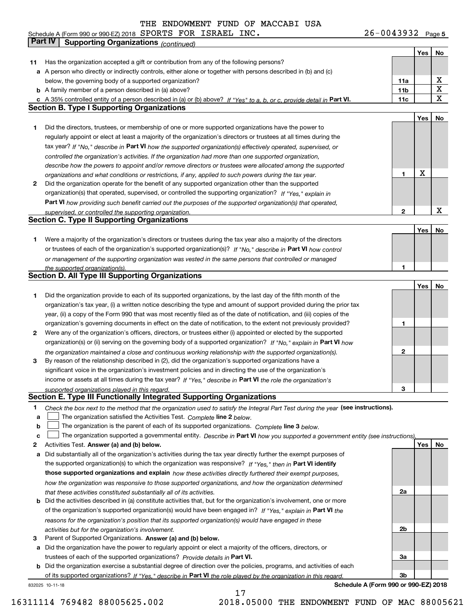**5** Schedule A (Form 990 or 990-EZ) 2018 Page SPORTS FOR ISRAEL INC. 26-0043932

|    | <b>Part IV</b>  | <b>Supporting Organizations (continued)</b>                                                                                       |                 |     |                         |
|----|-----------------|-----------------------------------------------------------------------------------------------------------------------------------|-----------------|-----|-------------------------|
|    |                 |                                                                                                                                   |                 | Yes | No                      |
| 11 |                 | Has the organization accepted a gift or contribution from any of the following persons?                                           |                 |     |                         |
| а  |                 | A person who directly or indirectly controls, either alone or together with persons described in (b) and (c)                      |                 |     |                         |
|    |                 | below, the governing body of a supported organization?                                                                            | 11a             |     | х                       |
|    |                 | <b>b</b> A family member of a person described in (a) above?                                                                      | 11 <sub>b</sub> |     | $\overline{\textbf{X}}$ |
|    |                 | c A 35% controlled entity of a person described in (a) or (b) above? If "Yes" to a, b, or c, provide detail in Part VI.           | 11c             |     | $\mathbf X$             |
|    |                 | <b>Section B. Type I Supporting Organizations</b>                                                                                 |                 |     |                         |
|    |                 |                                                                                                                                   |                 | Yes | No                      |
| 1  |                 | Did the directors, trustees, or membership of one or more supported organizations have the power to                               |                 |     |                         |
|    |                 | regularly appoint or elect at least a majority of the organization's directors or trustees at all times during the                |                 |     |                         |
|    |                 | tax year? If "No," describe in Part VI how the supported organization(s) effectively operated, supervised, or                     |                 |     |                         |
|    |                 | controlled the organization's activities. If the organization had more than one supported organization,                           |                 |     |                         |
|    |                 | describe how the powers to appoint and/or remove directors or trustees were allocated among the supported                         |                 |     |                         |
|    |                 | organizations and what conditions or restrictions, if any, applied to such powers during the tax year.                            | 1               | X   |                         |
| 2  |                 | Did the organization operate for the benefit of any supported organization other than the supported                               |                 |     |                         |
|    |                 | organization(s) that operated, supervised, or controlled the supporting organization? If "Yes," explain in                        |                 |     |                         |
|    |                 | Part VI how providing such benefit carried out the purposes of the supported organization(s) that operated,                       |                 |     |                         |
|    |                 | supervised, or controlled the supporting organization.                                                                            | 2               |     | $\mathbf X$             |
|    |                 | <b>Section C. Type II Supporting Organizations</b>                                                                                |                 |     |                         |
|    |                 |                                                                                                                                   |                 | Yes | No                      |
| 1  |                 | Were a majority of the organization's directors or trustees during the tax year also a majority of the directors                  |                 |     |                         |
|    |                 | or trustees of each of the organization's supported organization(s)? If "No," describe in Part VI how control                     |                 |     |                         |
|    |                 | or management of the supporting organization was vested in the same persons that controlled or managed                            |                 |     |                         |
|    |                 | the supported organization(s).                                                                                                    | 1               |     |                         |
|    |                 | <b>Section D. All Type III Supporting Organizations</b>                                                                           |                 |     |                         |
|    |                 |                                                                                                                                   |                 | Yes | No                      |
| 1  |                 | Did the organization provide to each of its supported organizations, by the last day of the fifth month of the                    |                 |     |                         |
|    |                 | organization's tax year, (i) a written notice describing the type and amount of support provided during the prior tax             |                 |     |                         |
|    |                 | year, (ii) a copy of the Form 990 that was most recently filed as of the date of notification, and (iii) copies of the            |                 |     |                         |
|    |                 | organization's governing documents in effect on the date of notification, to the extent not previously provided?                  | 1               |     |                         |
| 2  |                 | Were any of the organization's officers, directors, or trustees either (i) appointed or elected by the supported                  |                 |     |                         |
|    |                 | organization(s) or (ii) serving on the governing body of a supported organization? If "No," explain in Part VI how                |                 |     |                         |
|    |                 | the organization maintained a close and continuous working relationship with the supported organization(s).                       | $\mathbf{2}$    |     |                         |
| з  |                 | By reason of the relationship described in (2), did the organization's supported organizations have a                             |                 |     |                         |
|    |                 | significant voice in the organization's investment policies and in directing the use of the organization's                        |                 |     |                         |
|    |                 | income or assets at all times during the tax year? If "Yes," describe in Part VI the role the organization's                      |                 |     |                         |
|    |                 | supported organizations played in this regard.                                                                                    | 3               |     |                         |
|    |                 | Section E. Type III Functionally Integrated Supporting Organizations                                                              |                 |     |                         |
| 1  |                 | Check the box next to the method that the organization used to satisfy the Integral Part Test during the year (see instructions). |                 |     |                         |
| a  |                 | The organization satisfied the Activities Test. Complete line 2 below.                                                            |                 |     |                         |
| b  |                 | The organization is the parent of each of its supported organizations. Complete line 3 below.                                     |                 |     |                         |
| c  |                 | The organization supported a governmental entity. Describe in Part VI how you supported a government entity (see instructions)    |                 |     |                         |
| 2  |                 | Activities Test. Answer (a) and (b) below.                                                                                        |                 | Yes | No                      |
| а  |                 | Did substantially all of the organization's activities during the tax year directly further the exempt purposes of                |                 |     |                         |
|    |                 | the supported organization(s) to which the organization was responsive? If "Yes," then in Part VI identify                        |                 |     |                         |
|    |                 | those supported organizations and explain how these activities directly furthered their exempt purposes,                          |                 |     |                         |
|    |                 | how the organization was responsive to those supported organizations, and how the organization determined                         |                 |     |                         |
|    |                 | that these activities constituted substantially all of its activities.                                                            | 2a              |     |                         |
| b  |                 | Did the activities described in (a) constitute activities that, but for the organization's involvement, one or more               |                 |     |                         |
|    |                 | of the organization's supported organization(s) would have been engaged in? If "Yes," explain in Part VI the                      |                 |     |                         |
|    |                 | reasons for the organization's position that its supported organization(s) would have engaged in these                            |                 |     |                         |
|    |                 | activities but for the organization's involvement.                                                                                | 2b              |     |                         |
| з  |                 | Parent of Supported Organizations. Answer (a) and (b) below.                                                                      |                 |     |                         |
| а  |                 | Did the organization have the power to regularly appoint or elect a majority of the officers, directors, or                       |                 |     |                         |
|    |                 | trustees of each of the supported organizations? Provide details in Part VI.                                                      | За              |     |                         |
|    |                 | <b>b</b> Did the organization exercise a substantial degree of direction over the policies, programs, and activities of each      |                 |     |                         |
|    |                 | of its supported organizations? If "Yes," describe in Part VI the role played by the organization in this regard                  | Зb              |     |                         |
|    | 832025 10-11-18 | Schedule A (Form 990 or 990-EZ) 2018                                                                                              |                 |     |                         |

17

16311114 769482 88005625.002 2018.05000 THE ENDOWMENT FUND OF MAC 88005621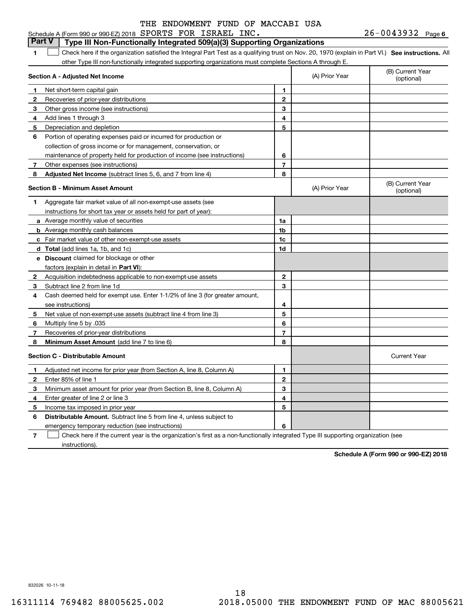#### $26 - 0043932$  Page 6 **1SEP 10. See instructions.** All antegral Part Test as a qualifying trust on Nov. 20, 1970 (explain in Part VI.) See instructions. All **Section A - Adjusted Net Income 123** Other gross income (see instructions) **4**Add lines 1 through 3 **56** Portion of operating expenses paid or incurred for production or **7** Other expenses (see instructions) **8** Adjusted Net Income (subtract lines 5, 6, and 7 from line 4) **8 8 1234567Section B - Minimum Asset Amount 1**Aggregate fair market value of all non-exempt-use assets (see **2**Acquisition indebtedness applicable to non-exempt-use assets **3** Subtract line 2 from line 1d **4**Cash deemed held for exempt use. Enter 1-1/2% of line 3 (for greater amount, **5** Net value of non-exempt-use assets (subtract line 4 from line 3) **678a** Average monthly value of securities **b** Average monthly cash balances **c**Fair market value of other non-exempt-use assets **dTotal**  (add lines 1a, 1b, and 1c) **eDiscount** claimed for blockage or other **1a1b1c1d2345678**factors (explain in detail in **Part VI**): **Minimum Asset Amount**  (add line 7 to line 6) **Section C - Distributable Amount 123456123456Distributable Amount.** Subtract line 5 from line 4, unless subject to Schedule A (Form 990 or 990-EZ) 2018 Page SPORTS FOR ISRAEL INC. 26-0043932 other Type III non-functionally integrated supporting organizations must complete Sections A through E. (B) Current Year (optional)(A) Prior Year Net short-term capital gain Recoveries of prior-year distributions Depreciation and depletion collection of gross income or for management, conservation, or maintenance of property held for production of income (see instructions) (B) Current Year (optional)(A) Prior Year instructions for short tax year or assets held for part of year): see instructions) Multiply line 5 by .035 Recoveries of prior-year distributions Current Year Adjusted net income for prior year (from Section A, line 8, Column A) Enter 85% of line 1 Minimum asset amount for prior year (from Section B, line 8, Column A) Enter greater of line 2 or line 3 Income tax imposed in prior year emergency temporary reduction (see instructions) **Part V Type III Non-Functionally Integrated 509(a)(3) Supporting Organizations**   $\mathcal{L}^{\text{max}}$

**7**Check here if the current year is the organization's first as a non-functionally integrated Type III supporting organization (see instructions). $\mathcal{L}^{\text{max}}$ 

**Schedule A (Form 990 or 990-EZ) 2018**

832026 10-11-18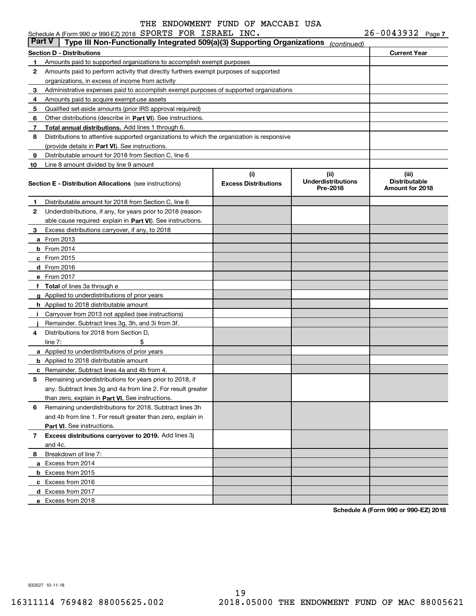|               | Schedule A (Form 990 or 990-EZ) 2018 SPORTS FOR ISRAEL INC.                                |                                    |                                                | $26 - 0043932$ Page 7                            |
|---------------|--------------------------------------------------------------------------------------------|------------------------------------|------------------------------------------------|--------------------------------------------------|
| <b>Part V</b> | Type III Non-Functionally Integrated 509(a)(3) Supporting Organizations                    |                                    | (continued)                                    |                                                  |
|               | <b>Section D - Distributions</b>                                                           |                                    |                                                | <b>Current Year</b>                              |
| 1             | Amounts paid to supported organizations to accomplish exempt purposes                      |                                    |                                                |                                                  |
| 2             | Amounts paid to perform activity that directly furthers exempt purposes of supported       |                                    |                                                |                                                  |
|               | organizations, in excess of income from activity                                           |                                    |                                                |                                                  |
| 3             | Administrative expenses paid to accomplish exempt purposes of supported organizations      |                                    |                                                |                                                  |
| 4             | Amounts paid to acquire exempt-use assets                                                  |                                    |                                                |                                                  |
| 5             | Qualified set-aside amounts (prior IRS approval required)                                  |                                    |                                                |                                                  |
| 6             | Other distributions (describe in Part VI). See instructions.                               |                                    |                                                |                                                  |
| 7             | Total annual distributions. Add lines 1 through 6.                                         |                                    |                                                |                                                  |
| 8             | Distributions to attentive supported organizations to which the organization is responsive |                                    |                                                |                                                  |
|               | (provide details in Part VI). See instructions.                                            |                                    |                                                |                                                  |
| 9             | Distributable amount for 2018 from Section C, line 6                                       |                                    |                                                |                                                  |
| 10            | Line 8 amount divided by line 9 amount                                                     |                                    |                                                |                                                  |
|               | <b>Section E - Distribution Allocations</b> (see instructions)                             | (i)<br><b>Excess Distributions</b> | (iii)<br><b>Underdistributions</b><br>Pre-2018 | (iii)<br><b>Distributable</b><br>Amount for 2018 |
| 1             | Distributable amount for 2018 from Section C, line 6                                       |                                    |                                                |                                                  |
| 2             | Underdistributions, if any, for years prior to 2018 (reason-                               |                                    |                                                |                                                  |
|               | able cause required-explain in Part VI). See instructions.                                 |                                    |                                                |                                                  |
| 3             | Excess distributions carryover, if any, to 2018                                            |                                    |                                                |                                                  |
|               | <b>a</b> From 2013                                                                         |                                    |                                                |                                                  |
|               | $b$ From 2014                                                                              |                                    |                                                |                                                  |
|               | $c$ From 2015                                                                              |                                    |                                                |                                                  |
|               | d From 2016                                                                                |                                    |                                                |                                                  |
|               | e From 2017                                                                                |                                    |                                                |                                                  |
|               | f Total of lines 3a through e                                                              |                                    |                                                |                                                  |
|               | g Applied to underdistributions of prior years                                             |                                    |                                                |                                                  |
|               | <b>h</b> Applied to 2018 distributable amount                                              |                                    |                                                |                                                  |
|               | Carryover from 2013 not applied (see instructions)                                         |                                    |                                                |                                                  |
|               | Remainder. Subtract lines 3g, 3h, and 3i from 3f.                                          |                                    |                                                |                                                  |
| 4             | Distributions for 2018 from Section D.                                                     |                                    |                                                |                                                  |
|               | \$<br>line $7:$                                                                            |                                    |                                                |                                                  |
|               | a Applied to underdistributions of prior years                                             |                                    |                                                |                                                  |
|               | <b>b</b> Applied to 2018 distributable amount                                              |                                    |                                                |                                                  |
|               | <b>c</b> Remainder. Subtract lines 4a and 4b from 4.                                       |                                    |                                                |                                                  |
|               | Remaining underdistributions for years prior to 2018, if                                   |                                    |                                                |                                                  |
|               | any. Subtract lines 3q and 4a from line 2. For result greater                              |                                    |                                                |                                                  |
|               | than zero, explain in Part VI. See instructions.                                           |                                    |                                                |                                                  |
| 6             | Remaining underdistributions for 2018. Subtract lines 3h                                   |                                    |                                                |                                                  |
|               | and 4b from line 1. For result greater than zero, explain in                               |                                    |                                                |                                                  |
|               | Part VI. See instructions.                                                                 |                                    |                                                |                                                  |
| 7             | Excess distributions carryover to 2019. Add lines 3j                                       |                                    |                                                |                                                  |
|               | and 4c.                                                                                    |                                    |                                                |                                                  |
| 8             | Breakdown of line 7:                                                                       |                                    |                                                |                                                  |
|               | a Excess from 2014                                                                         |                                    |                                                |                                                  |
|               | <b>b</b> Excess from 2015                                                                  |                                    |                                                |                                                  |
|               | c Excess from 2016                                                                         |                                    |                                                |                                                  |
|               | d Excess from 2017                                                                         |                                    |                                                |                                                  |
|               | e Excess from 2018                                                                         |                                    |                                                |                                                  |
|               |                                                                                            |                                    |                                                |                                                  |

**Schedule A (Form 990 or 990-EZ) 2018**

832027 10-11-18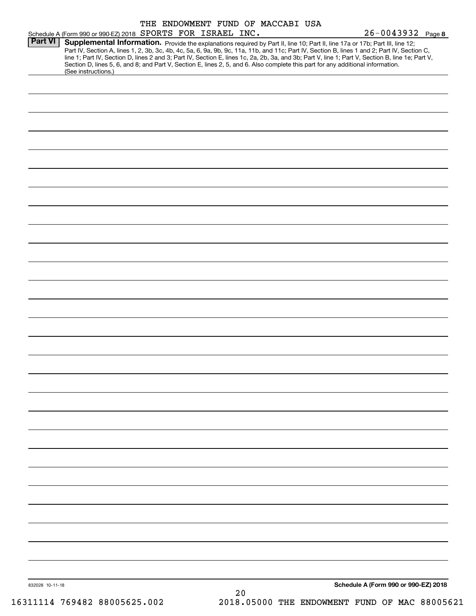| Schedule A (Form 990 or 990-EZ) 2018 SPORTS FOR ISRAEL INC.<br>Supplemental Information. Provide the explanations required by Part II, line 10; Part II, line 17a or 17b; Part III, line 12;<br>Part IV, Section A, lines 1, 2, 3b, 3c, 4b, 4c, 5a, 6, 9a, 9b, 9c, 11a, 11b, and 11c; Part IV, Section B, lines 1 and 2; Part IV, Section C,<br>line 1; Part IV, Section D, lines 2 and 3; Part IV, Section E, lines 1c, 2a, 2b, 3a, and 3b; Part V, line 1; Part V, Section B, line 1e; Part V,<br>Section D, lines 5, 6, and 8; and Part V, Section E, lines 2, 5, and 6. Also complete this part for any additional information.<br>(See instructions.) |  |  |    |  | $26 - 0043932$ Page 8                |
|------------------------------------------------------------------------------------------------------------------------------------------------------------------------------------------------------------------------------------------------------------------------------------------------------------------------------------------------------------------------------------------------------------------------------------------------------------------------------------------------------------------------------------------------------------------------------------------------------------------------------------------------------------|--|--|----|--|--------------------------------------|
|                                                                                                                                                                                                                                                                                                                                                                                                                                                                                                                                                                                                                                                            |  |  |    |  |                                      |
|                                                                                                                                                                                                                                                                                                                                                                                                                                                                                                                                                                                                                                                            |  |  |    |  |                                      |
|                                                                                                                                                                                                                                                                                                                                                                                                                                                                                                                                                                                                                                                            |  |  |    |  |                                      |
|                                                                                                                                                                                                                                                                                                                                                                                                                                                                                                                                                                                                                                                            |  |  |    |  |                                      |
|                                                                                                                                                                                                                                                                                                                                                                                                                                                                                                                                                                                                                                                            |  |  |    |  |                                      |
|                                                                                                                                                                                                                                                                                                                                                                                                                                                                                                                                                                                                                                                            |  |  |    |  |                                      |
|                                                                                                                                                                                                                                                                                                                                                                                                                                                                                                                                                                                                                                                            |  |  |    |  |                                      |
|                                                                                                                                                                                                                                                                                                                                                                                                                                                                                                                                                                                                                                                            |  |  |    |  |                                      |
|                                                                                                                                                                                                                                                                                                                                                                                                                                                                                                                                                                                                                                                            |  |  |    |  |                                      |
|                                                                                                                                                                                                                                                                                                                                                                                                                                                                                                                                                                                                                                                            |  |  |    |  |                                      |
|                                                                                                                                                                                                                                                                                                                                                                                                                                                                                                                                                                                                                                                            |  |  |    |  |                                      |
|                                                                                                                                                                                                                                                                                                                                                                                                                                                                                                                                                                                                                                                            |  |  |    |  |                                      |
|                                                                                                                                                                                                                                                                                                                                                                                                                                                                                                                                                                                                                                                            |  |  |    |  |                                      |
|                                                                                                                                                                                                                                                                                                                                                                                                                                                                                                                                                                                                                                                            |  |  |    |  |                                      |
|                                                                                                                                                                                                                                                                                                                                                                                                                                                                                                                                                                                                                                                            |  |  |    |  |                                      |
|                                                                                                                                                                                                                                                                                                                                                                                                                                                                                                                                                                                                                                                            |  |  |    |  |                                      |
|                                                                                                                                                                                                                                                                                                                                                                                                                                                                                                                                                                                                                                                            |  |  |    |  |                                      |
|                                                                                                                                                                                                                                                                                                                                                                                                                                                                                                                                                                                                                                                            |  |  |    |  |                                      |
|                                                                                                                                                                                                                                                                                                                                                                                                                                                                                                                                                                                                                                                            |  |  |    |  |                                      |
|                                                                                                                                                                                                                                                                                                                                                                                                                                                                                                                                                                                                                                                            |  |  |    |  |                                      |
|                                                                                                                                                                                                                                                                                                                                                                                                                                                                                                                                                                                                                                                            |  |  |    |  |                                      |
|                                                                                                                                                                                                                                                                                                                                                                                                                                                                                                                                                                                                                                                            |  |  |    |  |                                      |
|                                                                                                                                                                                                                                                                                                                                                                                                                                                                                                                                                                                                                                                            |  |  |    |  |                                      |
|                                                                                                                                                                                                                                                                                                                                                                                                                                                                                                                                                                                                                                                            |  |  |    |  |                                      |
|                                                                                                                                                                                                                                                                                                                                                                                                                                                                                                                                                                                                                                                            |  |  |    |  |                                      |
|                                                                                                                                                                                                                                                                                                                                                                                                                                                                                                                                                                                                                                                            |  |  |    |  |                                      |
|                                                                                                                                                                                                                                                                                                                                                                                                                                                                                                                                                                                                                                                            |  |  |    |  |                                      |
|                                                                                                                                                                                                                                                                                                                                                                                                                                                                                                                                                                                                                                                            |  |  |    |  |                                      |
|                                                                                                                                                                                                                                                                                                                                                                                                                                                                                                                                                                                                                                                            |  |  |    |  |                                      |
|                                                                                                                                                                                                                                                                                                                                                                                                                                                                                                                                                                                                                                                            |  |  |    |  |                                      |
|                                                                                                                                                                                                                                                                                                                                                                                                                                                                                                                                                                                                                                                            |  |  |    |  |                                      |
|                                                                                                                                                                                                                                                                                                                                                                                                                                                                                                                                                                                                                                                            |  |  |    |  |                                      |
|                                                                                                                                                                                                                                                                                                                                                                                                                                                                                                                                                                                                                                                            |  |  |    |  |                                      |
|                                                                                                                                                                                                                                                                                                                                                                                                                                                                                                                                                                                                                                                            |  |  |    |  |                                      |
|                                                                                                                                                                                                                                                                                                                                                                                                                                                                                                                                                                                                                                                            |  |  |    |  |                                      |
|                                                                                                                                                                                                                                                                                                                                                                                                                                                                                                                                                                                                                                                            |  |  |    |  |                                      |
|                                                                                                                                                                                                                                                                                                                                                                                                                                                                                                                                                                                                                                                            |  |  |    |  |                                      |
|                                                                                                                                                                                                                                                                                                                                                                                                                                                                                                                                                                                                                                                            |  |  |    |  |                                      |
|                                                                                                                                                                                                                                                                                                                                                                                                                                                                                                                                                                                                                                                            |  |  |    |  |                                      |
|                                                                                                                                                                                                                                                                                                                                                                                                                                                                                                                                                                                                                                                            |  |  |    |  |                                      |
|                                                                                                                                                                                                                                                                                                                                                                                                                                                                                                                                                                                                                                                            |  |  |    |  |                                      |
|                                                                                                                                                                                                                                                                                                                                                                                                                                                                                                                                                                                                                                                            |  |  |    |  |                                      |
|                                                                                                                                                                                                                                                                                                                                                                                                                                                                                                                                                                                                                                                            |  |  |    |  |                                      |
|                                                                                                                                                                                                                                                                                                                                                                                                                                                                                                                                                                                                                                                            |  |  |    |  |                                      |
|                                                                                                                                                                                                                                                                                                                                                                                                                                                                                                                                                                                                                                                            |  |  |    |  |                                      |
|                                                                                                                                                                                                                                                                                                                                                                                                                                                                                                                                                                                                                                                            |  |  |    |  |                                      |
|                                                                                                                                                                                                                                                                                                                                                                                                                                                                                                                                                                                                                                                            |  |  |    |  |                                      |
|                                                                                                                                                                                                                                                                                                                                                                                                                                                                                                                                                                                                                                                            |  |  |    |  |                                      |
|                                                                                                                                                                                                                                                                                                                                                                                                                                                                                                                                                                                                                                                            |  |  |    |  |                                      |
|                                                                                                                                                                                                                                                                                                                                                                                                                                                                                                                                                                                                                                                            |  |  |    |  |                                      |
|                                                                                                                                                                                                                                                                                                                                                                                                                                                                                                                                                                                                                                                            |  |  | 20 |  | Schedule A (Form 990 or 990-EZ) 2018 |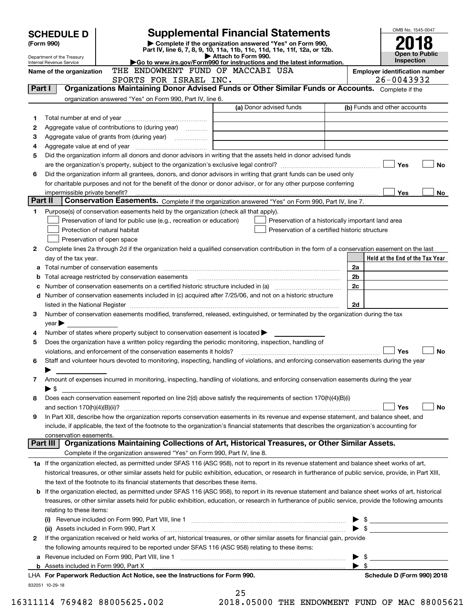|         | <b>SCHEDULE D</b>               |                                                                                                        | <b>Supplemental Financial Statements</b>                                                                                                                                                                                       |                         | OMB No. 1545-0047                                   |
|---------|---------------------------------|--------------------------------------------------------------------------------------------------------|--------------------------------------------------------------------------------------------------------------------------------------------------------------------------------------------------------------------------------|-------------------------|-----------------------------------------------------|
|         | (Form 990)                      |                                                                                                        | Complete if the organization answered "Yes" on Form 990,                                                                                                                                                                       |                         |                                                     |
|         | Department of the Treasury      |                                                                                                        | Part IV, line 6, 7, 8, 9, 10, 11a, 11b, 11c, 11d, 11e, 11f, 12a, or 12b.<br>Attach to Form 990.                                                                                                                                |                         | <b>Open to Public</b>                               |
|         | Internal Revenue Service        |                                                                                                        | Go to www.irs.gov/Form990 for instructions and the latest information.                                                                                                                                                         |                         | Inspection                                          |
|         | Name of the organization        | THE ENDOWMENT FUND OF MACCABI USA<br>SPORTS FOR ISRAEL INC.                                            |                                                                                                                                                                                                                                |                         | <b>Employer identification number</b><br>26-0043932 |
| Part I  |                                 |                                                                                                        | Organizations Maintaining Donor Advised Funds or Other Similar Funds or Accounts. Complete if the                                                                                                                              |                         |                                                     |
|         |                                 | organization answered "Yes" on Form 990, Part IV, line 6.                                              |                                                                                                                                                                                                                                |                         |                                                     |
|         |                                 |                                                                                                        | (a) Donor advised funds                                                                                                                                                                                                        |                         | (b) Funds and other accounts                        |
| 1       |                                 |                                                                                                        |                                                                                                                                                                                                                                |                         |                                                     |
| 2       |                                 | Aggregate value of contributions to (during year)                                                      |                                                                                                                                                                                                                                |                         |                                                     |
| з       |                                 |                                                                                                        |                                                                                                                                                                                                                                |                         |                                                     |
| 4       |                                 |                                                                                                        |                                                                                                                                                                                                                                |                         |                                                     |
| 5       |                                 |                                                                                                        | Did the organization inform all donors and donor advisors in writing that the assets held in donor advised funds                                                                                                               |                         |                                                     |
|         |                                 |                                                                                                        |                                                                                                                                                                                                                                |                         | Yes<br>No                                           |
| 6       |                                 |                                                                                                        | Did the organization inform all grantees, donors, and donor advisors in writing that grant funds can be used only                                                                                                              |                         |                                                     |
|         |                                 |                                                                                                        | for charitable purposes and not for the benefit of the donor or donor advisor, or for any other purpose conferring                                                                                                             |                         |                                                     |
|         |                                 |                                                                                                        |                                                                                                                                                                                                                                |                         | Yes<br>No l                                         |
| Part II |                                 |                                                                                                        | Conservation Easements. Complete if the organization answered "Yes" on Form 990, Part IV, line 7.                                                                                                                              |                         |                                                     |
| 1       |                                 | Purpose(s) of conservation easements held by the organization (check all that apply).                  |                                                                                                                                                                                                                                |                         |                                                     |
|         |                                 | Preservation of land for public use (e.g., recreation or education)                                    | Preservation of a historically important land area                                                                                                                                                                             |                         |                                                     |
|         |                                 | Protection of natural habitat                                                                          | Preservation of a certified historic structure                                                                                                                                                                                 |                         |                                                     |
|         |                                 | Preservation of open space                                                                             |                                                                                                                                                                                                                                |                         |                                                     |
| 2       |                                 |                                                                                                        | Complete lines 2a through 2d if the organization held a qualified conservation contribution in the form of a conservation easement on the last                                                                                 |                         | Held at the End of the Tax Year                     |
|         | day of the tax year.            |                                                                                                        |                                                                                                                                                                                                                                | 2a                      |                                                     |
|         |                                 |                                                                                                        |                                                                                                                                                                                                                                | 2b                      |                                                     |
|         |                                 |                                                                                                        |                                                                                                                                                                                                                                | 2c                      |                                                     |
| d       |                                 |                                                                                                        | Number of conservation easements included in (c) acquired after 7/25/06, and not on a historic structure                                                                                                                       |                         |                                                     |
|         |                                 |                                                                                                        | listed in the National Register [[11] matter contract the National Register of the National Register [11] matter of the National Register [11] matter of the National Register [11] matter of the National Register [11] matte | 2d                      |                                                     |
| з       |                                 |                                                                                                        | Number of conservation easements modified, transferred, released, extinguished, or terminated by the organization during the tax                                                                                               |                         |                                                     |
|         | $year \blacktriangleright$      |                                                                                                        |                                                                                                                                                                                                                                |                         |                                                     |
| 4       |                                 | Number of states where property subject to conservation easement is located $\blacktriangleright$      |                                                                                                                                                                                                                                |                         |                                                     |
| 5       |                                 | Does the organization have a written policy regarding the periodic monitoring, inspection, handling of |                                                                                                                                                                                                                                |                         |                                                     |
|         |                                 | violations, and enforcement of the conservation easements it holds?                                    |                                                                                                                                                                                                                                |                         | Yes<br>No                                           |
| 6       |                                 |                                                                                                        | Staff and volunteer hours devoted to monitoring, inspecting, handling of violations, and enforcing conservation easements during the year                                                                                      |                         |                                                     |
|         |                                 |                                                                                                        |                                                                                                                                                                                                                                |                         |                                                     |
| 7       |                                 |                                                                                                        | Amount of expenses incurred in monitoring, inspecting, handling of violations, and enforcing conservation easements during the year                                                                                            |                         |                                                     |
|         | $\blacktriangleright$ \$        |                                                                                                        |                                                                                                                                                                                                                                |                         |                                                     |
| 8       |                                 |                                                                                                        | Does each conservation easement reported on line 2(d) above satisfy the requirements of section 170(h)(4)(B)(i)                                                                                                                |                         |                                                     |
|         | and section $170(h)(4)(B)(ii)?$ |                                                                                                        |                                                                                                                                                                                                                                |                         | Yes<br>No                                           |
| 9       |                                 |                                                                                                        | In Part XIII, describe how the organization reports conservation easements in its revenue and expense statement, and balance sheet, and                                                                                        |                         |                                                     |
|         | conservation easements.         |                                                                                                        | include, if applicable, the text of the footnote to the organization's financial statements that describes the organization's accounting for                                                                                   |                         |                                                     |
|         | Part III                        |                                                                                                        | Organizations Maintaining Collections of Art, Historical Treasures, or Other Similar Assets.                                                                                                                                   |                         |                                                     |
|         |                                 | Complete if the organization answered "Yes" on Form 990, Part IV, line 8.                              |                                                                                                                                                                                                                                |                         |                                                     |
|         |                                 |                                                                                                        | 1a If the organization elected, as permitted under SFAS 116 (ASC 958), not to report in its revenue statement and balance sheet works of art,                                                                                  |                         |                                                     |
|         |                                 |                                                                                                        | historical treasures, or other similar assets held for public exhibition, education, or research in furtherance of public service, provide, in Part XIII,                                                                      |                         |                                                     |
|         |                                 | the text of the footnote to its financial statements that describes these items.                       |                                                                                                                                                                                                                                |                         |                                                     |
|         |                                 |                                                                                                        | <b>b</b> If the organization elected, as permitted under SFAS 116 (ASC 958), to report in its revenue statement and balance sheet works of art, historical                                                                     |                         |                                                     |
|         |                                 |                                                                                                        | treasures, or other similar assets held for public exhibition, education, or research in furtherance of public service, provide the following amounts                                                                          |                         |                                                     |
|         | relating to these items:        |                                                                                                        |                                                                                                                                                                                                                                |                         |                                                     |
|         |                                 |                                                                                                        |                                                                                                                                                                                                                                |                         | $\triangleright$ \$                                 |
|         |                                 | (ii) Assets included in Form 990, Part X                                                               |                                                                                                                                                                                                                                |                         | $\bullet$ \$                                        |
| 2       |                                 |                                                                                                        | If the organization received or held works of art, historical treasures, or other similar assets for financial gain, provide                                                                                                   |                         |                                                     |
|         |                                 | the following amounts required to be reported under SFAS 116 (ASC 958) relating to these items:        |                                                                                                                                                                                                                                |                         |                                                     |
|         |                                 |                                                                                                        |                                                                                                                                                                                                                                | - \$                    |                                                     |
|         |                                 |                                                                                                        |                                                                                                                                                                                                                                | $\blacktriangleright$ s |                                                     |
|         |                                 | LHA For Paperwork Reduction Act Notice, see the Instructions for Form 990.                             |                                                                                                                                                                                                                                |                         | Schedule D (Form 990) 2018                          |
|         | 832051 10-29-18                 |                                                                                                        | 25                                                                                                                                                                                                                             |                         |                                                     |
|         |                                 |                                                                                                        |                                                                                                                                                                                                                                |                         |                                                     |

16311114 769482 88005625.002 2018.05000 THE ENDOWMENT FUND OF MAC 88005621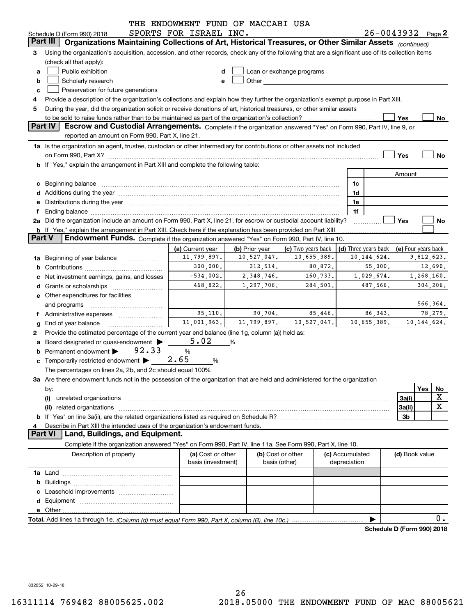|                                                                                                                                                                                                                                                    |                                                                                                                                                                                                                                | THE ENDOWMENT FUND OF MACCABI USA                                 |                |                           |                      |                            |                |                     |  |  |
|----------------------------------------------------------------------------------------------------------------------------------------------------------------------------------------------------------------------------------------------------|--------------------------------------------------------------------------------------------------------------------------------------------------------------------------------------------------------------------------------|-------------------------------------------------------------------|----------------|---------------------------|----------------------|----------------------------|----------------|---------------------|--|--|
|                                                                                                                                                                                                                                                    | Schedule D (Form 990) 2018                                                                                                                                                                                                     | SPORTS FOR ISRAEL INC.                                            |                |                           |                      | $26 - 0043932$ Page 2      |                |                     |  |  |
|                                                                                                                                                                                                                                                    | Organizations Maintaining Collections of Art, Historical Treasures, or Other Similar Assets (continued)<br>Part III                                                                                                            |                                                                   |                |                           |                      |                            |                |                     |  |  |
| З                                                                                                                                                                                                                                                  | Using the organization's acquisition, accession, and other records, check any of the following that are a significant use of its collection items                                                                              |                                                                   |                |                           |                      |                            |                |                     |  |  |
|                                                                                                                                                                                                                                                    | (check all that apply):                                                                                                                                                                                                        |                                                                   |                |                           |                      |                            |                |                     |  |  |
| a                                                                                                                                                                                                                                                  | Public exhibition                                                                                                                                                                                                              | d                                                                 |                | Loan or exchange programs |                      |                            |                |                     |  |  |
| b                                                                                                                                                                                                                                                  | Scholarly research                                                                                                                                                                                                             | e                                                                 |                |                           |                      |                            |                |                     |  |  |
| c                                                                                                                                                                                                                                                  | Preservation for future generations                                                                                                                                                                                            |                                                                   |                |                           |                      |                            |                |                     |  |  |
|                                                                                                                                                                                                                                                    | Provide a description of the organization's collections and explain how they further the organization's exempt purpose in Part XIII.                                                                                           |                                                                   |                |                           |                      |                            |                |                     |  |  |
| 5                                                                                                                                                                                                                                                  | During the year, did the organization solicit or receive donations of art, historical treasures, or other similar assets                                                                                                       |                                                                   |                |                           |                      |                            |                |                     |  |  |
|                                                                                                                                                                                                                                                    | to be sold to raise funds rather than to be maintained as part of the organization's collection?<br>Part IV                                                                                                                    |                                                                   |                |                           |                      | Yes                        |                | No                  |  |  |
|                                                                                                                                                                                                                                                    | Escrow and Custodial Arrangements. Complete if the organization answered "Yes" on Form 990, Part IV, line 9, or<br>reported an amount on Form 990, Part X, line 21.                                                            |                                                                   |                |                           |                      |                            |                |                     |  |  |
|                                                                                                                                                                                                                                                    |                                                                                                                                                                                                                                |                                                                   |                |                           |                      |                            |                |                     |  |  |
|                                                                                                                                                                                                                                                    | 1a Is the organization an agent, trustee, custodian or other intermediary for contributions or other assets not included                                                                                                       |                                                                   |                |                           |                      |                            |                |                     |  |  |
|                                                                                                                                                                                                                                                    |                                                                                                                                                                                                                                |                                                                   |                |                           |                      | Yes                        |                | No                  |  |  |
|                                                                                                                                                                                                                                                    | b If "Yes," explain the arrangement in Part XIII and complete the following table:                                                                                                                                             |                                                                   |                |                           |                      |                            |                |                     |  |  |
|                                                                                                                                                                                                                                                    |                                                                                                                                                                                                                                |                                                                   |                |                           |                      |                            | Amount         |                     |  |  |
|                                                                                                                                                                                                                                                    |                                                                                                                                                                                                                                |                                                                   |                |                           | 1c                   |                            |                |                     |  |  |
|                                                                                                                                                                                                                                                    |                                                                                                                                                                                                                                |                                                                   |                |                           | 1d                   |                            |                |                     |  |  |
|                                                                                                                                                                                                                                                    | e Distributions during the year manufactured and continuum and contact the year manufactured and contact the year manufactured and contact the year manufactured and contact the year manufactured and contact the year manufa |                                                                   |                |                           | 1e                   |                            |                |                     |  |  |
|                                                                                                                                                                                                                                                    | 1f<br>Ending balance manufactured and contract and contract and contract and contract and contract and contract and                                                                                                            |                                                                   |                |                           |                      |                            |                |                     |  |  |
| 2a Did the organization include an amount on Form 990, Part X, line 21, for escrow or custodial account liability?<br>Yes<br><b>b</b> If "Yes," explain the arrangement in Part XIII. Check here if the explanation has been provided on Part XIII |                                                                                                                                                                                                                                |                                                                   |                |                           |                      |                            |                |                     |  |  |
| <b>Part V</b>                                                                                                                                                                                                                                      | Endowment Funds. Complete if the organization answered "Yes" on Form 990, Part IV, line 10.                                                                                                                                    |                                                                   |                |                           |                      |                            |                |                     |  |  |
|                                                                                                                                                                                                                                                    |                                                                                                                                                                                                                                | (a) Current year                                                  | (b) Prior year | (c) Two years back        | (d) Three years back |                            |                | (e) Four years back |  |  |
| 1a                                                                                                                                                                                                                                                 | Beginning of year balance                                                                                                                                                                                                      | 11,799,897.                                                       | 10,527,047.    | 10,655,389.               | 10, 144, 624.        |                            |                | 9,812,623.          |  |  |
|                                                                                                                                                                                                                                                    |                                                                                                                                                                                                                                | 300,000.<br>312,514.<br>80,872.<br>55,000.<br>12,690.             |                |                           |                      |                            |                |                     |  |  |
|                                                                                                                                                                                                                                                    | Net investment earnings, gains, and losses                                                                                                                                                                                     | $-534,002.$<br>2,348,746.<br>160,733.<br>1,029,674.<br>1,268,160. |                |                           |                      |                            |                |                     |  |  |
|                                                                                                                                                                                                                                                    |                                                                                                                                                                                                                                | 468,822.<br>284,501.<br>487,566.<br>1,297,706.                    |                |                           |                      |                            |                |                     |  |  |
|                                                                                                                                                                                                                                                    | e Other expenditures for facilities                                                                                                                                                                                            |                                                                   |                |                           |                      |                            |                | 304,206.            |  |  |
|                                                                                                                                                                                                                                                    |                                                                                                                                                                                                                                |                                                                   |                |                           |                      |                            |                | 566,364.            |  |  |
|                                                                                                                                                                                                                                                    | and programs                                                                                                                                                                                                                   | 95,110.                                                           | 90,704.        | 85,446.                   |                      | 86,343.                    |                | 78,279.             |  |  |
|                                                                                                                                                                                                                                                    | Administrative expenses<br>End of year balance                                                                                                                                                                                 | 11,001,963.                                                       | 11,799,897.    | 10,527,047.               | 10,655,389.          |                            |                | 10, 144, 624.       |  |  |
| 2                                                                                                                                                                                                                                                  | Provide the estimated percentage of the current year end balance (line 1g, column (a)) held as:                                                                                                                                |                                                                   |                |                           |                      |                            |                |                     |  |  |
|                                                                                                                                                                                                                                                    | Board designated or quasi-endowment >                                                                                                                                                                                          | 5.02                                                              | %              |                           |                      |                            |                |                     |  |  |
| a                                                                                                                                                                                                                                                  | Permanent endowment $\triangleright$ 92.33                                                                                                                                                                                     | $\%$                                                              |                |                           |                      |                            |                |                     |  |  |
|                                                                                                                                                                                                                                                    | <b>c</b> Temporarily restricted endowment $\blacktriangleright$                                                                                                                                                                | 2.65<br>%                                                         |                |                           |                      |                            |                |                     |  |  |
|                                                                                                                                                                                                                                                    |                                                                                                                                                                                                                                |                                                                   |                |                           |                      |                            |                |                     |  |  |
|                                                                                                                                                                                                                                                    | The percentages on lines 2a, 2b, and 2c should equal 100%.<br>3a Are there endowment funds not in the possession of the organization that are held and administered for the organization                                       |                                                                   |                |                           |                      |                            |                |                     |  |  |
|                                                                                                                                                                                                                                                    |                                                                                                                                                                                                                                |                                                                   |                |                           |                      |                            |                | Yes<br>No           |  |  |
|                                                                                                                                                                                                                                                    | by:<br>(i)                                                                                                                                                                                                                     |                                                                   |                |                           |                      |                            | 3a(i)          | X                   |  |  |
|                                                                                                                                                                                                                                                    |                                                                                                                                                                                                                                |                                                                   |                |                           |                      |                            | 3a(ii)         | $\mathbf X$         |  |  |
|                                                                                                                                                                                                                                                    |                                                                                                                                                                                                                                |                                                                   |                |                           |                      |                            | 3b             |                     |  |  |
|                                                                                                                                                                                                                                                    | Describe in Part XIII the intended uses of the organization's endowment funds.                                                                                                                                                 |                                                                   |                |                           |                      |                            |                |                     |  |  |
|                                                                                                                                                                                                                                                    | Land, Buildings, and Equipment.<br>Part VI                                                                                                                                                                                     |                                                                   |                |                           |                      |                            |                |                     |  |  |
|                                                                                                                                                                                                                                                    | Complete if the organization answered "Yes" on Form 990, Part IV, line 11a. See Form 990, Part X, line 10.                                                                                                                     |                                                                   |                |                           |                      |                            |                |                     |  |  |
|                                                                                                                                                                                                                                                    | Description of property                                                                                                                                                                                                        | (a) Cost or other                                                 |                | (b) Cost or other         | (c) Accumulated      |                            | (d) Book value |                     |  |  |
|                                                                                                                                                                                                                                                    |                                                                                                                                                                                                                                | basis (investment)                                                |                | basis (other)             | depreciation         |                            |                |                     |  |  |
|                                                                                                                                                                                                                                                    |                                                                                                                                                                                                                                |                                                                   |                |                           |                      |                            |                |                     |  |  |
|                                                                                                                                                                                                                                                    |                                                                                                                                                                                                                                |                                                                   |                |                           |                      |                            |                |                     |  |  |
|                                                                                                                                                                                                                                                    |                                                                                                                                                                                                                                |                                                                   |                |                           |                      |                            |                |                     |  |  |
|                                                                                                                                                                                                                                                    |                                                                                                                                                                                                                                |                                                                   |                |                           |                      |                            |                |                     |  |  |
|                                                                                                                                                                                                                                                    |                                                                                                                                                                                                                                |                                                                   |                |                           |                      |                            |                |                     |  |  |
|                                                                                                                                                                                                                                                    |                                                                                                                                                                                                                                |                                                                   |                |                           |                      |                            |                | 0.                  |  |  |
|                                                                                                                                                                                                                                                    |                                                                                                                                                                                                                                |                                                                   |                |                           |                      | Schedule D (Form 990) 2018 |                |                     |  |  |
|                                                                                                                                                                                                                                                    |                                                                                                                                                                                                                                |                                                                   |                |                           |                      |                            |                |                     |  |  |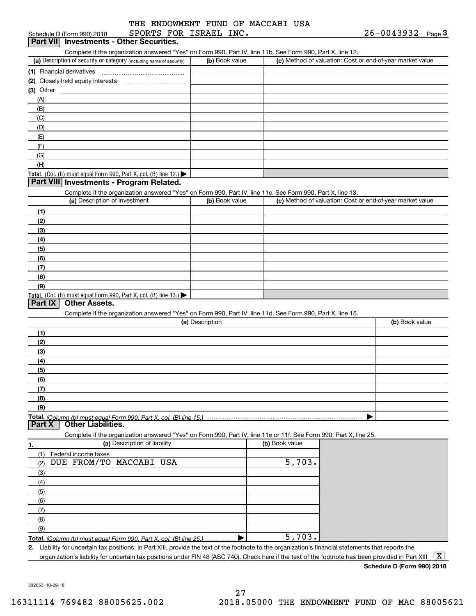|  |  |                        | THE ENDOWMENT FUND OF MACCABI USA |  |
|--|--|------------------------|-----------------------------------|--|
|  |  | SPORTS FOR ISRAEL INC. |                                   |  |

| Part VII Investments - Other Securities.<br>Complete if the organization answered "Yes" on Form 990, Part IV, line 11b. See Form 990, Part X, line 12.<br>(a) Description of security or category (including name of security)<br>$(3)$ Other<br>(A)<br>(B)<br>(C)<br>(D)<br>(E)<br>(F)<br>(G)<br>(H)<br>Total. (Col. (b) must equal Form 990, Part X, col. (B) line 12.) $\blacktriangleright$<br>Part VIII Investments - Program Related.<br>Complete if the organization answered "Yes" on Form 990, Part IV, line 11c. See Form 990, Part X, line 13.<br>(a) Description of investment<br>(1) | (b) Book value<br>(b) Book value |                |                      | (c) Method of valuation: Cost or end-of-year market value<br>(c) Method of valuation: Cost or end-of-year market value |
|---------------------------------------------------------------------------------------------------------------------------------------------------------------------------------------------------------------------------------------------------------------------------------------------------------------------------------------------------------------------------------------------------------------------------------------------------------------------------------------------------------------------------------------------------------------------------------------------------|----------------------------------|----------------|----------------------|------------------------------------------------------------------------------------------------------------------------|
|                                                                                                                                                                                                                                                                                                                                                                                                                                                                                                                                                                                                   |                                  |                |                      |                                                                                                                        |
|                                                                                                                                                                                                                                                                                                                                                                                                                                                                                                                                                                                                   |                                  |                |                      |                                                                                                                        |
|                                                                                                                                                                                                                                                                                                                                                                                                                                                                                                                                                                                                   |                                  |                |                      |                                                                                                                        |
|                                                                                                                                                                                                                                                                                                                                                                                                                                                                                                                                                                                                   |                                  |                |                      |                                                                                                                        |
|                                                                                                                                                                                                                                                                                                                                                                                                                                                                                                                                                                                                   |                                  |                |                      |                                                                                                                        |
|                                                                                                                                                                                                                                                                                                                                                                                                                                                                                                                                                                                                   |                                  |                |                      |                                                                                                                        |
|                                                                                                                                                                                                                                                                                                                                                                                                                                                                                                                                                                                                   |                                  |                |                      |                                                                                                                        |
|                                                                                                                                                                                                                                                                                                                                                                                                                                                                                                                                                                                                   |                                  |                |                      |                                                                                                                        |
|                                                                                                                                                                                                                                                                                                                                                                                                                                                                                                                                                                                                   |                                  |                |                      |                                                                                                                        |
|                                                                                                                                                                                                                                                                                                                                                                                                                                                                                                                                                                                                   |                                  |                |                      |                                                                                                                        |
|                                                                                                                                                                                                                                                                                                                                                                                                                                                                                                                                                                                                   |                                  |                |                      |                                                                                                                        |
|                                                                                                                                                                                                                                                                                                                                                                                                                                                                                                                                                                                                   |                                  |                |                      |                                                                                                                        |
|                                                                                                                                                                                                                                                                                                                                                                                                                                                                                                                                                                                                   |                                  |                |                      |                                                                                                                        |
|                                                                                                                                                                                                                                                                                                                                                                                                                                                                                                                                                                                                   |                                  |                |                      |                                                                                                                        |
|                                                                                                                                                                                                                                                                                                                                                                                                                                                                                                                                                                                                   |                                  |                |                      |                                                                                                                        |
|                                                                                                                                                                                                                                                                                                                                                                                                                                                                                                                                                                                                   |                                  |                |                      |                                                                                                                        |
|                                                                                                                                                                                                                                                                                                                                                                                                                                                                                                                                                                                                   |                                  |                |                      |                                                                                                                        |
|                                                                                                                                                                                                                                                                                                                                                                                                                                                                                                                                                                                                   |                                  |                |                      |                                                                                                                        |
|                                                                                                                                                                                                                                                                                                                                                                                                                                                                                                                                                                                                   |                                  |                |                      |                                                                                                                        |
| (2)                                                                                                                                                                                                                                                                                                                                                                                                                                                                                                                                                                                               |                                  |                |                      |                                                                                                                        |
| (3)                                                                                                                                                                                                                                                                                                                                                                                                                                                                                                                                                                                               |                                  |                |                      |                                                                                                                        |
|                                                                                                                                                                                                                                                                                                                                                                                                                                                                                                                                                                                                   |                                  |                |                      |                                                                                                                        |
| (4)                                                                                                                                                                                                                                                                                                                                                                                                                                                                                                                                                                                               |                                  |                |                      |                                                                                                                        |
| (5)                                                                                                                                                                                                                                                                                                                                                                                                                                                                                                                                                                                               |                                  |                |                      |                                                                                                                        |
| (6)                                                                                                                                                                                                                                                                                                                                                                                                                                                                                                                                                                                               |                                  |                |                      |                                                                                                                        |
| (7)                                                                                                                                                                                                                                                                                                                                                                                                                                                                                                                                                                                               |                                  |                |                      |                                                                                                                        |
| (8)                                                                                                                                                                                                                                                                                                                                                                                                                                                                                                                                                                                               |                                  |                |                      |                                                                                                                        |
| (9)                                                                                                                                                                                                                                                                                                                                                                                                                                                                                                                                                                                               |                                  |                |                      |                                                                                                                        |
| Total. (Col. (b) must equal Form 990, Part X, col. (B) line 13.)<br><b>Other Assets.</b>                                                                                                                                                                                                                                                                                                                                                                                                                                                                                                          |                                  |                |                      |                                                                                                                        |
| Part IX                                                                                                                                                                                                                                                                                                                                                                                                                                                                                                                                                                                           |                                  |                |                      |                                                                                                                        |
| Complete if the organization answered "Yes" on Form 990, Part IV, line 11d. See Form 990, Part X, line 15.                                                                                                                                                                                                                                                                                                                                                                                                                                                                                        |                                  |                |                      |                                                                                                                        |
|                                                                                                                                                                                                                                                                                                                                                                                                                                                                                                                                                                                                   | (a) Description                  |                |                      | (b) Book value                                                                                                         |
| (1)                                                                                                                                                                                                                                                                                                                                                                                                                                                                                                                                                                                               |                                  |                |                      |                                                                                                                        |
| (2)                                                                                                                                                                                                                                                                                                                                                                                                                                                                                                                                                                                               |                                  |                |                      |                                                                                                                        |
| (3)                                                                                                                                                                                                                                                                                                                                                                                                                                                                                                                                                                                               |                                  |                |                      |                                                                                                                        |
| (4)                                                                                                                                                                                                                                                                                                                                                                                                                                                                                                                                                                                               |                                  |                |                      |                                                                                                                        |
| (5)                                                                                                                                                                                                                                                                                                                                                                                                                                                                                                                                                                                               |                                  |                |                      |                                                                                                                        |
| (6)                                                                                                                                                                                                                                                                                                                                                                                                                                                                                                                                                                                               |                                  |                |                      |                                                                                                                        |
| (7)                                                                                                                                                                                                                                                                                                                                                                                                                                                                                                                                                                                               |                                  |                |                      |                                                                                                                        |
| (8)                                                                                                                                                                                                                                                                                                                                                                                                                                                                                                                                                                                               |                                  |                |                      |                                                                                                                        |
| (9)                                                                                                                                                                                                                                                                                                                                                                                                                                                                                                                                                                                               |                                  |                |                      |                                                                                                                        |
| <b>Total.</b> (Column (b) must equal Form 990. Part X, col. (B) line 15.) $\ldots$                                                                                                                                                                                                                                                                                                                                                                                                                                                                                                                |                                  |                |                      |                                                                                                                        |
| <b>Other Liabilities.</b><br>Part X                                                                                                                                                                                                                                                                                                                                                                                                                                                                                                                                                               |                                  |                |                      |                                                                                                                        |
| Complete if the organization answered "Yes" on Form 990, Part IV, line 11e or 11f. See Form 990, Part X, line 25.                                                                                                                                                                                                                                                                                                                                                                                                                                                                                 |                                  |                |                      |                                                                                                                        |
| (a) Description of liability<br>1.                                                                                                                                                                                                                                                                                                                                                                                                                                                                                                                                                                |                                  | (b) Book value |                      |                                                                                                                        |
| (1)<br>Federal income taxes                                                                                                                                                                                                                                                                                                                                                                                                                                                                                                                                                                       |                                  |                |                      |                                                                                                                        |
| DUE FROM/TO MACCABI USA<br>(2)                                                                                                                                                                                                                                                                                                                                                                                                                                                                                                                                                                    |                                  |                | $\overline{5,703}$ . |                                                                                                                        |
| (3)                                                                                                                                                                                                                                                                                                                                                                                                                                                                                                                                                                                               |                                  |                |                      |                                                                                                                        |
|                                                                                                                                                                                                                                                                                                                                                                                                                                                                                                                                                                                                   |                                  |                |                      |                                                                                                                        |
| (4)                                                                                                                                                                                                                                                                                                                                                                                                                                                                                                                                                                                               |                                  |                |                      |                                                                                                                        |
| (5)                                                                                                                                                                                                                                                                                                                                                                                                                                                                                                                                                                                               |                                  |                |                      |                                                                                                                        |
| (6)                                                                                                                                                                                                                                                                                                                                                                                                                                                                                                                                                                                               |                                  |                |                      |                                                                                                                        |
| (7)                                                                                                                                                                                                                                                                                                                                                                                                                                                                                                                                                                                               |                                  |                |                      |                                                                                                                        |
| (8)                                                                                                                                                                                                                                                                                                                                                                                                                                                                                                                                                                                               |                                  |                |                      |                                                                                                                        |
| (9)                                                                                                                                                                                                                                                                                                                                                                                                                                                                                                                                                                                               |                                  |                |                      |                                                                                                                        |
| Total. (Column (b) must equal Form 990. Part X, col. (B) line 25.)                                                                                                                                                                                                                                                                                                                                                                                                                                                                                                                                |                                  |                | 5,703.               |                                                                                                                        |
| 2. Liability for uncertain tax positions. In Part XIII, provide the text of the footnote to the organization's financial statements that reports the                                                                                                                                                                                                                                                                                                                                                                                                                                              |                                  |                |                      | $\mid$ X $\mid$                                                                                                        |

**Schedule D (Form 990) 2018**

832053 10-29-18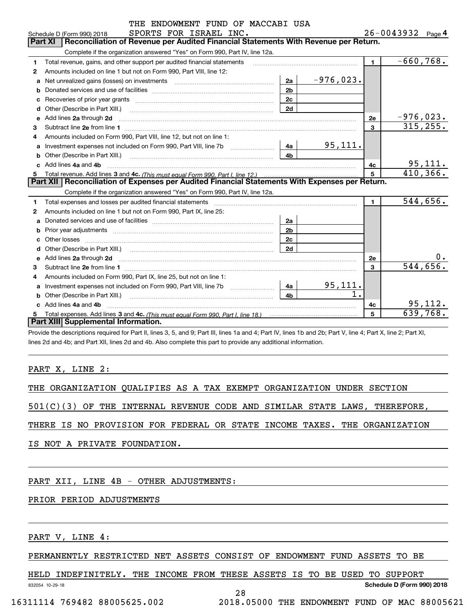|              | THE ENDOWMENT FUND OF MACCABI USA                                                                                                                                                                                                    |                |                |                         |                       |
|--------------|--------------------------------------------------------------------------------------------------------------------------------------------------------------------------------------------------------------------------------------|----------------|----------------|-------------------------|-----------------------|
|              | SPORTS FOR ISRAEL INC.<br>Schedule D (Form 990) 2018                                                                                                                                                                                 |                |                |                         | $26 - 0043932$ Page 4 |
|              | Reconciliation of Revenue per Audited Financial Statements With Revenue per Return.<br><b>Part XI</b>                                                                                                                                |                |                |                         |                       |
|              | Complete if the organization answered "Yes" on Form 990, Part IV, line 12a.                                                                                                                                                          |                |                |                         |                       |
| 1            | Total revenue, gains, and other support per audited financial statements                                                                                                                                                             |                |                | $\blacksquare$          | $-660,768.$           |
| 2            | Amounts included on line 1 but not on Form 990. Part VIII, line 12:                                                                                                                                                                  |                |                |                         |                       |
| a            |                                                                                                                                                                                                                                      | 2a             | $-976,023.$    |                         |                       |
| b            |                                                                                                                                                                                                                                      | 2 <sub>b</sub> |                |                         |                       |
| с            |                                                                                                                                                                                                                                      |                |                |                         |                       |
| d            |                                                                                                                                                                                                                                      | 2d             |                |                         |                       |
|              | e Add lines 2a through 2d                                                                                                                                                                                                            |                |                | 2e                      | $-976,023.$           |
| 3            |                                                                                                                                                                                                                                      |                |                | $\overline{\mathbf{3}}$ | 315, 255.             |
| 4            | Amounts included on Form 990, Part VIII, line 12, but not on line 1:                                                                                                                                                                 |                |                |                         |                       |
| a            | Investment expenses not included on Form 990, Part VIII, line 7b [1000000000000000000000000000000000                                                                                                                                 | 4a             | 95, 111.       |                         |                       |
| b            | Other (Describe in Part XIII.) <b>Construction Contract Construction</b> Chemistry Chemistry Chemistry Chemistry Chemistry                                                                                                           | 4 <sub>b</sub> |                |                         |                       |
|              | Add lines 4a and 4b                                                                                                                                                                                                                  | 4c             | <u>95,111.</u> |                         |                       |
| 5            |                                                                                                                                                                                                                                      |                |                | 410, 366.               |                       |
|              | Part XII   Reconciliation of Expenses per Audited Financial Statements With Expenses per Return.                                                                                                                                     |                |                |                         |                       |
|              | Complete if the organization answered "Yes" on Form 990, Part IV, line 12a.                                                                                                                                                          |                |                |                         |                       |
| 1            |                                                                                                                                                                                                                                      |                |                | $\blacksquare$          | 544,656.              |
| $\mathbf{2}$ | Amounts included on line 1 but not on Form 990, Part IX, line 25:                                                                                                                                                                    |                |                |                         |                       |
| a            |                                                                                                                                                                                                                                      | 2a             |                |                         |                       |
| b            |                                                                                                                                                                                                                                      | 2 <sub>b</sub> |                |                         |                       |
| c            |                                                                                                                                                                                                                                      | 2c             |                |                         |                       |
| d            | Other (Describe in Part XIII.) (COLORGIAL CONSERVISTION) (CONSERVISTION) (CONSERVISTION)                                                                                                                                             | 2d             |                |                         |                       |
| e            | Add lines 2a through 2d <b>contained a contained a contained a contained a contained a contained a contained a contained a contact a contact a contact a contact a contact a contact a contact a contact a contact a contact a c</b> |                |                | <b>2e</b>               | 0.                    |
| 3            |                                                                                                                                                                                                                                      |                |                | $\mathbf{3}$            | 544,656.              |
| 4            | Amounts included on Form 990, Part IX, line 25, but not on line 1:                                                                                                                                                                   |                |                |                         |                       |
| a            |                                                                                                                                                                                                                                      | 4a             | 95,111.        |                         |                       |
| b            | Other (Describe in Part XIII.)                                                                                                                                                                                                       | 4 <sub>h</sub> | 1.             |                         |                       |
|              | c Add lines 4a and 4b                                                                                                                                                                                                                |                |                | 4c                      | 95, 112.              |
| 5            |                                                                                                                                                                                                                                      |                |                | 5                       | 639,768.              |
|              | Part XIII Supplemental Information.                                                                                                                                                                                                  |                |                |                         |                       |

Provide the descriptions required for Part II, lines 3, 5, and 9; Part III, lines 1a and 4; Part IV, lines 1b and 2b; Part V, line 4; Part X, line 2; Part XI, lines 2d and 4b; and Part XII, lines 2d and 4b. Also complete this part to provide any additional information.

#### PART X, LINE 2:

THE ORGANIZATION QUALIFIES AS A TAX EXEMPT ORGANIZATION UNDER SECTION

501(C)(3) OF THE INTERNAL REVENUE CODE AND SIMILAR STATE LAWS, THEREFORE,

THERE IS NO PROVISION FOR FEDERAL OR STATE INCOME TAXES. THE ORGANIZATION

IS NOT A PRIVATE FOUNDATION.

#### PART XII, LINE 4B - OTHER ADJUSTMENTS:

### PRIOR PERIOD ADJUSTMENTS

PART V, LINE 4:

PERMANENTLY RESTRICTED NET ASSETS CONSIST OF ENDOWMENT FUND ASSETS TO BE

HELD INDEFINITELY. THE INCOME FROM THESE ASSETS IS TO BE USED TO SUPPORT

28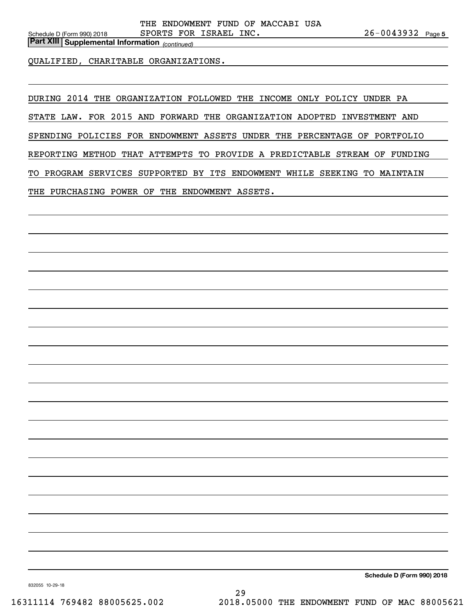*(continued)* **Part XIII Supplemental Information** 

QUALIFIED, CHARITABLE ORGANIZATIONS.

DURING 2014 THE ORGANIZATION FOLLOWED THE INCOME ONLY POLICY UNDER PA

STATE LAW. FOR 2015 AND FORWARD THE ORGANIZATION ADOPTED INVESTMENT AND

SPENDING POLICIES FOR ENDOWMENT ASSETS UNDER THE PERCENTAGE OF PORTFOLIO

REPORTING METHOD THAT ATTEMPTS TO PROVIDE A PREDICTABLE STREAM OF FUNDING

TO PROGRAM SERVICES SUPPORTED BY ITS ENDOWMENT WHILE SEEKING TO MAINTAIN

THE PURCHASING POWER OF THE ENDOWMENT ASSETS.

**Schedule D (Form 990) 2018**

832055 10-29-18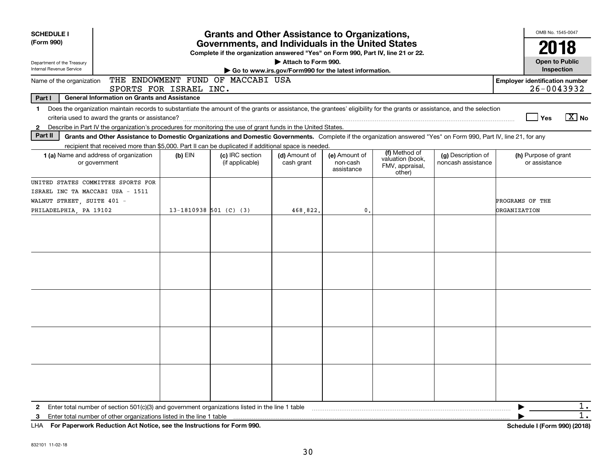| <b>SCHEDULE I</b>                                                                        |                                                                                                                                                                                                                                                                          |                        | <b>Grants and Other Assistance to Organizations,</b>                                                                                  |                                                                              |                                         |                                                                |                                          |                                        | OMB No. 1545-0047                                   |
|------------------------------------------------------------------------------------------|--------------------------------------------------------------------------------------------------------------------------------------------------------------------------------------------------------------------------------------------------------------------------|------------------------|---------------------------------------------------------------------------------------------------------------------------------------|------------------------------------------------------------------------------|-----------------------------------------|----------------------------------------------------------------|------------------------------------------|----------------------------------------|-----------------------------------------------------|
| (Form 990)                                                                               |                                                                                                                                                                                                                                                                          |                        | Governments, and Individuals in the United States<br>Complete if the organization answered "Yes" on Form 990, Part IV, line 21 or 22. |                                                                              |                                         |                                                                |                                          |                                        | 2018                                                |
| Department of the Treasury<br>Internal Revenue Service                                   |                                                                                                                                                                                                                                                                          |                        |                                                                                                                                       | Attach to Form 990.<br>Go to www.irs.gov/Form990 for the latest information. |                                         |                                                                |                                          |                                        | <b>Open to Public</b><br>Inspection                 |
| Name of the organization                                                                 |                                                                                                                                                                                                                                                                          | SPORTS FOR ISRAEL INC. | THE ENDOWMENT FUND OF MACCABI USA                                                                                                     |                                                                              |                                         |                                                                |                                          |                                        | <b>Employer identification number</b><br>26-0043932 |
| Part I                                                                                   | <b>General Information on Grants and Assistance</b>                                                                                                                                                                                                                      |                        |                                                                                                                                       |                                                                              |                                         |                                                                |                                          |                                        |                                                     |
|                                                                                          | 1 Does the organization maintain records to substantiate the amount of the grants or assistance, the grantees' eligibility for the grants or assistance, and the selection                                                                                               |                        |                                                                                                                                       |                                                                              |                                         |                                                                |                                          |                                        | $\sqrt{X}$ No<br>Yes                                |
| $\mathbf{2}$                                                                             | Describe in Part IV the organization's procedures for monitoring the use of grant funds in the United States.                                                                                                                                                            |                        |                                                                                                                                       |                                                                              |                                         |                                                                |                                          |                                        |                                                     |
| Part II                                                                                  | Grants and Other Assistance to Domestic Organizations and Domestic Governments. Complete if the organization answered "Yes" on Form 990, Part IV, line 21, for any<br>recipient that received more than \$5,000. Part II can be duplicated if additional space is needed |                        |                                                                                                                                       |                                                                              |                                         |                                                                |                                          |                                        |                                                     |
|                                                                                          | <b>1 (a)</b> Name and address of organization<br>or government                                                                                                                                                                                                           | $(b)$ EIN              | (c) IRC section<br>(if applicable)                                                                                                    | (d) Amount of<br>cash grant                                                  | (e) Amount of<br>non-cash<br>assistance | (f) Method of<br>valuation (book,<br>FMV, appraisal,<br>other) | (g) Description of<br>noncash assistance |                                        | (h) Purpose of grant<br>or assistance               |
| ISRAEL INC TA MACCABI USA - 1511<br>WALNUT STREET, SUITE 401 -<br>PHILADELPHIA, PA 19102 | UNITED STATES COMMITTEE SPORTS FOR                                                                                                                                                                                                                                       | 13-1810938 501 (C) (3) |                                                                                                                                       | 468,822.                                                                     | $\mathbf 0$ .                           |                                                                |                                          | PROGRAMS OF THE<br><b>ORGANIZATION</b> |                                                     |
|                                                                                          |                                                                                                                                                                                                                                                                          |                        |                                                                                                                                       |                                                                              |                                         |                                                                |                                          |                                        |                                                     |
|                                                                                          |                                                                                                                                                                                                                                                                          |                        |                                                                                                                                       |                                                                              |                                         |                                                                |                                          |                                        |                                                     |
|                                                                                          |                                                                                                                                                                                                                                                                          |                        |                                                                                                                                       |                                                                              |                                         |                                                                |                                          |                                        |                                                     |
|                                                                                          |                                                                                                                                                                                                                                                                          |                        |                                                                                                                                       |                                                                              |                                         |                                                                |                                          |                                        |                                                     |
|                                                                                          |                                                                                                                                                                                                                                                                          |                        |                                                                                                                                       |                                                                              |                                         |                                                                |                                          |                                        |                                                     |
| $\mathbf{2}$                                                                             | Enter total number of section $501(c)(3)$ and government organizations listed in the line 1 table                                                                                                                                                                        |                        |                                                                                                                                       |                                                                              |                                         |                                                                |                                          |                                        | $1$ .                                               |
| 3                                                                                        | Enter total number of other organizations listed in the line 1 table                                                                                                                                                                                                     |                        |                                                                                                                                       |                                                                              |                                         |                                                                |                                          |                                        | $1$ .                                               |
|                                                                                          | LHA For Paperwork Reduction Act Notice, see the Instructions for Form 990.                                                                                                                                                                                               |                        |                                                                                                                                       |                                                                              |                                         |                                                                |                                          |                                        | Schedule I (Form 990) (2018)                        |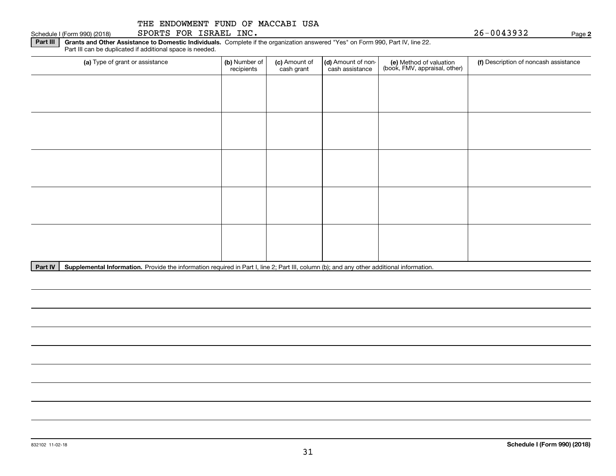Schedule I (Form 990) (2018)  ${\tt SPORTS}$   ${\tt FOR}$   ${\tt ISRAEL}$   ${\tt INC}$  .  $\hfill$   $\hfill$   $\hfill$   $\hfill$   $\hfill$   $\hfill$   $\hfill$   $\hfill$   $\hfill$   $\hfill$   $\hfill$   $\hfill$   $\hfill$   $\hfill$   $\hfill$   $\hfill$   $\hfill$   $\hfill$   $\hfill$   $\hfill$   $\hfill$   $\hfill$   $\hfill$   $\hfill$   $\hfill$   $\hfill$ 

**Part III | Grants and Other Assistance to Domestic Individuals. Complete if the organization answered "Yes" on Form 990, Part IV, line 22.** Part III can be duplicated if additional space is needed.

| (a) Type of grant or assistance | (b) Number of<br>recipients | (c) Amount of<br>cash grant | (d) Amount of non-<br>cash assistance | (e) Method of valuation<br>(book, FMV, appraisal, other) | (f) Description of noncash assistance |  |  |  |
|---------------------------------|-----------------------------|-----------------------------|---------------------------------------|----------------------------------------------------------|---------------------------------------|--|--|--|
|                                 |                             |                             |                                       |                                                          |                                       |  |  |  |
|                                 |                             |                             |                                       |                                                          |                                       |  |  |  |
|                                 |                             |                             |                                       |                                                          |                                       |  |  |  |
|                                 |                             |                             |                                       |                                                          |                                       |  |  |  |
|                                 |                             |                             |                                       |                                                          |                                       |  |  |  |
|                                 |                             |                             |                                       |                                                          |                                       |  |  |  |
|                                 |                             |                             |                                       |                                                          |                                       |  |  |  |
|                                 |                             |                             |                                       |                                                          |                                       |  |  |  |
|                                 |                             |                             |                                       |                                                          |                                       |  |  |  |
|                                 |                             |                             |                                       |                                                          |                                       |  |  |  |

Part IV | Supplemental Information. Provide the information required in Part I, line 2; Part III, column (b); and any other additional information.

**2**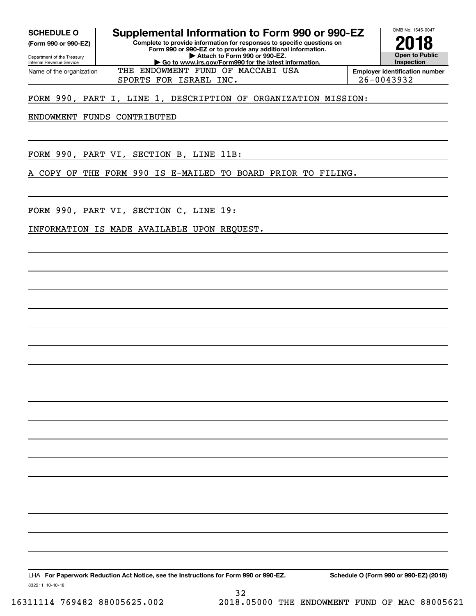Internal Revenue Service

Department of the Treasury **(Form 990 or 990-EZ)**

Name of the organization

**Complete to provide information for responses to specific questions on Form 990 or 990-EZ or to provide any additional information. | Attach to Form 990 or 990-EZ. | Go to www.irs.gov/Form990 for the latest information. SCHEDULE O Supplemental Information to Form 990 or 990-EZ** OMB No. 1545-0047 **Open to Public Inspection2018**

SPORTS FOR ISRAEL INC. 26-0043932 THE ENDOWMENT FUND OF MACCABI USA

**Employer identification number**

#### FORM 990, PART I, LINE 1, DESCRIPTION OF ORGANIZATION MISSION:

ENDOWMENT FUNDS CONTRIBUTED

FORM 990, PART VI, SECTION B, LINE 11B:

A COPY OF THE FORM 990 IS E-MAILED TO BOARD PRIOR TO FILING.

FORM 990, PART VI, SECTION C, LINE 19:

INFORMATION IS MADE AVAILABLE UPON REQUEST.

LHA For Paperwork Reduction Act Notice, see the Instructions for Form 990 or 990-EZ. Schedule O (Form 990 or 990-EZ) (2018)

32

832211 10-10-18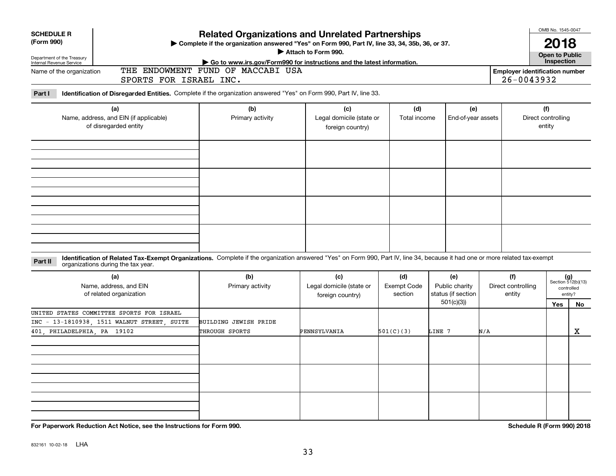| <b>SCHEDULE R</b><br>(Form 990)<br>Department of the Treasury<br>Internal Revenue Service<br>Name of the organization<br>Part I | SPORTS FOR ISRAEL INC.<br>Identification of Disregarded Entities. Complete if the organization answered "Yes" on Form 990, Part IV, line 33.                                                                       | <b>Related Organizations and Unrelated Partnerships</b><br>> Complete if the organization answered "Yes" on Form 990, Part IV, line 33, 34, 35b, 36, or 37.<br>Go to www.irs.gov/Form990 for instructions and the latest information.<br>THE ENDOWMENT FUND OF MACCABI USA | Attach to Form 990.                                 |                                      |                                                          |                                     | <b>Employer identification number</b><br>26-0043932 | OMB No. 1545-0047<br>2018<br><b>Open to Public</b><br>Inspection   |             |
|---------------------------------------------------------------------------------------------------------------------------------|--------------------------------------------------------------------------------------------------------------------------------------------------------------------------------------------------------------------|----------------------------------------------------------------------------------------------------------------------------------------------------------------------------------------------------------------------------------------------------------------------------|-----------------------------------------------------|--------------------------------------|----------------------------------------------------------|-------------------------------------|-----------------------------------------------------|--------------------------------------------------------------------|-------------|
|                                                                                                                                 | (a)<br>Name, address, and EIN (if applicable)<br>of disregarded entity                                                                                                                                             | (b)<br>Primary activity                                                                                                                                                                                                                                                    | (c)<br>Legal domicile (state or<br>foreign country) | (d)<br>Total income                  | (e)<br>End-of-year assets                                |                                     | Direct controlling                                  | (f)<br>entity                                                      |             |
| Part II                                                                                                                         | Identification of Related Tax-Exempt Organizations. Complete if the organization answered "Yes" on Form 990, Part IV, line 34, because it had one or more related tax-exempt<br>organizations during the tax year. |                                                                                                                                                                                                                                                                            |                                                     |                                      |                                                          |                                     |                                                     |                                                                    |             |
| (a)<br>Name, address, and EIN<br>of related organization                                                                        |                                                                                                                                                                                                                    | (b)<br>Primary activity                                                                                                                                                                                                                                                    | (c)<br>Legal domicile (state or<br>foreign country) | (d)<br><b>Exempt Code</b><br>section | (e)<br>Public charity<br>status (if section<br>501(c)(3) | (f)<br>Direct controlling<br>entity |                                                     | $(g)$<br>Section 512(b)(13)<br>controlled<br>entity?<br><b>Yes</b> | No          |
| 401 PHILADELPHIA PA 19102                                                                                                       | UNITED STATES COMMITTEE SPORTS FOR ISRAEL<br>INC - 13-1810938, 1511 WALNUT STREET, SUITE                                                                                                                           | BUILDING JEWISH PRIDE<br>THROUGH SPORTS                                                                                                                                                                                                                                    | PENNSYLVANIA                                        | 501(C)(3)                            | LINE 7                                                   | N/A                                 |                                                     |                                                                    | $\mathbf X$ |
|                                                                                                                                 |                                                                                                                                                                                                                    |                                                                                                                                                                                                                                                                            |                                                     |                                      |                                                          |                                     |                                                     |                                                                    |             |

**For Paperwork Reduction Act Notice, see the Instructions for Form 990. Schedule R (Form 990) 2018**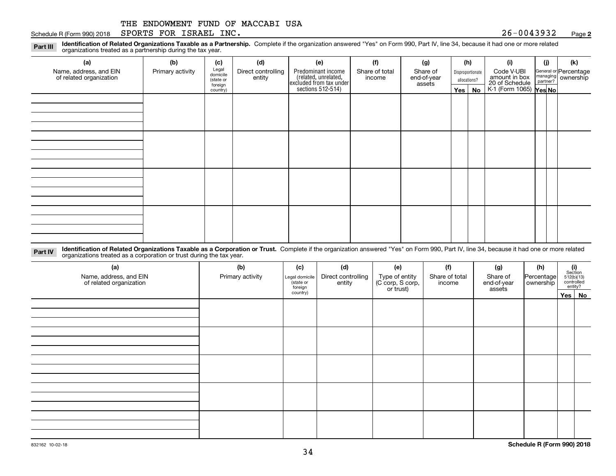#### Schedule R (Form 990) 2018  ${\tt SPORTS}$   ${\tt FOR}$   ${\tt ISRAEL}$   ${\tt INC}$  .  ${\tt QSE}$  .  ${\tt QSE}$  .  ${\tt QSE}$  .  ${\tt QSE}$  .  ${\tt QSE}$  .  ${\tt QSE}$  .  ${\tt QSE}$  .  ${\tt QSE}$  .  ${\tt QSE}$  .  ${\tt QSE}$  .  ${\tt QSE}$  .  ${\tt QSE}$  .  ${\tt QSE}$  .  ${\tt QSE}$  .  ${\tt QSE}$  .  ${\tt QSE}$

**2**

**Identification of Related Organizations Taxable as a Partnership.** Complete if the organization answered "Yes" on Form 990, Part IV, line 34, because it had one or more related **Part III** organizations treated as a partnership during the tax year.

| (a)                                               | (b)              | (c)                  | (d)                          | (e)                                                                   | (f)                      | (g)                     |              | (h)              | (i)                                      | (i) | (k)                                                     |
|---------------------------------------------------|------------------|----------------------|------------------------------|-----------------------------------------------------------------------|--------------------------|-------------------------|--------------|------------------|------------------------------------------|-----|---------------------------------------------------------|
| Name, address, and EIN<br>of related organization | Primary activity | Legal<br>domicile    | Direct controlling<br>entity | Predominant income                                                    | Share of total<br>income | Share of<br>end-of-year |              | Disproportionate | Code V-UBI<br>amount in box              |     | General or Percentage<br>managing ownership<br>partner? |
|                                                   |                  | (state or<br>foreign |                              |                                                                       |                          | assets                  | allocations? |                  |                                          |     |                                                         |
|                                                   |                  | country)             |                              | ricolated, unrelated,<br>excluded from tax under<br>sections 512-514) |                          |                         | Yes $ $      | No               | 20 of Schedule<br>K-1 (Form 1065) Yes No |     |                                                         |
|                                                   |                  |                      |                              |                                                                       |                          |                         |              |                  |                                          |     |                                                         |
|                                                   |                  |                      |                              |                                                                       |                          |                         |              |                  |                                          |     |                                                         |
|                                                   |                  |                      |                              |                                                                       |                          |                         |              |                  |                                          |     |                                                         |
|                                                   |                  |                      |                              |                                                                       |                          |                         |              |                  |                                          |     |                                                         |
|                                                   |                  |                      |                              |                                                                       |                          |                         |              |                  |                                          |     |                                                         |
|                                                   |                  |                      |                              |                                                                       |                          |                         |              |                  |                                          |     |                                                         |
|                                                   |                  |                      |                              |                                                                       |                          |                         |              |                  |                                          |     |                                                         |
|                                                   |                  |                      |                              |                                                                       |                          |                         |              |                  |                                          |     |                                                         |
|                                                   |                  |                      |                              |                                                                       |                          |                         |              |                  |                                          |     |                                                         |
|                                                   |                  |                      |                              |                                                                       |                          |                         |              |                  |                                          |     |                                                         |
|                                                   |                  |                      |                              |                                                                       |                          |                         |              |                  |                                          |     |                                                         |
|                                                   |                  |                      |                              |                                                                       |                          |                         |              |                  |                                          |     |                                                         |
|                                                   |                  |                      |                              |                                                                       |                          |                         |              |                  |                                          |     |                                                         |
|                                                   |                  |                      |                              |                                                                       |                          |                         |              |                  |                                          |     |                                                         |
|                                                   |                  |                      |                              |                                                                       |                          |                         |              |                  |                                          |     |                                                         |
|                                                   |                  |                      |                              |                                                                       |                          |                         |              |                  |                                          |     |                                                         |
|                                                   |                  |                      |                              |                                                                       |                          |                         |              |                  |                                          |     |                                                         |

**Identification of Related Organizations Taxable as a Corporation or Trust.** Complete if the organization answered "Yes" on Form 990, Part IV, line 34, because it had one or more related **Part IV** organizations treated as a corporation or trust during the tax year.

| (a)<br>Name, address, and EIN<br>of related organization | (b)<br>Primary activity | (c)<br>Legal domicile<br>(state or<br>foreign | (d)<br>Direct controlling<br>entity | (e)<br>Type of entity<br>(C corp, S corp,<br>or trust) | (f)<br>Share of total<br>income | (g)<br>Share of<br>end-of-year<br>assets | (h)<br> Percentage <br>ownership | (i)<br>Section<br>512(b)(13)<br>controlled | entity? |
|----------------------------------------------------------|-------------------------|-----------------------------------------------|-------------------------------------|--------------------------------------------------------|---------------------------------|------------------------------------------|----------------------------------|--------------------------------------------|---------|
|                                                          |                         | country)                                      |                                     |                                                        |                                 |                                          |                                  | Yes No                                     |         |
|                                                          |                         |                                               |                                     |                                                        |                                 |                                          |                                  |                                            |         |
|                                                          |                         |                                               |                                     |                                                        |                                 |                                          |                                  |                                            |         |
|                                                          |                         |                                               |                                     |                                                        |                                 |                                          |                                  |                                            |         |
|                                                          |                         |                                               |                                     |                                                        |                                 |                                          |                                  |                                            |         |
|                                                          |                         |                                               |                                     |                                                        |                                 |                                          |                                  |                                            |         |
|                                                          |                         |                                               |                                     |                                                        |                                 |                                          |                                  |                                            |         |
|                                                          |                         |                                               |                                     |                                                        |                                 |                                          |                                  |                                            |         |
|                                                          |                         |                                               |                                     |                                                        |                                 |                                          |                                  |                                            |         |
|                                                          |                         |                                               |                                     |                                                        |                                 |                                          |                                  |                                            |         |
|                                                          |                         |                                               |                                     |                                                        |                                 |                                          |                                  |                                            |         |
|                                                          |                         |                                               |                                     |                                                        |                                 |                                          |                                  |                                            |         |
|                                                          |                         |                                               |                                     |                                                        |                                 |                                          |                                  |                                            |         |
|                                                          |                         |                                               |                                     |                                                        |                                 |                                          |                                  |                                            |         |
|                                                          |                         |                                               |                                     |                                                        |                                 |                                          |                                  |                                            |         |
|                                                          |                         |                                               |                                     |                                                        |                                 |                                          |                                  |                                            |         |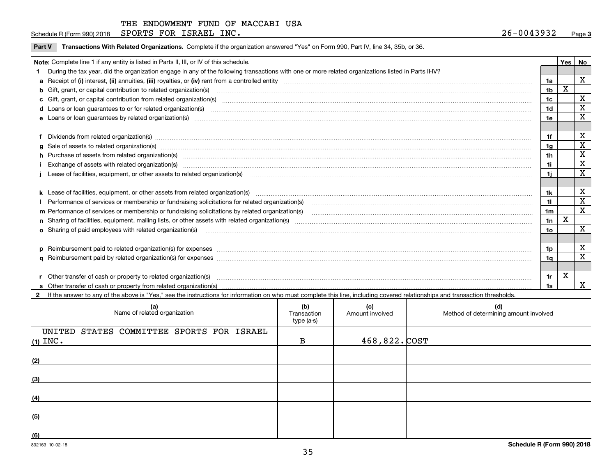Schedule R (Form 990) 2018  ${\tt SPORTS}$   ${\tt FOR}$   ${\tt ISRAEL}$   ${\tt INC}$  .  ${\tt QSE}$  .  ${\tt QSE}$  .  ${\tt QSE}$  .  ${\tt QSE}$  .  ${\tt QSE}$  .  ${\tt QSE}$  .  ${\tt QSE}$  .  ${\tt QSE}$  .  ${\tt QSE}$  .  ${\tt QSE}$  .  ${\tt QSE}$  .  ${\tt QSE}$  .  ${\tt QSE}$  .  ${\tt QSE}$  .  ${\tt QSE}$  .  ${\tt QSE}$ 

|  |  | Part V Transactions With Related Organizations. Complete if the organization answered "Yes" on Form 990, Part IV, line 34, 35b, or 36. |  |  |  |
|--|--|----------------------------------------------------------------------------------------------------------------------------------------|--|--|--|
|--|--|----------------------------------------------------------------------------------------------------------------------------------------|--|--|--|

|  | Note: Complete line 1 if any entity is listed in Parts II, III, or IV of this schedule.                                                                                                                                        |                 | Yes         | No                      |  |  |  |  |
|--|--------------------------------------------------------------------------------------------------------------------------------------------------------------------------------------------------------------------------------|-----------------|-------------|-------------------------|--|--|--|--|
|  | During the tax year, did the organization engage in any of the following transactions with one or more related organizations listed in Parts II-IV?                                                                            |                 |             |                         |  |  |  |  |
|  |                                                                                                                                                                                                                                | 1a              |             | $\mathbf x$             |  |  |  |  |
|  | b Gift, grant, or capital contribution to related organization(s) manufaction contracts and contribution to related organization(s)                                                                                            | 1 <sub>b</sub>  | X           |                         |  |  |  |  |
|  |                                                                                                                                                                                                                                | 1 <sub>c</sub>  |             | X                       |  |  |  |  |
|  | d Loans or loan guarantees to or for related organization(s) www.communically.com/www.communically.com/www.communically.com/www.communically.com/www.communically.com/www.communically.com/www.communically.com/www.communical | 1d              |             | X                       |  |  |  |  |
|  |                                                                                                                                                                                                                                | 1e              |             | X                       |  |  |  |  |
|  |                                                                                                                                                                                                                                |                 |             |                         |  |  |  |  |
|  | Dividends from related organization(s) manufactured and contract and contract or produced and contract and contract and contract and contract and contract and contract and contract and contract and contract and contract an | 1f              |             | X                       |  |  |  |  |
|  | g Sale of assets to related organization(s) www.assettion.com/www.assettion.com/www.assettion.com/www.assettion.com/www.assettion.com/www.assettion.com/www.assettion.com/www.assettion.com/www.assettion.com/www.assettion.co | 1g              |             | $\overline{\mathbf{X}}$ |  |  |  |  |
|  | h Purchase of assets from related organization(s) manufactured contains and contains a set of assets from related organization(s)                                                                                              | 1 <sub>h</sub>  |             | $\mathbf x$             |  |  |  |  |
|  |                                                                                                                                                                                                                                | 1i              |             | X                       |  |  |  |  |
|  | Lease of facilities, equipment, or other assets to related organization(s) material content and content and content and content and content and content and content and content and content and content and content and conten | 1i              |             | X                       |  |  |  |  |
|  |                                                                                                                                                                                                                                |                 |             |                         |  |  |  |  |
|  |                                                                                                                                                                                                                                | 1k              |             | х                       |  |  |  |  |
|  |                                                                                                                                                                                                                                | 11              |             | X                       |  |  |  |  |
|  | m Performance of services or membership or fundraising solicitations by related organization(s)                                                                                                                                | 1 <sub>m</sub>  |             | $\mathbf x$             |  |  |  |  |
|  |                                                                                                                                                                                                                                | 1n              | $\mathbf X$ |                         |  |  |  |  |
|  | o Sharing of paid employees with related organization(s) manufactured and content to the content of the content of the content of the content of the content of the content of the content of the content of the content of th | 10 <sub>o</sub> |             | X                       |  |  |  |  |
|  |                                                                                                                                                                                                                                |                 |             |                         |  |  |  |  |
|  | p Reimbursement paid to related organization(s) for expenses [1111] and the content of the content of the content of the content of the content of the content of the content of the content of the content of the content of  | 1p              |             | х                       |  |  |  |  |
|  |                                                                                                                                                                                                                                | 1a              |             | $\overline{\mathbf{X}}$ |  |  |  |  |
|  |                                                                                                                                                                                                                                |                 |             |                         |  |  |  |  |
|  | Other transfer of cash or property to related organization(s)                                                                                                                                                                  | 1r              | х           |                         |  |  |  |  |
|  |                                                                                                                                                                                                                                |                 |             | $\mathbf{x}$            |  |  |  |  |

**2**If the answer to any of the above is "Yes," see the instructions for information on who must complete this line, including covered relationships and transaction thresholds.

| (a)<br>Name of related organization                     | (b)<br>Transaction<br>type (a-s) | (c)<br>Amount involved | (d)<br>Method of determining amount involved |
|---------------------------------------------------------|----------------------------------|------------------------|----------------------------------------------|
| UNITED STATES COMMITTEE SPORTS FOR ISRAEL<br>$(1)$ INC. | B                                | 468,822. COST          |                                              |
| (2)                                                     |                                  |                        |                                              |
| (3)                                                     |                                  |                        |                                              |
| (4)                                                     |                                  |                        |                                              |
| (5)                                                     |                                  |                        |                                              |
| (6)                                                     |                                  |                        |                                              |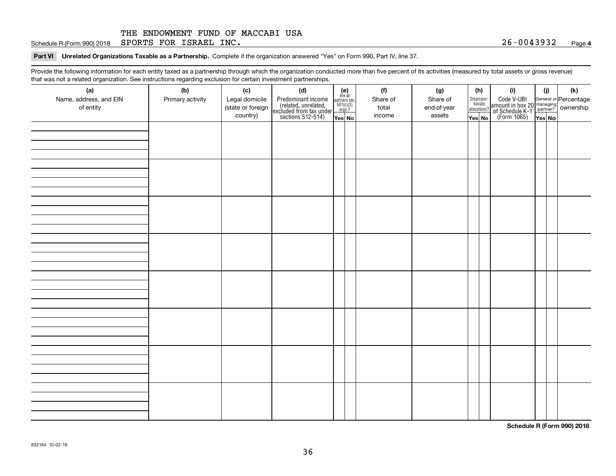Schedule R (Form 990) 2018  ${\tt SPORTS}$   ${\tt FOR}$   ${\tt ISRAEL}$   ${\tt INC}$  .  ${\tt QSE}$  . And  ${\tt QSE}$  .  ${\tt QSE}$  .  ${\tt QSE}$  .  ${\tt QSE}$  .  ${\tt QSE}$  .  ${\tt QSE}$  .  ${\tt QSE}$  .  ${\tt QSE}$  .  ${\tt QSE}$  .  ${\tt QSE}$  .  ${\tt QSE}$  .  ${\tt QSE}$  .  ${\tt QSE}$  .  ${\tt QSE}$  .  ${\tt$ 

**Part VI Unrelated Organizations Taxable as a Partnership. Complete if the organization answered "Yes" on Form 990, Part IV, line 37.** 

Provide the following information for each entity taxed as a partnership through which the organization conducted more than five percent of its activities (measured by total assets or gross revenue) that was not a related organization. See instructions regarding exclusion for certain investment partnerships.

| (a)<br>Name, address, and EIN<br>of entity | (b)<br>Primary activity | (c)<br>Legal domicile<br>(state or foreign<br>country) | (d)<br>Predominant income<br>(related, unrelated,<br>excluded from tax under<br>sections 512-514) | $\begin{array}{c} \textbf{(e)}\\ \text{Are all} \\ \text{partners sec.}\\ 501(c)(3)\\ \text{orgs.?} \end{array}$<br>$Yes$ No | (f)<br>Share of<br>total<br>income | (g)<br>Share of<br>end-of-year<br>assets | (h)<br>Dispropor-<br>tionate<br>allocations?<br>Yes No | (i)<br>Code V-UBI<br>amount in box 20 managing<br>of Schedule K-1 partner? ownership<br>(Form 1065)<br>ves No | (i)<br>Yes No | (k) |
|--------------------------------------------|-------------------------|--------------------------------------------------------|---------------------------------------------------------------------------------------------------|------------------------------------------------------------------------------------------------------------------------------|------------------------------------|------------------------------------------|--------------------------------------------------------|---------------------------------------------------------------------------------------------------------------|---------------|-----|
|                                            |                         |                                                        |                                                                                                   |                                                                                                                              |                                    |                                          |                                                        |                                                                                                               |               |     |
|                                            |                         |                                                        |                                                                                                   |                                                                                                                              |                                    |                                          |                                                        |                                                                                                               |               |     |
|                                            |                         |                                                        |                                                                                                   |                                                                                                                              |                                    |                                          |                                                        |                                                                                                               |               |     |
|                                            |                         |                                                        |                                                                                                   |                                                                                                                              |                                    |                                          |                                                        |                                                                                                               |               |     |
|                                            |                         |                                                        |                                                                                                   |                                                                                                                              |                                    |                                          |                                                        |                                                                                                               |               |     |
|                                            |                         |                                                        |                                                                                                   |                                                                                                                              |                                    |                                          |                                                        |                                                                                                               |               |     |
|                                            |                         |                                                        |                                                                                                   |                                                                                                                              |                                    |                                          |                                                        |                                                                                                               |               |     |
|                                            |                         |                                                        |                                                                                                   |                                                                                                                              |                                    |                                          |                                                        |                                                                                                               |               |     |

**Schedule R (Form 990) 2018**